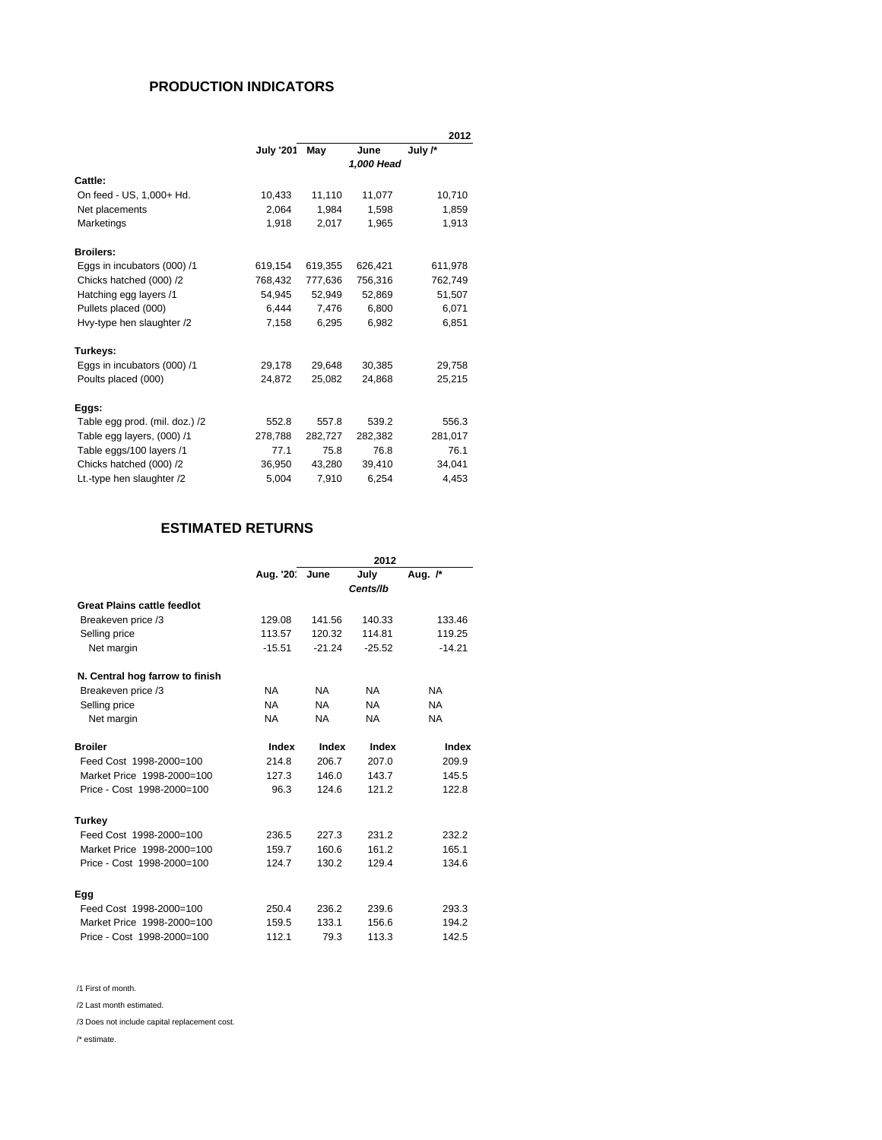# **PRODUCTION INDICATORS**

|                                |                  |         |            | 2012    |
|--------------------------------|------------------|---------|------------|---------|
|                                | <b>July '201</b> | May     | June       | July /* |
|                                |                  |         | 1,000 Head |         |
| Cattle:                        |                  |         |            |         |
| On feed - US, 1,000+ Hd.       | 10,433           | 11,110  | 11,077     | 10,710  |
| Net placements                 | 2,064            | 1,984   | 1,598      | 1,859   |
| Marketings                     | 1,918            | 2,017   | 1,965      | 1,913   |
| <b>Broilers:</b>               |                  |         |            |         |
| Eggs in incubators (000) /1    | 619,154          | 619,355 | 626,421    | 611,978 |
| Chicks hatched (000) /2        | 768,432          | 777,636 | 756,316    | 762,749 |
| Hatching egg layers /1         | 54,945           | 52,949  | 52,869     | 51,507  |
| Pullets placed (000)           | 6.444            | 7,476   | 6,800      | 6,071   |
| Hvy-type hen slaughter /2      | 7,158            | 6,295   | 6,982      | 6,851   |
| Turkeys:                       |                  |         |            |         |
| Eggs in incubators (000) /1    | 29,178           | 29,648  | 30,385     | 29,758  |
| Poults placed (000)            | 24,872           | 25,082  | 24,868     | 25,215  |
| Eggs:                          |                  |         |            |         |
| Table egg prod. (mil. doz.) /2 | 552.8            | 557.8   | 539.2      | 556.3   |
| Table egg layers, (000) /1     | 278,788          | 282,727 | 282,382    | 281,017 |
| Table eggs/100 layers /1       | 77.1             | 75.8    | 76.8       | 76.1    |
| Chicks hatched (000) /2        | 36,950           | 43,280  | 39,410     | 34,041  |
| Lt.-type hen slaughter /2      | 5,004            | 7,910   | 6,254      | 4,453   |

## **ESTIMATED RETURNS**

|                                    |           | 2012      |           |           |  |  |  |
|------------------------------------|-----------|-----------|-----------|-----------|--|--|--|
|                                    | Aug. '20' | June      | July      | Aug. /*   |  |  |  |
|                                    |           |           | Cents/lb  |           |  |  |  |
| <b>Great Plains cattle feedlot</b> |           |           |           |           |  |  |  |
| Breakeven price /3                 | 129.08    | 141.56    | 140.33    | 133.46    |  |  |  |
| Selling price                      | 113.57    | 120.32    | 114.81    | 119.25    |  |  |  |
| Net margin                         | $-15.51$  | $-21.24$  | $-25.52$  | $-14.21$  |  |  |  |
| N. Central hog farrow to finish    |           |           |           |           |  |  |  |
| Breakeven price /3                 | <b>NA</b> | <b>NA</b> | <b>NA</b> | <b>NA</b> |  |  |  |
| Selling price                      | <b>NA</b> | <b>NA</b> | <b>NA</b> | <b>NA</b> |  |  |  |
| Net margin                         | <b>NA</b> | <b>NA</b> | <b>NA</b> | <b>NA</b> |  |  |  |
| <b>Broiler</b>                     | Index     | Index     | Index     | Index     |  |  |  |
| Feed Cost 1998-2000=100            | 214.8     | 206.7     | 207.0     | 209.9     |  |  |  |
| Market Price 1998-2000=100         | 127.3     | 146.0     | 143.7     | 145.5     |  |  |  |
| Price - Cost 1998-2000=100         | 96.3      | 124.6     | 121.2     | 122.8     |  |  |  |
| Turkey                             |           |           |           |           |  |  |  |
| Feed Cost 1998-2000=100            | 236.5     | 227.3     | 231.2     | 232.2     |  |  |  |
| Market Price 1998-2000=100         | 159.7     | 160.6     | 161.2     | 165.1     |  |  |  |
| Price - Cost 1998-2000=100         | 124.7     | 130.2     | 129.4     | 134.6     |  |  |  |
| Egg                                |           |           |           |           |  |  |  |
| Feed Cost 1998-2000=100            | 250.4     | 236.2     | 239.6     | 293.3     |  |  |  |
| Market Price 1998-2000=100         | 159.5     | 133.1     | 156.6     | 194.2     |  |  |  |
| Price - Cost 1998-2000=100         | 112.1     | 79.3      | 113.3     | 142.5     |  |  |  |

/1 First of month.

/2 Last month estimated.

/3 Does not include capital replacement cost.

/\* estimate.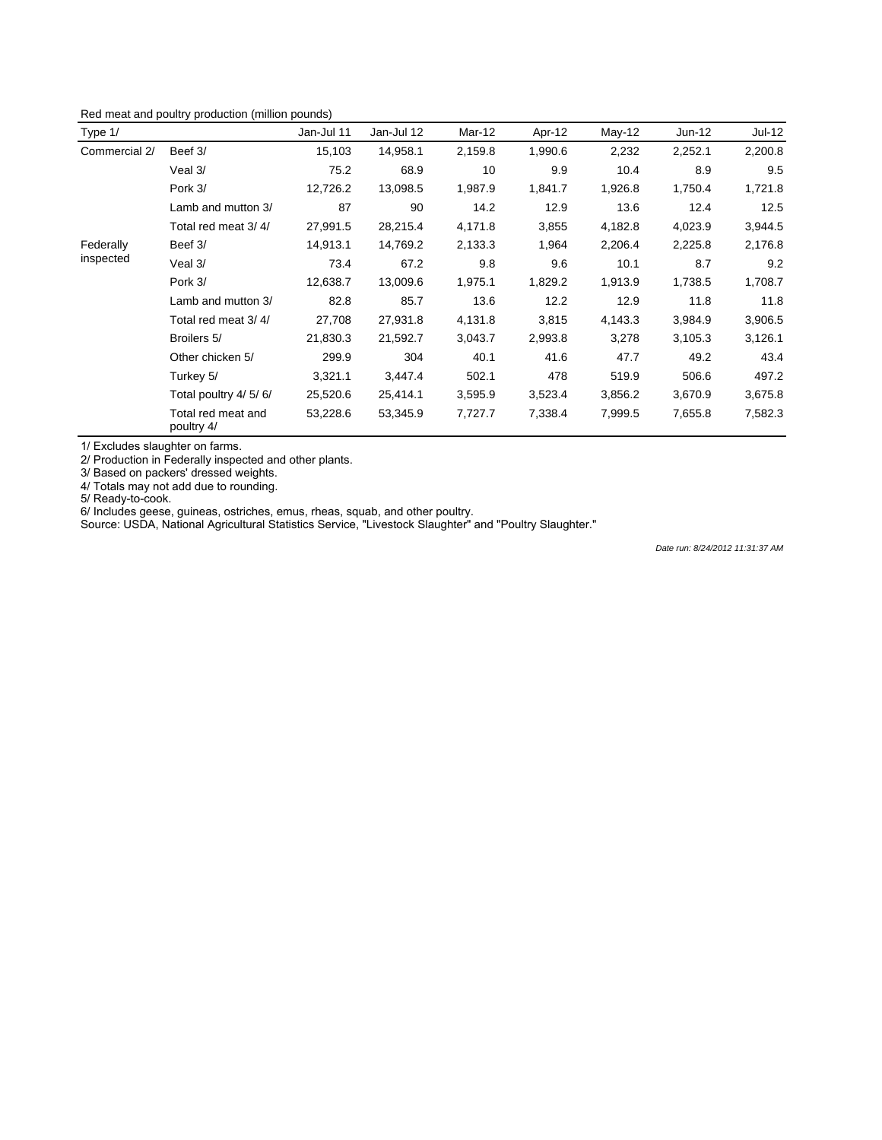| Red meat and poultry production (million pounds) |  |  |
|--------------------------------------------------|--|--|
|                                                  |  |  |

| Type 1/                |                                  | Jan-Jul 11 | Jan-Jul 12 | Mar-12  | Apr-12  | May-12  | Jun-12  | Jul-12  |
|------------------------|----------------------------------|------------|------------|---------|---------|---------|---------|---------|
| Commercial 2/          | Beef 3/                          | 15,103     | 14,958.1   | 2,159.8 | 1,990.6 | 2,232   | 2,252.1 | 2,200.8 |
|                        | Veal 3/                          | 75.2       | 68.9       | 10      | 9.9     | 10.4    | 8.9     | 9.5     |
|                        | Pork 3/                          | 12,726.2   | 13,098.5   | 1,987.9 | 1,841.7 | 1,926.8 | 1,750.4 | 1,721.8 |
|                        | Lamb and mutton 3/               | 87         | 90         | 14.2    | 12.9    | 13.6    | 12.4    | 12.5    |
|                        | Total red meat 3/4/              | 27,991.5   | 28,215.4   | 4,171.8 | 3,855   | 4,182.8 | 4,023.9 | 3,944.5 |
| Federally<br>inspected | Beef 3/                          | 14,913.1   | 14,769.2   | 2,133.3 | 1,964   | 2,206.4 | 2,225.8 | 2,176.8 |
|                        | Veal 3/                          | 73.4       | 67.2       | 9.8     | 9.6     | 10.1    | 8.7     | 9.2     |
|                        | Pork 3/                          | 12,638.7   | 13,009.6   | 1,975.1 | 1,829.2 | 1,913.9 | 1,738.5 | 1,708.7 |
|                        | Lamb and mutton 3/               | 82.8       | 85.7       | 13.6    | 12.2    | 12.9    | 11.8    | 11.8    |
|                        | Total red meat 3/4/              | 27,708     | 27,931.8   | 4,131.8 | 3,815   | 4,143.3 | 3,984.9 | 3,906.5 |
|                        | Broilers 5/                      | 21,830.3   | 21,592.7   | 3,043.7 | 2,993.8 | 3,278   | 3,105.3 | 3,126.1 |
|                        | Other chicken 5/                 | 299.9      | 304        | 40.1    | 41.6    | 47.7    | 49.2    | 43.4    |
|                        | Turkey 5/                        | 3,321.1    | 3,447.4    | 502.1   | 478     | 519.9   | 506.6   | 497.2   |
|                        | Total poultry 4/ 5/ 6/           | 25,520.6   | 25,414.1   | 3,595.9 | 3,523.4 | 3,856.2 | 3,670.9 | 3,675.8 |
|                        | Total red meat and<br>poultry 4/ | 53,228.6   | 53,345.9   | 7,727.7 | 7,338.4 | 7,999.5 | 7,655.8 | 7,582.3 |

1/ Excludes slaughter on farms.

2/ Production in Federally inspected and other plants.

3/ Based on packers' dressed weights.

4/ Totals may not add due to rounding.

5/ Ready-to-cook.

6/ Includes geese, guineas, ostriches, emus, rheas, squab, and other poultry.

Source: USDA, National Agricultural Statistics Service, "Livestock Slaughter" and "Poultry Slaughter."

Date run: 8/24/2012 11:31:37 AM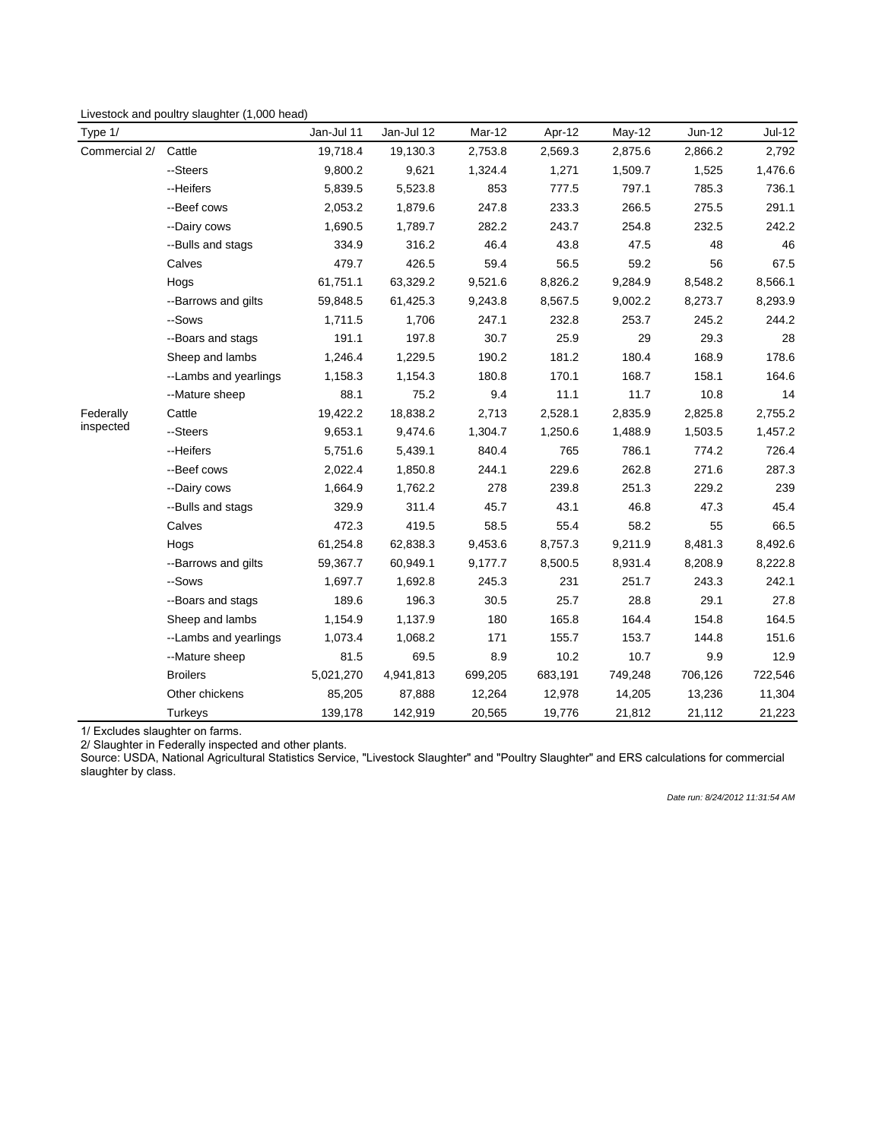| Livestock and poultry slaughter (1,000 head) |  |
|----------------------------------------------|--|
|                                              |  |

| Type 1/                |                       | Jan-Jul 11 | Jan-Jul 12 | Mar-12  | Apr-12  | May-12  | Jun-12  | Jul-12  |
|------------------------|-----------------------|------------|------------|---------|---------|---------|---------|---------|
| Commercial 2/          | Cattle                | 19,718.4   | 19,130.3   | 2,753.8 | 2,569.3 | 2,875.6 | 2,866.2 | 2,792   |
|                        | --Steers              | 9,800.2    | 9,621      | 1,324.4 | 1,271   | 1,509.7 | 1,525   | 1,476.6 |
|                        | --Heifers             | 5,839.5    | 5,523.8    | 853     | 777.5   | 797.1   | 785.3   | 736.1   |
|                        | --Beef cows           | 2,053.2    | 1,879.6    | 247.8   | 233.3   | 266.5   | 275.5   | 291.1   |
|                        | --Dairy cows          | 1,690.5    | 1,789.7    | 282.2   | 243.7   | 254.8   | 232.5   | 242.2   |
|                        | --Bulls and stags     | 334.9      | 316.2      | 46.4    | 43.8    | 47.5    | 48      | 46      |
|                        | Calves                | 479.7      | 426.5      | 59.4    | 56.5    | 59.2    | 56      | 67.5    |
|                        | Hogs                  | 61,751.1   | 63,329.2   | 9,521.6 | 8,826.2 | 9,284.9 | 8,548.2 | 8,566.1 |
|                        | --Barrows and gilts   | 59,848.5   | 61,425.3   | 9,243.8 | 8,567.5 | 9,002.2 | 8,273.7 | 8,293.9 |
|                        | --Sows                | 1,711.5    | 1,706      | 247.1   | 232.8   | 253.7   | 245.2   | 244.2   |
|                        | --Boars and stags     | 191.1      | 197.8      | 30.7    | 25.9    | 29      | 29.3    | 28      |
|                        | Sheep and lambs       | 1,246.4    | 1,229.5    | 190.2   | 181.2   | 180.4   | 168.9   | 178.6   |
|                        | --Lambs and yearlings | 1,158.3    | 1,154.3    | 180.8   | 170.1   | 168.7   | 158.1   | 164.6   |
|                        | --Mature sheep        | 88.1       | 75.2       | 9.4     | 11.1    | 11.7    | 10.8    | 14      |
| Federally<br>inspected | Cattle                | 19,422.2   | 18,838.2   | 2,713   | 2,528.1 | 2,835.9 | 2,825.8 | 2,755.2 |
|                        | --Steers              | 9,653.1    | 9,474.6    | 1,304.7 | 1,250.6 | 1,488.9 | 1,503.5 | 1,457.2 |
|                        | --Heifers             | 5,751.6    | 5,439.1    | 840.4   | 765     | 786.1   | 774.2   | 726.4   |
|                        | --Beef cows           | 2,022.4    | 1,850.8    | 244.1   | 229.6   | 262.8   | 271.6   | 287.3   |
|                        | --Dairy cows          | 1,664.9    | 1,762.2    | 278     | 239.8   | 251.3   | 229.2   | 239     |
|                        | --Bulls and stags     | 329.9      | 311.4      | 45.7    | 43.1    | 46.8    | 47.3    | 45.4    |
|                        | Calves                | 472.3      | 419.5      | 58.5    | 55.4    | 58.2    | 55      | 66.5    |
|                        | Hogs                  | 61,254.8   | 62,838.3   | 9,453.6 | 8,757.3 | 9,211.9 | 8,481.3 | 8,492.6 |
|                        | --Barrows and gilts   | 59,367.7   | 60,949.1   | 9,177.7 | 8,500.5 | 8,931.4 | 8,208.9 | 8,222.8 |
|                        | --Sows                | 1,697.7    | 1,692.8    | 245.3   | 231     | 251.7   | 243.3   | 242.1   |
|                        | --Boars and stags     | 189.6      | 196.3      | 30.5    | 25.7    | 28.8    | 29.1    | 27.8    |
|                        | Sheep and lambs       | 1,154.9    | 1,137.9    | 180     | 165.8   | 164.4   | 154.8   | 164.5   |
|                        | --Lambs and yearlings | 1,073.4    | 1,068.2    | 171     | 155.7   | 153.7   | 144.8   | 151.6   |
|                        | --Mature sheep        | 81.5       | 69.5       | 8.9     | 10.2    | 10.7    | 9.9     | 12.9    |
|                        | <b>Broilers</b>       | 5,021,270  | 4,941,813  | 699,205 | 683,191 | 749,248 | 706,126 | 722,546 |
|                        | Other chickens        | 85,205     | 87,888     | 12,264  | 12,978  | 14,205  | 13,236  | 11,304  |
|                        | Turkeys               | 139,178    | 142,919    | 20,565  | 19,776  | 21,812  | 21,112  | 21,223  |

1/ Excludes slaughter on farms.

2/ Slaughter in Federally inspected and other plants.

Source: USDA, National Agricultural Statistics Service, "Livestock Slaughter" and "Poultry Slaughter" and ERS calculations for commercial slaughter by class.

Date run: 8/24/2012 11:31:54 AM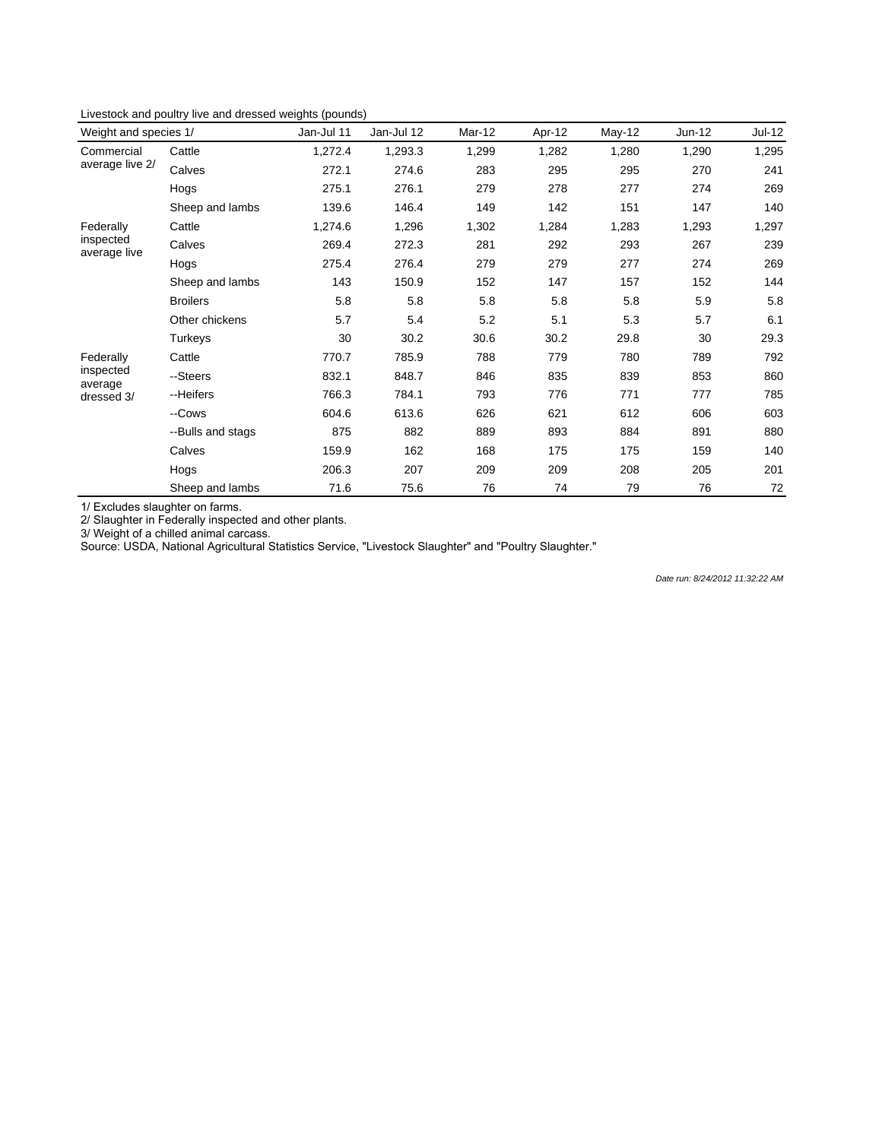Livestock and poultry live and dressed weights (pounds)

| Weight and species 1/     |                   | Jan-Jul 11 | Jan-Jul 12 | Mar-12 | Apr-12 | $May-12$ | Jun-12 | Jul-12 |
|---------------------------|-------------------|------------|------------|--------|--------|----------|--------|--------|
| Commercial                | Cattle            | 1,272.4    | 1,293.3    | 1,299  | 1,282  | 1,280    | 1,290  | 1,295  |
| average live 2/           | Calves            | 272.1      | 274.6      | 283    | 295    | 295      | 270    | 241    |
|                           | Hogs              | 275.1      | 276.1      | 279    | 278    | 277      | 274    | 269    |
|                           | Sheep and lambs   | 139.6      | 146.4      | 149    | 142    | 151      | 147    | 140    |
| Federally                 | Cattle            | 1,274.6    | 1,296      | 1,302  | 1,284  | 1,283    | 1,293  | 1,297  |
| inspected<br>average live | Calves            | 269.4      | 272.3      | 281    | 292    | 293      | 267    | 239    |
|                           | Hogs              | 275.4      | 276.4      | 279    | 279    | 277      | 274    | 269    |
|                           | Sheep and lambs   | 143        | 150.9      | 152    | 147    | 157      | 152    | 144    |
|                           | <b>Broilers</b>   | 5.8        | 5.8        | 5.8    | 5.8    | 5.8      | 5.9    | 5.8    |
|                           | Other chickens    | 5.7        | 5.4        | 5.2    | 5.1    | 5.3      | 5.7    | 6.1    |
|                           | Turkeys           | 30         | 30.2       | 30.6   | 30.2   | 29.8     | 30     | 29.3   |
| Federally                 | Cattle            | 770.7      | 785.9      | 788    | 779    | 780      | 789    | 792    |
| inspected<br>average      | --Steers          | 832.1      | 848.7      | 846    | 835    | 839      | 853    | 860    |
| dressed 3/                | --Heifers         | 766.3      | 784.1      | 793    | 776    | 771      | 777    | 785    |
|                           | --Cows            | 604.6      | 613.6      | 626    | 621    | 612      | 606    | 603    |
|                           | --Bulls and stags | 875        | 882        | 889    | 893    | 884      | 891    | 880    |
|                           | Calves            | 159.9      | 162        | 168    | 175    | 175      | 159    | 140    |
|                           | Hogs              | 206.3      | 207        | 209    | 209    | 208      | 205    | 201    |
|                           | Sheep and lambs   | 71.6       | 75.6       | 76     | 74     | 79       | 76     | 72     |

1/ Excludes slaughter on farms.

2/ Slaughter in Federally inspected and other plants.

3/ Weight of a chilled animal carcass.

Source: USDA, National Agricultural Statistics Service, "Livestock Slaughter" and "Poultry Slaughter."

Date run: 8/24/2012 11:32:22 AM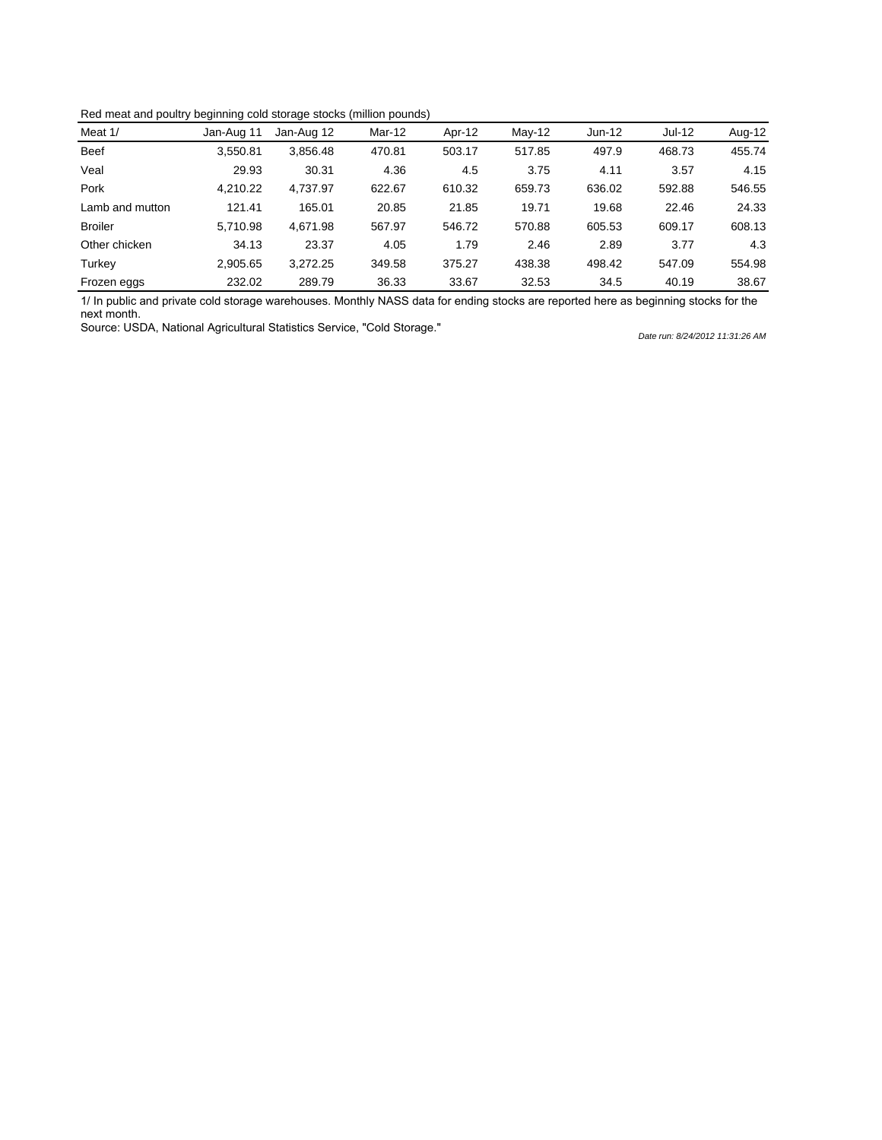Red meat and poultry beginning cold storage stocks (million pounds)

| Meat 1/         | Jan-Aug 11 | Jan-Aug 12 | Mar-12 | Apr-12 | $May-12$ | $Jun-12$ | Jul-12 | Aug-12 |
|-----------------|------------|------------|--------|--------|----------|----------|--------|--------|
| <b>Beef</b>     | 3.550.81   | 3,856.48   | 470.81 | 503.17 | 517.85   | 497.9    | 468.73 | 455.74 |
| Veal            | 29.93      | 30.31      | 4.36   | 4.5    | 3.75     | 4.11     | 3.57   | 4.15   |
| Pork            | 4.210.22   | 4.737.97   | 622.67 | 610.32 | 659.73   | 636.02   | 592.88 | 546.55 |
| Lamb and mutton | 121.41     | 165.01     | 20.85  | 21.85  | 19.71    | 19.68    | 22.46  | 24.33  |
| <b>Broiler</b>  | 5.710.98   | 4.671.98   | 567.97 | 546.72 | 570.88   | 605.53   | 609.17 | 608.13 |
| Other chicken   | 34.13      | 23.37      | 4.05   | 1.79   | 2.46     | 2.89     | 3.77   | 4.3    |
| Turkey          | 2.905.65   | 3.272.25   | 349.58 | 375.27 | 438.38   | 498.42   | 547.09 | 554.98 |
| Frozen eggs     | 232.02     | 289.79     | 36.33  | 33.67  | 32.53    | 34.5     | 40.19  | 38.67  |
|                 |            |            |        |        |          |          |        |        |

1/ In public and private cold storage warehouses. Monthly NASS data for ending stocks are reported here as beginning stocks for the next month.

Source: USDA, National Agricultural Statistics Service, "Cold Storage."

Date run: 8/24/2012 11:31:26 AM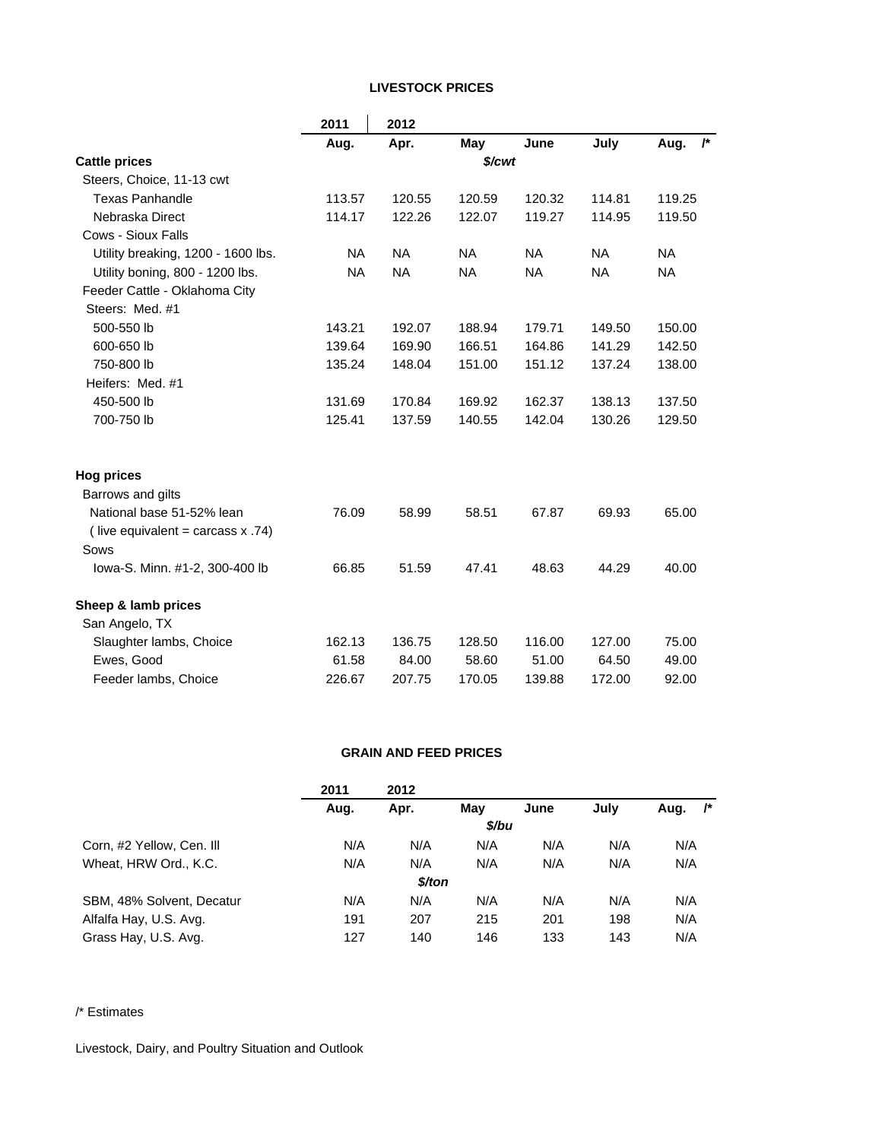#### **LIVESTOCK PRICES**

|                                    | 2011      | 2012      |           |           |           |                    |
|------------------------------------|-----------|-----------|-----------|-----------|-----------|--------------------|
|                                    | Aug.      | Apr.      | May       | June      | July      | $\prime^*$<br>Aug. |
| <b>Cattle prices</b>               |           |           | \$/cwt    |           |           |                    |
| Steers, Choice, 11-13 cwt          |           |           |           |           |           |                    |
| <b>Texas Panhandle</b>             | 113.57    | 120.55    | 120.59    | 120.32    | 114.81    | 119.25             |
| Nebraska Direct                    | 114.17    | 122.26    | 122.07    | 119.27    | 114.95    | 119.50             |
| <b>Cows - Sioux Falls</b>          |           |           |           |           |           |                    |
| Utility breaking, 1200 - 1600 lbs. | <b>NA</b> | <b>NA</b> | <b>NA</b> | <b>NA</b> | <b>NA</b> | <b>NA</b>          |
| Utility boning, 800 - 1200 lbs.    | <b>NA</b> | <b>NA</b> | <b>NA</b> | <b>NA</b> | <b>NA</b> | <b>NA</b>          |
| Feeder Cattle - Oklahoma City      |           |           |           |           |           |                    |
| Steers: Med. #1                    |           |           |           |           |           |                    |
| 500-550 lb                         | 143.21    | 192.07    | 188.94    | 179.71    | 149.50    | 150.00             |
| 600-650 lb                         | 139.64    | 169.90    | 166.51    | 164.86    | 141.29    | 142.50             |
| 750-800 lb                         | 135.24    | 148.04    | 151.00    | 151.12    | 137.24    | 138.00             |
| Heifers: Med. #1                   |           |           |           |           |           |                    |
| 450-500 lb                         | 131.69    | 170.84    | 169.92    | 162.37    | 138.13    | 137.50             |
| 700-750 lb                         | 125.41    | 137.59    | 140.55    | 142.04    | 130.26    | 129.50             |
| <b>Hog prices</b>                  |           |           |           |           |           |                    |
| Barrows and gilts                  |           |           |           |           |           |                    |
| National base 51-52% lean          | 76.09     | 58.99     | 58.51     | 67.87     | 69.93     | 65.00              |
| (live equivalent = carcass x .74)  |           |           |           |           |           |                    |
| Sows                               |           |           |           |           |           |                    |
| lowa-S. Minn. #1-2, 300-400 lb     | 66.85     | 51.59     | 47.41     | 48.63     | 44.29     | 40.00              |
| Sheep & lamb prices                |           |           |           |           |           |                    |
| San Angelo, TX                     |           |           |           |           |           |                    |
| Slaughter lambs, Choice            | 162.13    | 136.75    | 128.50    | 116.00    | 127.00    | 75.00              |
| Ewes, Good                         | 61.58     | 84.00     | 58.60     | 51.00     | 64.50     | 49.00              |
| Feeder lambs, Choice               | 226.67    | 207.75    | 170.05    | 139.88    | 172.00    | 92.00              |

#### **GRAIN AND FEED PRICES**

|                           | 2011 | 2012     |       |      |      |                    |
|---------------------------|------|----------|-------|------|------|--------------------|
|                           | Aug. | Apr.     | May   | June | July | $\prime^*$<br>Aug. |
|                           |      |          | \$/bu |      |      |                    |
| Corn, #2 Yellow, Cen. III | N/A  | N/A      | N/A   | N/A  | N/A  | N/A                |
| Wheat, HRW Ord., K.C.     | N/A  | N/A      | N/A   | N/A  | N/A  | N/A                |
|                           |      | $$$ /ton |       |      |      |                    |
| SBM, 48% Solvent, Decatur | N/A  | N/A      | N/A   | N/A  | N/A  | N/A                |
| Alfalfa Hay, U.S. Avg.    | 191  | 207      | 215   | 201  | 198  | N/A                |
| Grass Hay, U.S. Avg.      | 127  | 140      | 146   | 133  | 143  | N/A                |

#### /\* Estimates

Livestock, Dairy, and Poultry Situation and Outlook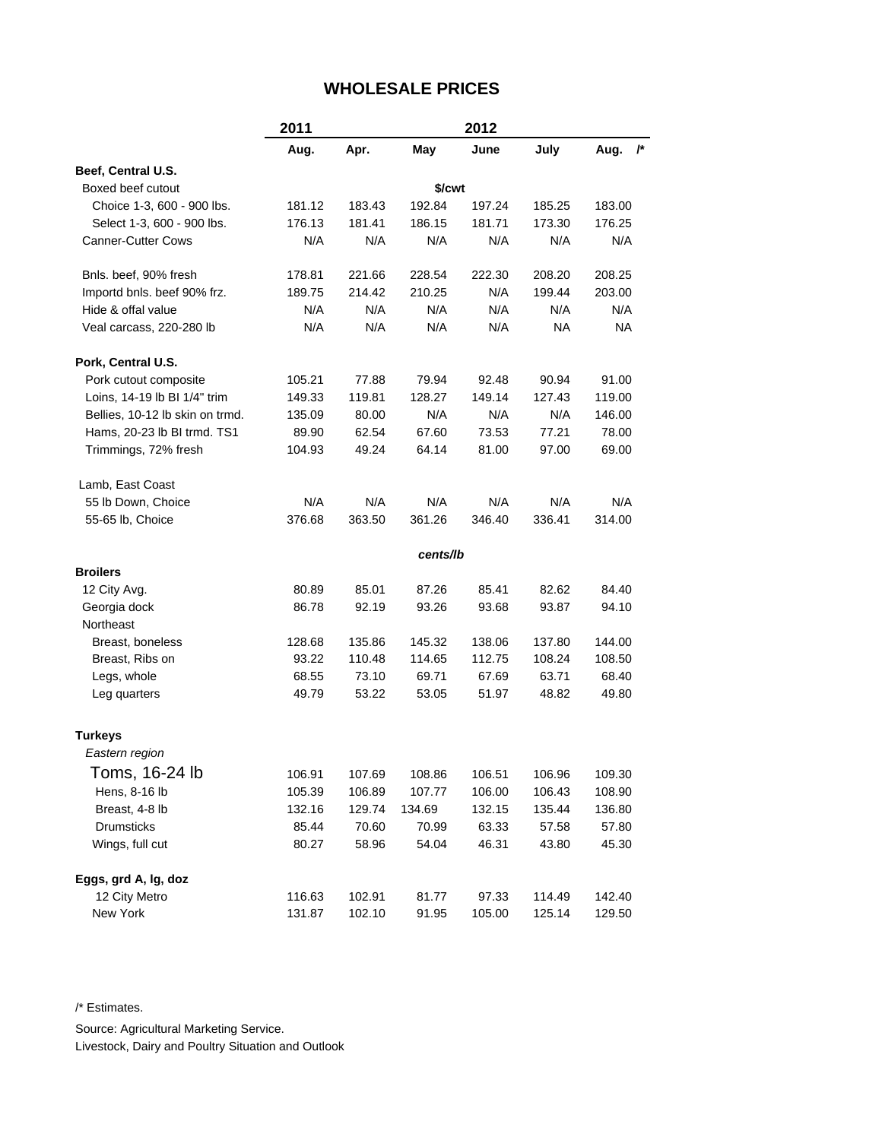# **WHOLESALE PRICES**

|                                 | 2011   |        |          | 2012   |           |                    |  |
|---------------------------------|--------|--------|----------|--------|-----------|--------------------|--|
|                                 | Aug.   | Apr.   | May      | June   | July      | $\prime^*$<br>Aug. |  |
| Beef, Central U.S.              |        |        |          |        |           |                    |  |
| Boxed beef cutout               |        |        | \$/cwt   |        |           |                    |  |
| Choice 1-3, 600 - 900 lbs.      | 181.12 | 183.43 | 192.84   | 197.24 | 185.25    | 183.00             |  |
| Select 1-3, 600 - 900 lbs.      | 176.13 | 181.41 | 186.15   | 181.71 | 173.30    | 176.25             |  |
| <b>Canner-Cutter Cows</b>       | N/A    | N/A    | N/A      | N/A    | N/A       | N/A                |  |
| Bnls. beef, 90% fresh           | 178.81 | 221.66 | 228.54   | 222.30 | 208.20    | 208.25             |  |
| Importd bnls. beef 90% frz.     | 189.75 | 214.42 | 210.25   | N/A    | 199.44    | 203.00             |  |
| Hide & offal value              | N/A    | N/A    | N/A      | N/A    | N/A       | N/A                |  |
| Veal carcass, 220-280 lb        | N/A    | N/A    | N/A      | N/A    | <b>NA</b> | <b>NA</b>          |  |
| Pork, Central U.S.              |        |        |          |        |           |                    |  |
| Pork cutout composite           | 105.21 | 77.88  | 79.94    | 92.48  | 90.94     | 91.00              |  |
| Loins, 14-19 lb BI 1/4" trim    | 149.33 | 119.81 | 128.27   | 149.14 | 127.43    | 119.00             |  |
| Bellies, 10-12 lb skin on trmd. | 135.09 | 80.00  | N/A      | N/A    | N/A       | 146.00             |  |
| Hams, 20-23 lb BI trmd. TS1     | 89.90  | 62.54  | 67.60    | 73.53  | 77.21     | 78.00              |  |
| Trimmings, 72% fresh            | 104.93 | 49.24  | 64.14    | 81.00  | 97.00     | 69.00              |  |
| Lamb, East Coast                |        |        |          |        |           |                    |  |
| 55 lb Down, Choice              | N/A    | N/A    | N/A      | N/A    | N/A       | N/A                |  |
| 55-65 lb, Choice                | 376.68 | 363.50 | 361.26   | 346.40 | 336.41    | 314.00             |  |
|                                 |        |        | cents/lb |        |           |                    |  |
| <b>Broilers</b>                 |        |        |          |        |           |                    |  |
| 12 City Avg.                    | 80.89  | 85.01  | 87.26    | 85.41  | 82.62     | 84.40              |  |
| Georgia dock                    | 86.78  | 92.19  | 93.26    | 93.68  | 93.87     | 94.10              |  |
| Northeast                       |        |        |          |        |           |                    |  |
| Breast, boneless                | 128.68 | 135.86 | 145.32   | 138.06 | 137.80    | 144.00             |  |
| Breast, Ribs on                 | 93.22  | 110.48 | 114.65   | 112.75 | 108.24    | 108.50             |  |
| Legs, whole                     | 68.55  | 73.10  | 69.71    | 67.69  | 63.71     | 68.40              |  |
| Leg quarters                    | 49.79  | 53.22  | 53.05    | 51.97  | 48.82     | 49.80              |  |
| <b>Turkeys</b>                  |        |        |          |        |           |                    |  |
| Eastern region                  |        |        |          |        |           |                    |  |
| Toms, 16-24 lb                  | 106.91 | 107.69 | 108.86   | 106.51 | 106.96    | 109.30             |  |
| Hens, 8-16 lb                   | 105.39 | 106.89 | 107.77   | 106.00 | 106.43    | 108.90             |  |
| Breast, 4-8 lb                  | 132.16 | 129.74 | 134.69   | 132.15 | 135.44    | 136.80             |  |
| <b>Drumsticks</b>               | 85.44  | 70.60  | 70.99    | 63.33  | 57.58     | 57.80              |  |
| Wings, full cut                 | 80.27  | 58.96  | 54.04    | 46.31  | 43.80     | 45.30              |  |
| Eggs, grd A, Ig, doz            |        |        |          |        |           |                    |  |
| 12 City Metro                   | 116.63 | 102.91 | 81.77    | 97.33  | 114.49    | 142.40             |  |
| New York                        | 131.87 | 102.10 | 91.95    | 105.00 | 125.14    | 129.50             |  |

/\* Estimates.

Source: Agricultural Marketing Service. Livestock, Dairy and Poultry Situation and Outlook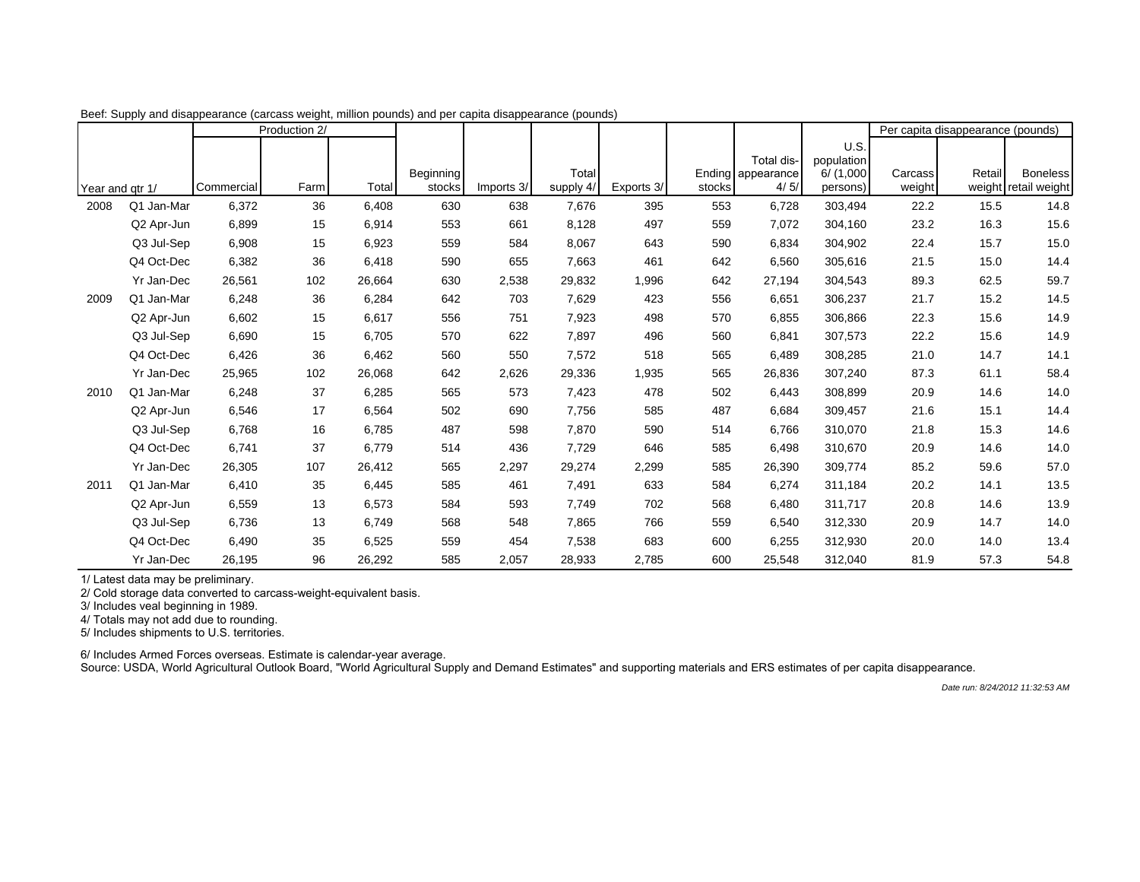|                 |            | Production 2/ |      |        |                     |            |                    |            |        |                                         |                                              | Per capita disappearance (pounds) |        |                                         |
|-----------------|------------|---------------|------|--------|---------------------|------------|--------------------|------------|--------|-----------------------------------------|----------------------------------------------|-----------------------------------|--------|-----------------------------------------|
| Year and qtr 1/ |            | Commercial    | Farm | Total  | Beginning<br>stocks | Imports 3/ | Total<br>supply 4/ | Exports 3/ | stocks | Total dis-<br>Ending appearance<br>4/5/ | U.S.<br>population<br>6/ (1,000)<br>persons) | Carcass<br>weight                 | Retail | <b>Boneless</b><br>weight retail weight |
| 2008            | Q1 Jan-Mar | 6,372         | 36   | 6,408  | 630                 | 638        | 7,676              | 395        | 553    | 6,728                                   | 303,494                                      | 22.2                              | 15.5   | 14.8                                    |
|                 | Q2 Apr-Jun | 6,899         | 15   | 6,914  | 553                 | 661        | 8,128              | 497        | 559    | 7,072                                   | 304,160                                      | 23.2                              | 16.3   | 15.6                                    |
|                 | Q3 Jul-Sep | 6,908         | 15   | 6,923  | 559                 | 584        | 8,067              | 643        | 590    | 6,834                                   | 304,902                                      | 22.4                              | 15.7   | 15.0                                    |
|                 | Q4 Oct-Dec | 6,382         | 36   | 6,418  | 590                 | 655        | 7,663              | 461        | 642    | 6,560                                   | 305,616                                      | 21.5                              | 15.0   | 14.4                                    |
|                 | Yr Jan-Dec | 26,561        | 102  | 26,664 | 630                 | 2,538      | 29,832             | 1,996      | 642    | 27,194                                  | 304,543                                      | 89.3                              | 62.5   | 59.7                                    |
| 2009            | Q1 Jan-Mar | 6,248         | 36   | 6,284  | 642                 | 703        | 7,629              | 423        | 556    | 6,651                                   | 306,237                                      | 21.7                              | 15.2   | 14.5                                    |
|                 | Q2 Apr-Jun | 6,602         | 15   | 6,617  | 556                 | 751        | 7,923              | 498        | 570    | 6,855                                   | 306,866                                      | 22.3                              | 15.6   | 14.9                                    |
|                 | Q3 Jul-Sep | 6,690         | 15   | 6,705  | 570                 | 622        | 7,897              | 496        | 560    | 6,841                                   | 307,573                                      | 22.2                              | 15.6   | 14.9                                    |
|                 | Q4 Oct-Dec | 6,426         | 36   | 6,462  | 560                 | 550        | 7,572              | 518        | 565    | 6,489                                   | 308,285                                      | 21.0                              | 14.7   | 14.1                                    |
|                 | Yr Jan-Dec | 25,965        | 102  | 26,068 | 642                 | 2,626      | 29,336             | 1,935      | 565    | 26,836                                  | 307,240                                      | 87.3                              | 61.1   | 58.4                                    |
| 2010            | Q1 Jan-Mar | 6,248         | 37   | 6,285  | 565                 | 573        | 7,423              | 478        | 502    | 6,443                                   | 308,899                                      | 20.9                              | 14.6   | 14.0                                    |
|                 | Q2 Apr-Jun | 6,546         | 17   | 6,564  | 502                 | 690        | 7,756              | 585        | 487    | 6,684                                   | 309,457                                      | 21.6                              | 15.1   | 14.4                                    |
|                 | Q3 Jul-Sep | 6,768         | 16   | 6,785  | 487                 | 598        | 7,870              | 590        | 514    | 6,766                                   | 310,070                                      | 21.8                              | 15.3   | 14.6                                    |
|                 | Q4 Oct-Dec | 6,741         | 37   | 6,779  | 514                 | 436        | 7,729              | 646        | 585    | 6,498                                   | 310,670                                      | 20.9                              | 14.6   | 14.0                                    |
|                 | Yr Jan-Dec | 26,305        | 107  | 26,412 | 565                 | 2,297      | 29,274             | 2,299      | 585    | 26,390                                  | 309,774                                      | 85.2                              | 59.6   | 57.0                                    |
| 2011            | Q1 Jan-Mar | 6,410         | 35   | 6,445  | 585                 | 461        | 7,491              | 633        | 584    | 6,274                                   | 311,184                                      | 20.2                              | 14.1   | 13.5                                    |
|                 | Q2 Apr-Jun | 6,559         | 13   | 6,573  | 584                 | 593        | 7,749              | 702        | 568    | 6,480                                   | 311,717                                      | 20.8                              | 14.6   | 13.9                                    |
|                 | Q3 Jul-Sep | 6,736         | 13   | 6,749  | 568                 | 548        | 7,865              | 766        | 559    | 6,540                                   | 312,330                                      | 20.9                              | 14.7   | 14.0                                    |
|                 | Q4 Oct-Dec | 6,490         | 35   | 6,525  | 559                 | 454        | 7,538              | 683        | 600    | 6,255                                   | 312,930                                      | 20.0                              | 14.0   | 13.4                                    |
|                 | Yr Jan-Dec | 26,195        | 96   | 26,292 | 585                 | 2,057      | 28,933             | 2,785      | 600    | 25,548                                  | 312,040                                      | 81.9                              | 57.3   | 54.8                                    |

Beef: Supply and disappearance (carcass weight, million pounds) and per capita disappearance (pounds)

1/ Latest data may be preliminary.

2/ Cold storage data converted to carcass-weight-equivalent basis.

3/ Includes veal beginning in 1989.

4/ Totals may not add due to rounding.

5/ Includes shipments to U.S. territories.

6/ Includes Armed Forces overseas. Estimate is calendar-year average.

Source: USDA, World Agricultural Outlook Board, "World Agricultural Supply and Demand Estimates" and supporting materials and ERS estimates of per capita disappearance.

Date run: 8/24/2012 11:32:53 AM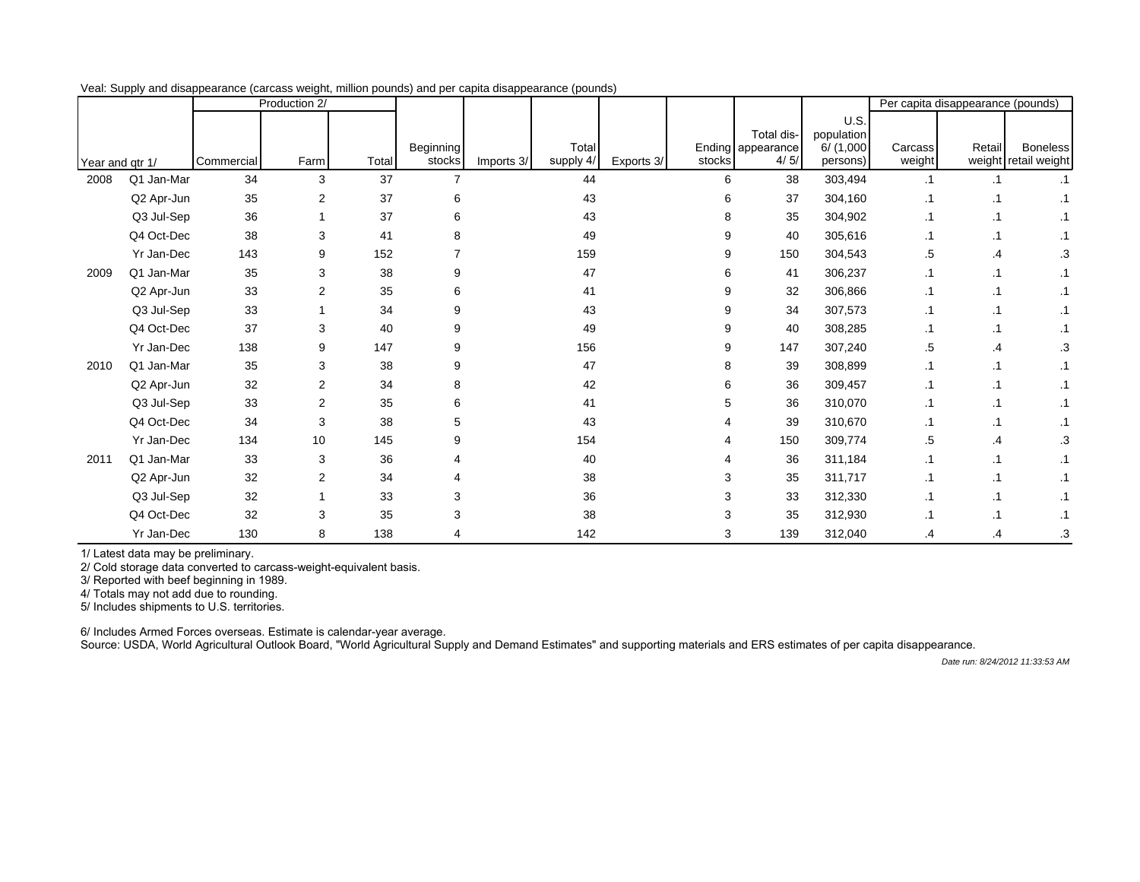|                 |            |            | Production 2/ |       |                            |            |                    |            |        |                                         |                                               |                   | Per capita disappearance (pounds) |                                         |
|-----------------|------------|------------|---------------|-------|----------------------------|------------|--------------------|------------|--------|-----------------------------------------|-----------------------------------------------|-------------------|-----------------------------------|-----------------------------------------|
| Year and gtr 1/ |            | Commercial | Farm          | Total | <b>Beginning</b><br>stocks | Imports 3/ | Total<br>supply 4/ | Exports 3/ | stocks | Total dis-<br>Ending appearance<br>4/5/ | U.S.<br>population<br>$6/$ (1,000<br>persons) | Carcass<br>weight | Retail                            | <b>Boneless</b><br>weight retail weight |
| 2008            | Q1 Jan-Mar | 34         | 3             | 37    | $\overline{7}$             |            | 44                 |            | 6      | 38                                      | 303,494                                       | $\cdot$ 1         |                                   |                                         |
|                 | Q2 Apr-Jun | 35         | 2             | 37    | 6                          |            | 43                 |            | 6      | 37                                      | 304,160                                       | .1                | $\cdot$ 1                         | .1                                      |
|                 | Q3 Jul-Sep | 36         |               | 37    | 6                          |            | 43                 |            | 8      | 35                                      | 304,902                                       |                   | $\cdot$ 1                         | $\cdot$ 1                               |
|                 | Q4 Oct-Dec | 38         | 3             | 41    | 8                          |            | 49                 |            | 9      | 40                                      | 305,616                                       | $\cdot$ 1         | $\cdot$ 1                         | .1                                      |
|                 | Yr Jan-Dec | 143        | 9             | 152   |                            |            | 159                |            | 9      | 150                                     | 304,543                                       | .5                | .4                                | .3                                      |
| 2009            | Q1 Jan-Mar | 35         | 3             | 38    | 9                          |            | 47                 |            | 6      | 41                                      | 306,237                                       | $\cdot$ 1         | $\cdot$ 1                         | .1                                      |
|                 | Q2 Apr-Jun | 33         | 2             | 35    | 6                          |            | 41                 |            | 9      | 32                                      | 306,866                                       | .1                | $\cdot$ 1                         | .1                                      |
|                 | Q3 Jul-Sep | 33         |               | 34    | 9                          |            | 43                 |            | 9      | 34                                      | 307,573                                       | .1                | $\cdot$ 1                         | .1                                      |
|                 | Q4 Oct-Dec | 37         | 3             | 40    |                            |            | 49                 |            | 9      | 40                                      | 308,285                                       | $\cdot$ 1         | $\cdot$ 1                         | .1                                      |
|                 | Yr Jan-Dec | 138        | 9             | 147   |                            |            | 156                |            | 9      | 147                                     | 307,240                                       | .5                | .4                                | .3                                      |
| 2010            | Q1 Jan-Mar | 35         | 3             | 38    | 9                          |            | 47                 |            | 8      | 39                                      | 308,899                                       | $\cdot$ 1         | $\cdot$ 1                         | .1                                      |
|                 | Q2 Apr-Jun | 32         | 2             | 34    | 8                          |            | 42                 |            | 6      | 36                                      | 309,457                                       |                   | $\cdot$ 1                         | .1                                      |
|                 | Q3 Jul-Sep | 33         | 2             | 35    | 6                          |            | 41                 |            | 5      | 36                                      | 310,070                                       | $\cdot$ 1         | $\cdot$ 1                         | $\cdot$ 1                               |
|                 | Q4 Oct-Dec | 34         | 3             | 38    | 5                          |            | 43                 |            |        | 39                                      | 310,670                                       |                   | $\cdot$ 1                         | .1                                      |
|                 | Yr Jan-Dec | 134        | 10            | 145   | 9                          |            | 154                |            |        | 150                                     | 309,774                                       | .5                | .4                                | .3                                      |
| 2011            | Q1 Jan-Mar | 33         | 3             | 36    |                            |            | 40                 |            |        | 36                                      | 311,184                                       | $\cdot$ 1         | $\cdot$ 1                         | .1                                      |
|                 | Q2 Apr-Jun | 32         | 2             | 34    |                            |            | 38                 |            |        | 35                                      | 311,717                                       | $\cdot$ 1         | $\cdot$ 1                         | $\cdot$ 1                               |
|                 | Q3 Jul-Sep | 32         |               | 33    | 3                          |            | 36                 |            |        | 33                                      | 312,330                                       | $\cdot$ 1         | $\cdot$ 1                         | .1                                      |
|                 | Q4 Oct-Dec | 32         | 3             | 35    |                            |            | 38                 |            |        | 35                                      | 312,930                                       |                   | $\cdot$ 1                         | .1                                      |
|                 | Yr Jan-Dec | 130        | 8             | 138   | 4                          |            | 142                |            | 3      | 139                                     | 312,040                                       | .4                | .4                                | .3                                      |

Veal: Supply and disappearance (carcass weight, million pounds) and per capita disappearance (pounds)

1/ Latest data may be preliminary.

2/ Cold storage data converted to carcass-weight-equivalent basis.

3/ Reported with beef beginning in 1989.

27 Reported Mill 2001 Sugmaning in 1999

5/ Includes shipments to U.S. territories.

6/ Includes Armed Forces overseas. Estimate is calendar-year average.

Source: USDA, World Agricultural Outlook Board, "World Agricultural Supply and Demand Estimates" and supporting materials and ERS estimates of per capita disappearance.

Date run: 8/24/2012 11:33:53 AM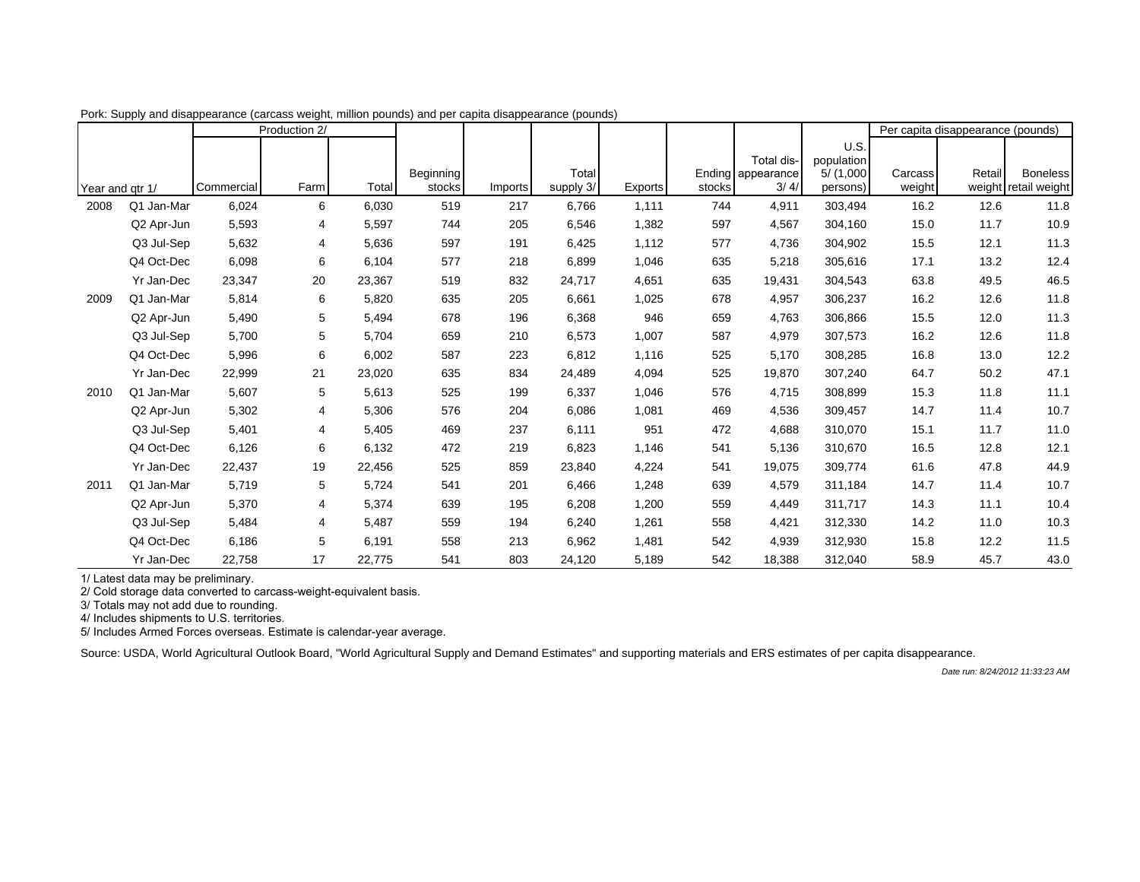|                 |            |            | Production 2/ |        |                     |         |                    |         |        |                                         |                                               |                   | Per capita disappearance (pounds) |                                         |
|-----------------|------------|------------|---------------|--------|---------------------|---------|--------------------|---------|--------|-----------------------------------------|-----------------------------------------------|-------------------|-----------------------------------|-----------------------------------------|
| Year and gtr 1/ |            | Commercial | Farm          | Total  | Beginning<br>stocks | Imports | Total<br>supply 3/ | Exports | stocks | Total dis-<br>Ending appearance<br>3/4/ | U.S.<br>population<br>$5/$ (1,000<br>persons) | Carcass<br>weight | Retail                            | <b>Boneless</b><br>weight retail weight |
| 2008            | Q1 Jan-Mar | 6,024      | 6             | 6,030  | 519                 | 217     | 6,766              | 1,111   | 744    | 4,911                                   | 303,494                                       | 16.2              | 12.6                              | 11.8                                    |
|                 | Q2 Apr-Jun | 5,593      | 4             | 5,597  | 744                 | 205     | 6,546              | 1,382   | 597    | 4,567                                   | 304,160                                       | 15.0              | 11.7                              | 10.9                                    |
|                 | Q3 Jul-Sep | 5,632      | 4             | 5,636  | 597                 | 191     | 6,425              | 1,112   | 577    | 4,736                                   | 304,902                                       | 15.5              | 12.1                              | 11.3                                    |
|                 | Q4 Oct-Dec | 6,098      | 6             | 6,104  | 577                 | 218     | 6,899              | 1,046   | 635    | 5,218                                   | 305,616                                       | 17.1              | 13.2                              | 12.4                                    |
|                 | Yr Jan-Dec | 23,347     | 20            | 23,367 | 519                 | 832     | 24,717             | 4,651   | 635    | 19,431                                  | 304,543                                       | 63.8              | 49.5                              | 46.5                                    |
| 2009            | Q1 Jan-Mar | 5,814      | 6             | 5,820  | 635                 | 205     | 6,661              | 1,025   | 678    | 4,957                                   | 306,237                                       | 16.2              | 12.6                              | 11.8                                    |
|                 | Q2 Apr-Jun | 5,490      | 5             | 5,494  | 678                 | 196     | 6,368              | 946     | 659    | 4,763                                   | 306,866                                       | 15.5              | 12.0                              | 11.3                                    |
|                 | Q3 Jul-Sep | 5,700      | 5             | 5,704  | 659                 | 210     | 6,573              | 1,007   | 587    | 4,979                                   | 307,573                                       | 16.2              | 12.6                              | 11.8                                    |
|                 | Q4 Oct-Dec | 5,996      | 6             | 6,002  | 587                 | 223     | 6,812              | 1,116   | 525    | 5,170                                   | 308,285                                       | 16.8              | 13.0                              | 12.2                                    |
|                 | Yr Jan-Dec | 22,999     | 21            | 23,020 | 635                 | 834     | 24,489             | 4,094   | 525    | 19,870                                  | 307,240                                       | 64.7              | 50.2                              | 47.1                                    |
| 2010            | Q1 Jan-Mar | 5,607      | 5             | 5,613  | 525                 | 199     | 6,337              | 1,046   | 576    | 4,715                                   | 308,899                                       | 15.3              | 11.8                              | 11.1                                    |
|                 | Q2 Apr-Jun | 5,302      | 4             | 5,306  | 576                 | 204     | 6,086              | 1,081   | 469    | 4,536                                   | 309,457                                       | 14.7              | 11.4                              | 10.7                                    |
|                 | Q3 Jul-Sep | 5,401      | 4             | 5,405  | 469                 | 237     | 6,111              | 951     | 472    | 4,688                                   | 310,070                                       | 15.1              | 11.7                              | 11.0                                    |
|                 | Q4 Oct-Dec | 6,126      | 6             | 6,132  | 472                 | 219     | 6,823              | 1,146   | 541    | 5,136                                   | 310,670                                       | 16.5              | 12.8                              | 12.1                                    |
|                 | Yr Jan-Dec | 22,437     | 19            | 22,456 | 525                 | 859     | 23,840             | 4,224   | 541    | 19,075                                  | 309,774                                       | 61.6              | 47.8                              | 44.9                                    |
| 2011            | Q1 Jan-Mar | 5,719      | 5             | 5,724  | 541                 | 201     | 6,466              | 1,248   | 639    | 4,579                                   | 311,184                                       | 14.7              | 11.4                              | 10.7                                    |
|                 | Q2 Apr-Jun | 5,370      | 4             | 5,374  | 639                 | 195     | 6,208              | 1,200   | 559    | 4,449                                   | 311,717                                       | 14.3              | 11.1                              | 10.4                                    |
|                 | Q3 Jul-Sep | 5,484      | 4             | 5,487  | 559                 | 194     | 6,240              | 1,261   | 558    | 4,421                                   | 312,330                                       | 14.2              | 11.0                              | 10.3                                    |
|                 | Q4 Oct-Dec | 6,186      | 5             | 6,191  | 558                 | 213     | 6,962              | 1,481   | 542    | 4,939                                   | 312,930                                       | 15.8              | 12.2                              | 11.5                                    |
|                 | Yr Jan-Dec | 22,758     | 17            | 22,775 | 541                 | 803     | 24,120             | 5,189   | 542    | 18,388                                  | 312,040                                       | 58.9              | 45.7                              | 43.0                                    |

Pork: Supply and disappearance (carcass weight, million pounds) and per capita disappearance (pounds)

1/ Latest data may be preliminary.

2/ Cold storage data converted to carcass-weight-equivalent basis.

27 Sold Storage data serveries to sales

4/ Includes shipments to U.S. territories.

5/ Includes Armed Forces overseas. Estimate is calendar-year average.

Source: USDA, World Agricultural Outlook Board, "World Agricultural Supply and Demand Estimates" and supporting materials and ERS estimates of per capita disappearance.

Date run: 8/24/2012 11:33:23 AM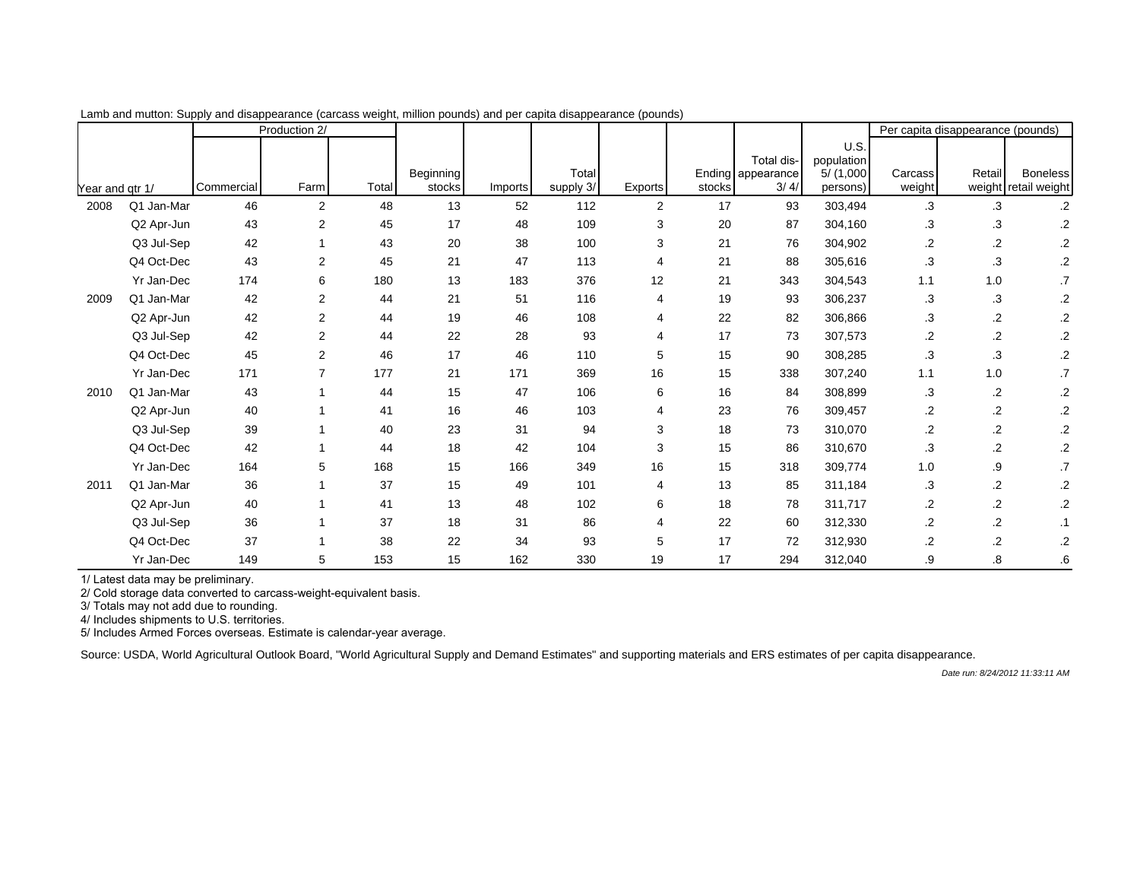|                 |            |            | Production 2/  |       |                     |         |                    |         |        |                                         |                                               |                   | Per capita disappearance (pounds) |                                         |
|-----------------|------------|------------|----------------|-------|---------------------|---------|--------------------|---------|--------|-----------------------------------------|-----------------------------------------------|-------------------|-----------------------------------|-----------------------------------------|
| Year and qtr 1/ |            | Commercial | Farm           | Total | Beginning<br>stocks | Imports | Total<br>supply 3/ | Exports | stocks | Total dis-<br>Ending appearance<br>3/4/ | U.S.<br>population<br>$5/$ (1,000<br>persons) | Carcass<br>weight | Retail                            | <b>Boneless</b><br>weight retail weight |
| 2008            | Q1 Jan-Mar | 46         | 2              | 48    | 13                  | 52      | 112                | 2       | 17     | 93                                      | 303,494                                       | $\cdot$ 3         | .3                                | .2                                      |
|                 | Q2 Apr-Jun | 43         | 2              | 45    | 17                  | 48      | 109                | 3       | 20     | 87                                      | 304,160                                       | .3                | .3                                | .2                                      |
|                 | Q3 Jul-Sep | 42         |                | 43    | 20                  | 38      | 100                | 3       | 21     | 76                                      | 304,902                                       | $\cdot$           | .2                                | $\overline{2}$                          |
|                 | Q4 Oct-Dec | 43         | $\overline{2}$ | 45    | 21                  | 47      | 113                | 4       | 21     | 88                                      | 305,616                                       | .3                | .3                                | $\overline{2}$                          |
|                 | Yr Jan-Dec | 174        | 6              | 180   | 13                  | 183     | 376                | 12      | 21     | 343                                     | 304,543                                       | 1.1               | 1.0                               | .7                                      |
| 2009            | Q1 Jan-Mar | 42         | 2              | 44    | 21                  | 51      | 116                | 4       | 19     | 93                                      | 306,237                                       | .3                | .3                                | .2                                      |
|                 | Q2 Apr-Jun | 42         | $\overline{2}$ | 44    | 19                  | 46      | 108                | 4       | 22     | 82                                      | 306,866                                       | $\cdot$ 3         | $\cdot$                           | $\overline{2}$                          |
|                 | Q3 Jul-Sep | 42         | 2              | 44    | 22                  | 28      | 93                 | 4       | 17     | 73                                      | 307,573                                       | $\cdot$           | .2                                | .2                                      |
|                 | Q4 Oct-Dec | 45         | 2              | 46    | 17                  | 46      | 110                | 5       | 15     | 90                                      | 308,285                                       | .3                | .3                                | .2                                      |
|                 | Yr Jan-Dec | 171        | 7              | 177   | 21                  | 171     | 369                | 16      | 15     | 338                                     | 307,240                                       | 1.1               | 1.0                               | .7                                      |
| 2010            | Q1 Jan-Mar | 43         |                | 44    | 15                  | 47      | 106                | 6       | 16     | 84                                      | 308,899                                       | .3                | .2                                | $\overline{2}$                          |
|                 | Q2 Apr-Jun | 40         |                | 41    | 16                  | 46      | 103                | 4       | 23     | 76                                      | 309,457                                       | $\cdot$           | .2                                | $\overline{2}$                          |
|                 | Q3 Jul-Sep | 39         |                | 40    | 23                  | 31      | 94                 | 3       | 18     | 73                                      | 310,070                                       | $\cdot$           | .2                                | .2                                      |
|                 | Q4 Oct-Dec | 42         |                | 44    | 18                  | 42      | 104                | 3       | 15     | 86                                      | 310,670                                       | .3                | .2                                | $\overline{2}$                          |
|                 | Yr Jan-Dec | 164        | 5              | 168   | 15                  | 166     | 349                | 16      | 15     | 318                                     | 309,774                                       | 1.0               | .9                                | .7                                      |
| 2011            | Q1 Jan-Mar | 36         |                | 37    | 15                  | 49      | 101                | 4       | 13     | 85                                      | 311,184                                       | $\cdot$ 3         | $\cdot$                           | .2                                      |
|                 | Q2 Apr-Jun | 40         |                | 41    | 13                  | 48      | 102                | 6       | 18     | 78                                      | 311,717                                       | .2                | $\overline{c}$                    | $\overline{c}$                          |
|                 | Q3 Jul-Sep | 36         |                | 37    | 18                  | 31      | 86                 | 4       | 22     | 60                                      | 312,330                                       | $\cdot$           | $\overline{c}$                    | .1                                      |
|                 | Q4 Oct-Dec | 37         |                | 38    | 22                  | 34      | 93                 | 5       | 17     | 72                                      | 312,930                                       | $\cdot$           | $\overline{2}$                    | $\overline{2}$                          |
|                 | Yr Jan-Dec | 149        | 5              | 153   | 15                  | 162     | 330                | 19      | 17     | 294                                     | 312,040                                       | 9.                | 8.                                | .6                                      |

Lamb and mutton: Supply and disappearance (carcass weight, million pounds) and per capita disappearance (pounds)

1/ Latest data may be preliminary.

2/ Cold storage data converted to carcass-weight-equivalent basis.

3/ Totals may not add due to rounding.

4/ Includes shipments to U.S. territories.

5/ Includes Armed Forces overseas. Estimate is calendar-year average.

Source: USDA, World Agricultural Outlook Board, "World Agricultural Supply and Demand Estimates" and supporting materials and ERS estimates of per capita disappearance.

Date run: 8/24/2012 11:33:11 AM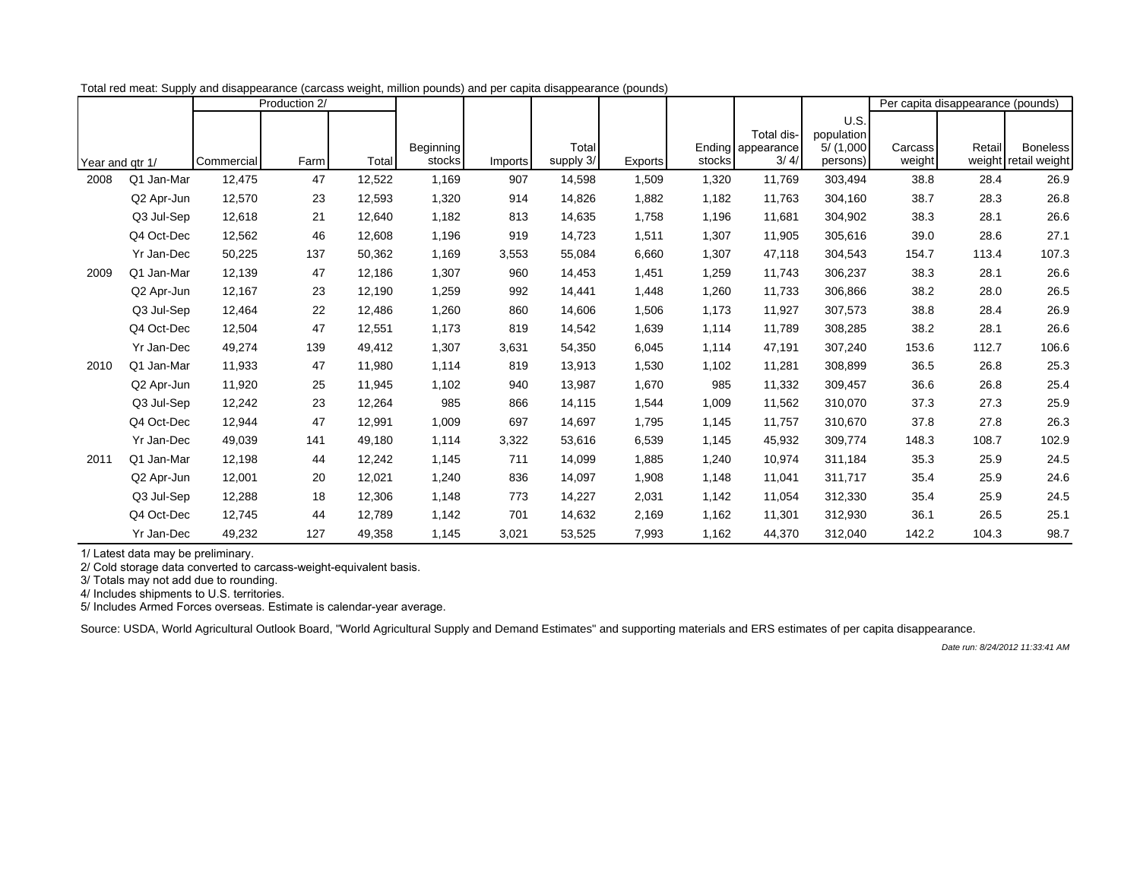|                 |            |            | Production 2/     |        |           |         |           |         |        |                                 |                                   |         | Per capita disappearance (pounds) |                      |
|-----------------|------------|------------|-------------------|--------|-----------|---------|-----------|---------|--------|---------------------------------|-----------------------------------|---------|-----------------------------------|----------------------|
|                 |            |            |                   |        | Beginning |         | Total     |         |        | Total dis-<br>Ending appearance | U.S.<br>population<br>$5/$ (1,000 | Carcass | Retail                            | Boneless             |
| Year and gtr 1/ |            | Commercial | Farm <sup>'</sup> | Total  | stocks    | Imports | supply 3/ | Exports | stocks | 3/4/                            | persons)                          | weight  |                                   | weight retail weight |
| 2008            | Q1 Jan-Mar | 12,475     | 47                | 12,522 | 1,169     | 907     | 14,598    | 1,509   | 1,320  | 11,769                          | 303,494                           | 38.8    | 28.4                              | 26.9                 |
|                 | Q2 Apr-Jun | 12,570     | 23                | 12,593 | 1,320     | 914     | 14,826    | 1,882   | 1,182  | 11,763                          | 304,160                           | 38.7    | 28.3                              | 26.8                 |
|                 | Q3 Jul-Sep | 12,618     | 21                | 12,640 | 1,182     | 813     | 14,635    | 1,758   | 1,196  | 11,681                          | 304,902                           | 38.3    | 28.1                              | 26.6                 |
|                 | Q4 Oct-Dec | 12,562     | 46                | 12,608 | 1,196     | 919     | 14,723    | 1,511   | 1,307  | 11,905                          | 305,616                           | 39.0    | 28.6                              | 27.1                 |
|                 | Yr Jan-Dec | 50,225     | 137               | 50,362 | 1,169     | 3,553   | 55,084    | 6,660   | 1,307  | 47,118                          | 304,543                           | 154.7   | 113.4                             | 107.3                |
| 2009            | Q1 Jan-Mar | 12,139     | 47                | 12,186 | 1,307     | 960     | 14,453    | 1,451   | 1,259  | 11,743                          | 306,237                           | 38.3    | 28.1                              | 26.6                 |
|                 | Q2 Apr-Jun | 12,167     | 23                | 12,190 | 1,259     | 992     | 14,441    | 1,448   | 1,260  | 11,733                          | 306,866                           | 38.2    | 28.0                              | 26.5                 |
|                 | Q3 Jul-Sep | 12,464     | 22                | 12,486 | 1,260     | 860     | 14,606    | 1,506   | 1,173  | 11,927                          | 307,573                           | 38.8    | 28.4                              | 26.9                 |
|                 | Q4 Oct-Dec | 12,504     | 47                | 12,551 | 1,173     | 819     | 14,542    | 1,639   | 1,114  | 11,789                          | 308,285                           | 38.2    | 28.1                              | 26.6                 |
|                 | Yr Jan-Dec | 49,274     | 139               | 49,412 | 1,307     | 3,631   | 54,350    | 6,045   | 1,114  | 47,191                          | 307,240                           | 153.6   | 112.7                             | 106.6                |
| 2010            | Q1 Jan-Mar | 11,933     | 47                | 11,980 | 1,114     | 819     | 13,913    | 1,530   | 1,102  | 11,281                          | 308,899                           | 36.5    | 26.8                              | 25.3                 |
|                 | Q2 Apr-Jun | 11,920     | 25                | 11,945 | 1,102     | 940     | 13,987    | 1,670   | 985    | 11,332                          | 309,457                           | 36.6    | 26.8                              | 25.4                 |
|                 | Q3 Jul-Sep | 12,242     | 23                | 12,264 | 985       | 866     | 14,115    | 1,544   | 1,009  | 11,562                          | 310,070                           | 37.3    | 27.3                              | 25.9                 |
|                 | Q4 Oct-Dec | 12,944     | 47                | 12,991 | 1,009     | 697     | 14,697    | 1,795   | 1,145  | 11,757                          | 310,670                           | 37.8    | 27.8                              | 26.3                 |
|                 | Yr Jan-Dec | 49,039     | 141               | 49,180 | 1,114     | 3,322   | 53,616    | 6,539   | 1,145  | 45,932                          | 309,774                           | 148.3   | 108.7                             | 102.9                |
| 2011            | Q1 Jan-Mar | 12,198     | 44                | 12,242 | 1,145     | 711     | 14,099    | 1,885   | 1,240  | 10,974                          | 311,184                           | 35.3    | 25.9                              | 24.5                 |
|                 | Q2 Apr-Jun | 12,001     | 20                | 12,021 | 1,240     | 836     | 14,097    | 1,908   | 1,148  | 11,041                          | 311,717                           | 35.4    | 25.9                              | 24.6                 |
|                 | Q3 Jul-Sep | 12,288     | 18                | 12,306 | 1,148     | 773     | 14,227    | 2,031   | 1,142  | 11,054                          | 312,330                           | 35.4    | 25.9                              | 24.5                 |
|                 | Q4 Oct-Dec | 12,745     | 44                | 12,789 | 1,142     | 701     | 14,632    | 2,169   | 1,162  | 11,301                          | 312,930                           | 36.1    | 26.5                              | 25.1                 |
|                 | Yr Jan-Dec | 49,232     | 127               | 49,358 | 1,145     | 3,021   | 53,525    | 7,993   | 1,162  | 44,370                          | 312,040                           | 142.2   | 104.3                             | 98.7                 |

Total red meat: Supply and disappearance (carcass weight, million pounds) and per capita disappearance (pounds)

1/ Latest data may be preliminary.

2/ Cold storage data converted to carcass-weight-equivalent basis.

3/ Totals may not add due to rounding.

4/ Includes shipments to U.S. territories.

5/ Includes Armed Forces overseas. Estimate is calendar-year average.

Source: USDA, World Agricultural Outlook Board, "World Agricultural Supply and Demand Estimates" and supporting materials and ERS estimates of per capita disappearance.

Date run: 8/24/2012 11:33:41 AM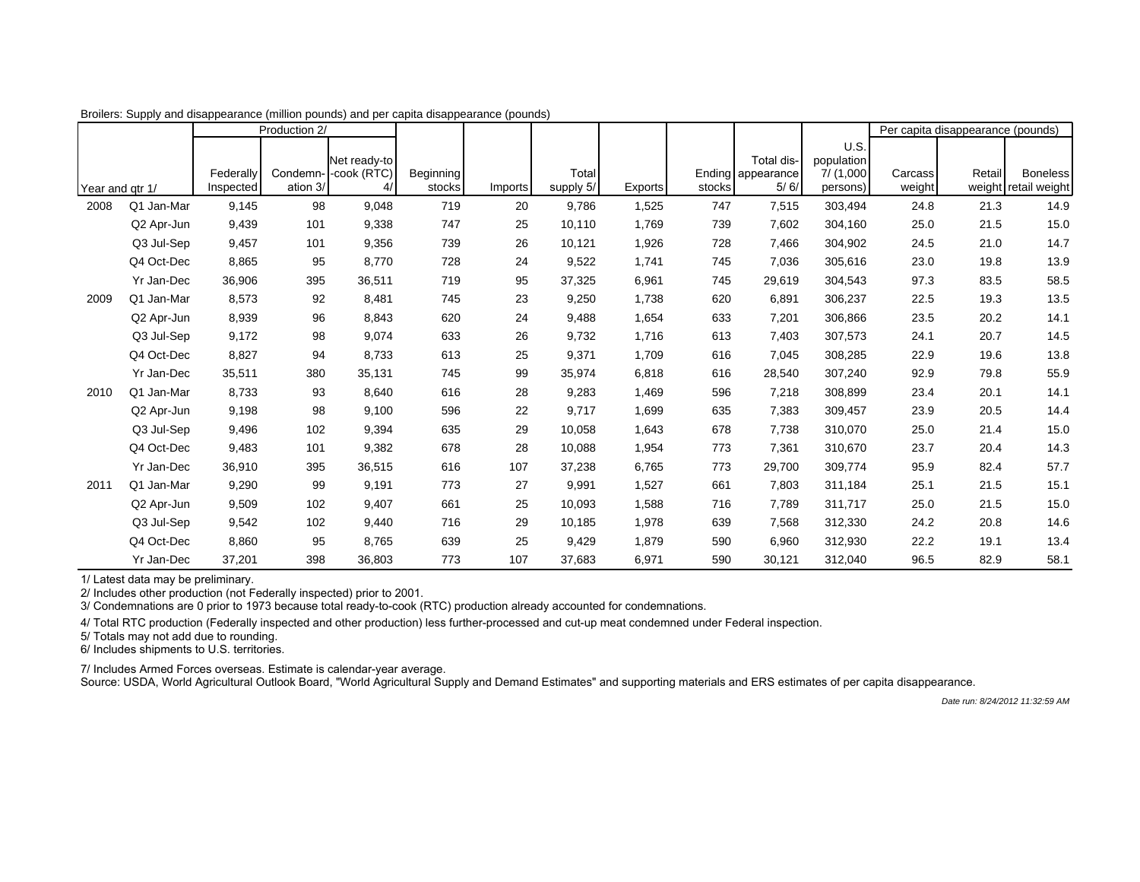|                 |            |                        | Production 2/ |                                            |                     |         |                    |         |        |                                         |                                               |                   | Per capita disappearance (pounds) |                                  |
|-----------------|------------|------------------------|---------------|--------------------------------------------|---------------------|---------|--------------------|---------|--------|-----------------------------------------|-----------------------------------------------|-------------------|-----------------------------------|----------------------------------|
| Year and qtr 1/ |            | Federally<br>Inspected | ation 3/      | Net ready-to<br>Condemn- -cook (RTC)<br>4/ | Beginning<br>stocks | Imports | Total<br>supply 5/ | Exports | stocks | Total dis-<br>Ending appearance<br>5/6/ | U.S.<br>population<br>$7/$ (1,000<br>persons) | Carcass<br>weight | Retail                            | Boneless<br>weight retail weight |
| 2008            | Q1 Jan-Mar | 9,145                  | 98            | 9,048                                      | 719                 | 20      | 9,786              | 1,525   | 747    | 7,515                                   | 303,494                                       | 24.8              | 21.3                              | 14.9                             |
|                 | Q2 Apr-Jun | 9,439                  | 101           | 9,338                                      | 747                 | 25      | 10,110             | 1,769   | 739    | 7,602                                   | 304,160                                       | 25.0              | 21.5                              | 15.0                             |
|                 | Q3 Jul-Sep | 9,457                  | 101           | 9,356                                      | 739                 | 26      | 10,121             | 1,926   | 728    | 7,466                                   | 304,902                                       | 24.5              | 21.0                              | 14.7                             |
|                 | Q4 Oct-Dec | 8,865                  | 95            | 8,770                                      | 728                 | 24      | 9,522              | 1,741   | 745    | 7,036                                   | 305,616                                       | 23.0              | 19.8                              | 13.9                             |
|                 | Yr Jan-Dec | 36,906                 | 395           | 36,511                                     | 719                 | 95      | 37,325             | 6,961   | 745    | 29,619                                  | 304,543                                       | 97.3              | 83.5                              | 58.5                             |
| 2009            | Q1 Jan-Mar | 8,573                  | 92            | 8,481                                      | 745                 | 23      | 9,250              | 1,738   | 620    | 6,891                                   | 306,237                                       | 22.5              | 19.3                              | 13.5                             |
|                 | Q2 Apr-Jun | 8,939                  | 96            | 8,843                                      | 620                 | 24      | 9,488              | 1,654   | 633    | 7,201                                   | 306,866                                       | 23.5              | 20.2                              | 14.1                             |
|                 | Q3 Jul-Sep | 9,172                  | 98            | 9,074                                      | 633                 | 26      | 9,732              | 1,716   | 613    | 7,403                                   | 307,573                                       | 24.1              | 20.7                              | 14.5                             |
|                 | Q4 Oct-Dec | 8,827                  | 94            | 8,733                                      | 613                 | 25      | 9,371              | 1,709   | 616    | 7,045                                   | 308,285                                       | 22.9              | 19.6                              | 13.8                             |
|                 | Yr Jan-Dec | 35,511                 | 380           | 35,131                                     | 745                 | 99      | 35,974             | 6,818   | 616    | 28,540                                  | 307,240                                       | 92.9              | 79.8                              | 55.9                             |
| 2010            | Q1 Jan-Mar | 8,733                  | 93            | 8,640                                      | 616                 | 28      | 9,283              | 1,469   | 596    | 7,218                                   | 308,899                                       | 23.4              | 20.1                              | 14.1                             |
|                 | Q2 Apr-Jun | 9,198                  | 98            | 9,100                                      | 596                 | 22      | 9,717              | 1,699   | 635    | 7,383                                   | 309,457                                       | 23.9              | 20.5                              | 14.4                             |
|                 | Q3 Jul-Sep | 9,496                  | 102           | 9,394                                      | 635                 | 29      | 10,058             | 1,643   | 678    | 7,738                                   | 310,070                                       | 25.0              | 21.4                              | 15.0                             |
|                 | Q4 Oct-Dec | 9,483                  | 101           | 9,382                                      | 678                 | 28      | 10,088             | 1,954   | 773    | 7,361                                   | 310,670                                       | 23.7              | 20.4                              | 14.3                             |
|                 | Yr Jan-Dec | 36,910                 | 395           | 36,515                                     | 616                 | 107     | 37,238             | 6,765   | 773    | 29,700                                  | 309,774                                       | 95.9              | 82.4                              | 57.7                             |
| 2011            | Q1 Jan-Mar | 9,290                  | 99            | 9,191                                      | 773                 | 27      | 9,991              | 1,527   | 661    | 7,803                                   | 311,184                                       | 25.1              | 21.5                              | 15.1                             |
|                 | Q2 Apr-Jun | 9,509                  | 102           | 9,407                                      | 661                 | 25      | 10,093             | 1,588   | 716    | 7,789                                   | 311,717                                       | 25.0              | 21.5                              | 15.0                             |
|                 | Q3 Jul-Sep | 9,542                  | 102           | 9,440                                      | 716                 | 29      | 10,185             | 1,978   | 639    | 7,568                                   | 312,330                                       | 24.2              | 20.8                              | 14.6                             |
|                 | Q4 Oct-Dec | 8,860                  | 95            | 8,765                                      | 639                 | 25      | 9,429              | 1,879   | 590    | 6,960                                   | 312,930                                       | 22.2              | 19.1                              | 13.4                             |
|                 | Yr Jan-Dec | 37,201                 | 398           | 36,803                                     | 773                 | 107     | 37,683             | 6,971   | 590    | 30,121                                  | 312,040                                       | 96.5              | 82.9                              | 58.1                             |

Broilers: Supply and disappearance (million pounds) and per capita disappearance (pounds)

1/ Latest data may be preliminary.

2/ Includes other production (not Federally inspected) prior to 2001.

3/ Condemnations are 0 prior to 1973 because total ready-to-cook (RTC) production already accounted for condemnations.

4/ Total RTC production (Federally inspected and other production) less further-processed and cut-up meat condemned under Federal inspection.

5/ Totals may not add due to rounding.

6/ Includes shipments to U.S. territories.

7/ Includes Armed Forces overseas. Estimate is calendar-year average.

Source: USDA, World Agricultural Outlook Board, "World Agricultural Supply and Demand Estimates" and supporting materials and ERS estimates of per capita disappearance.

Date run: 8/24/2012 11:32:59 AM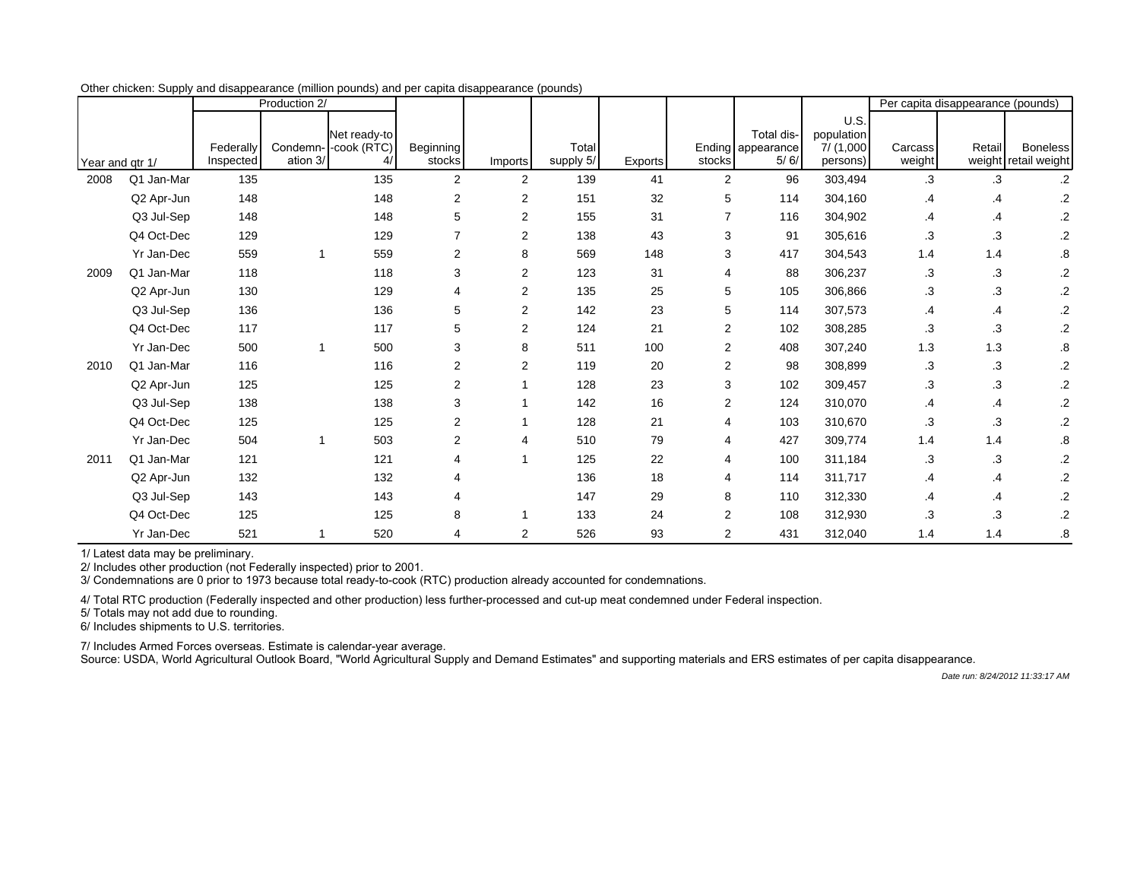|                 |            |                        | Production 2/ |                                            |                     |                |                    |                |                |                                         |                                               |                   | Per capita disappearance (pounds) |                                         |
|-----------------|------------|------------------------|---------------|--------------------------------------------|---------------------|----------------|--------------------|----------------|----------------|-----------------------------------------|-----------------------------------------------|-------------------|-----------------------------------|-----------------------------------------|
| Year and qtr 1/ |            | Federally<br>Inspected | ation 3/      | Net ready-to<br>Condemn- -cook (RTC)<br>4/ | Beginning<br>stocks | Imports        | Total<br>supply 5/ | <b>Exports</b> | stocks         | Total dis-<br>Ending appearance<br>5/6/ | U.S.<br>population<br>$7/$ (1,000<br>persons) | Carcass<br>weight | Retail                            | <b>Boneless</b><br>weight retail weight |
| 2008            | Q1 Jan-Mar | 135                    |               | 135                                        | $\overline{2}$      | $\overline{2}$ | 139                | 41             | $\overline{2}$ | 96                                      | 303,494                                       | .3                | .3                                | .2                                      |
|                 | Q2 Apr-Jun | 148                    |               | 148                                        | 2                   | $\overline{2}$ | 151                | 32             | 5              | 114                                     | 304,160                                       | .4                | .4                                | $\overline{2}$                          |
|                 | Q3 Jul-Sep | 148                    |               | 148                                        | 5                   | 2              | 155                | 31             |                | 116                                     | 304,902                                       | $\cdot$           | .4                                | .2                                      |
|                 | Q4 Oct-Dec | 129                    |               | 129                                        | 7                   | $\overline{2}$ | 138                | 43             | 3              | 91                                      | 305,616                                       | .3                | .3                                | .2                                      |
|                 | Yr Jan-Dec | 559                    | 1             | 559                                        | 2                   | 8              | 569                | 148            | 3              | 417                                     | 304,543                                       | 1.4               | 1.4                               | .8                                      |
| 2009            | Q1 Jan-Mar | 118                    |               | 118                                        | 3                   | $\overline{2}$ | 123                | 31             | 4              | 88                                      | 306,237                                       | З.                | .3                                | $\overline{c}$                          |
|                 | Q2 Apr-Jun | 130                    |               | 129                                        | 4                   | $\overline{2}$ | 135                | 25             | 5              | 105                                     | 306,866                                       | З.                | .3                                | .2                                      |
|                 | Q3 Jul-Sep | 136                    |               | 136                                        | 5                   | $\overline{2}$ | 142                | 23             | 5              | 114                                     | 307,573                                       | $\cdot$           | .4                                | .2                                      |
|                 | Q4 Oct-Dec | 117                    |               | 117                                        | 5                   | $\overline{2}$ | 124                | 21             | $\overline{2}$ | 102                                     | 308,285                                       | .3                | .3                                | .2                                      |
|                 | Yr Jan-Dec | 500                    | 1             | 500                                        | 3                   | 8              | 511                | 100            | $\overline{2}$ | 408                                     | 307,240                                       | 1.3               | 1.3                               | .8                                      |
| 2010            | Q1 Jan-Mar | 116                    |               | 116                                        | 2                   | $\overline{2}$ | 119                | 20             | 2              | 98                                      | 308,899                                       | З.                | .3                                | .2                                      |
|                 | Q2 Apr-Jun | 125                    |               | 125                                        | 2                   |                | 128                | 23             | 3              | 102                                     | 309,457                                       | .3                | .3                                | .2                                      |
|                 | Q3 Jul-Sep | 138                    |               | 138                                        | 3                   |                | 142                | 16             | 2              | 124                                     | 310,070                                       | $\cdot$           | .4                                | .2                                      |
|                 | Q4 Oct-Dec | 125                    |               | 125                                        | 2                   |                | 128                | 21             | 4              | 103                                     | 310,670                                       | .3                | .3                                | .2                                      |
|                 | Yr Jan-Dec | 504                    |               | 503                                        | 2                   |                | 510                | 79             | 4              | 427                                     | 309,774                                       | 1.4               | 1.4                               | .8                                      |
| 2011            | Q1 Jan-Mar | 121                    |               | 121                                        | 4                   | -1             | 125                | 22             | 4              | 100                                     | 311,184                                       | $\cdot$ 3         | .3                                | .2                                      |
|                 | Q2 Apr-Jun | 132                    |               | 132                                        |                     |                | 136                | 18             | 4              | 114                                     | 311,717                                       | $\cdot$           | .4                                | .2                                      |
|                 | Q3 Jul-Sep | 143                    |               | 143                                        |                     |                | 147                | 29             | 8              | 110                                     | 312,330                                       | $\cdot$           | .4                                | .2                                      |
|                 | Q4 Oct-Dec | 125                    |               | 125                                        | 8                   |                | 133                | 24             | 2              | 108                                     | 312,930                                       | .3                | .3                                | .2                                      |
|                 | Yr Jan-Dec | 521                    |               | 520                                        | 4                   | $\overline{2}$ | 526                | 93             | 2              | 431                                     | 312,040                                       | 1.4               | 1.4                               | 8.                                      |

Other chicken: Supply and disappearance (million pounds) and per capita disappearance (pounds)

1/ Latest data may be preliminary.

2/ Includes other production (not Federally inspected) prior to 2001.

3/ Condemnations are 0 prior to 1973 because total ready-to-cook (RTC) production already accounted for condemnations.

4/ Total RTC production (Federally inspected and other production) less further-processed and cut-up meat condemned under Federal inspection.

5/ Totals may not add due to rounding.

6/ Includes shipments to U.S. territories.

7/ Includes Armed Forces overseas. Estimate is calendar-year average.

Source: USDA, World Agricultural Outlook Board, "World Agricultural Supply and Demand Estimates" and supporting materials and ERS estimates of per capita disappearance.

Date run: 8/24/2012 11:33:17 AM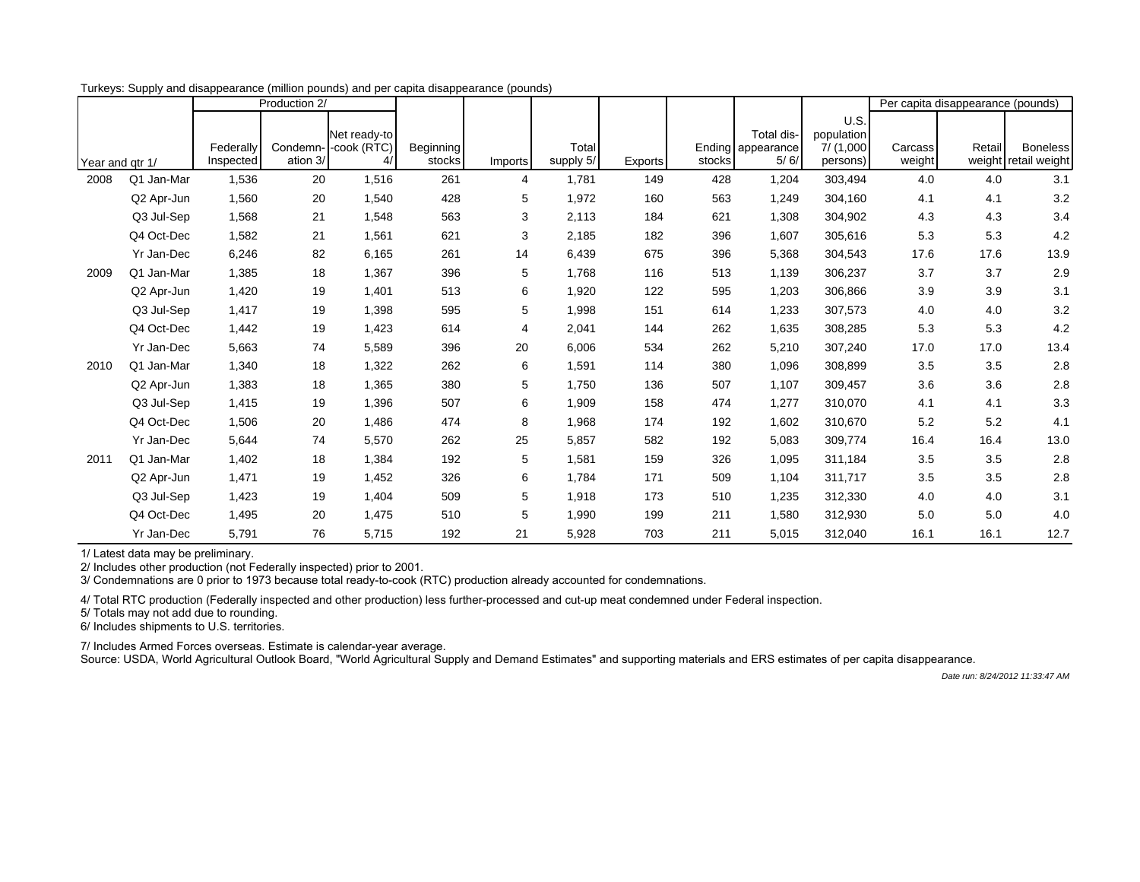|                 |            |                        | Production 2/ |                                            |                     |                |                    |                |        |                                         |                                               |                   | Per capita disappearance (pounds) |                                  |
|-----------------|------------|------------------------|---------------|--------------------------------------------|---------------------|----------------|--------------------|----------------|--------|-----------------------------------------|-----------------------------------------------|-------------------|-----------------------------------|----------------------------------|
| Year and gtr 1/ |            | Federally<br>Inspected | ation 3/      | Net ready-to<br>Condemn-1-cook (RTC)<br>4/ | Beginning<br>stocks | Imports        | Total<br>supply 5/ | <b>Exports</b> | stocks | Total dis-<br>Ending appearance<br>5/6/ | U.S.<br>population<br>$7/$ (1,000<br>persons) | Carcass<br>weight | Retail                            | Boneless<br>weight retail weight |
| 2008            | Q1 Jan-Mar | 1,536                  | 20            | 1,516                                      | 261                 | 4              | 1,781              | 149            | 428    | 1,204                                   | 303,494                                       | 4.0               | 4.0                               | 3.1                              |
|                 | Q2 Apr-Jun | 1,560                  | 20            | 1,540                                      | 428                 | 5              | 1,972              | 160            | 563    | 1,249                                   | 304,160                                       | 4.1               | 4.1                               | 3.2                              |
|                 | Q3 Jul-Sep | 1,568                  | 21            | 1,548                                      | 563                 | 3              | 2,113              | 184            | 621    | 1,308                                   | 304,902                                       | 4.3               | 4.3                               | 3.4                              |
|                 | Q4 Oct-Dec | 1,582                  | 21            | 1,561                                      | 621                 | 3              | 2,185              | 182            | 396    | 1,607                                   | 305,616                                       | 5.3               | 5.3                               | 4.2                              |
|                 | Yr Jan-Dec | 6,246                  | 82            | 6,165                                      | 261                 | 14             | 6,439              | 675            | 396    | 5,368                                   | 304,543                                       | 17.6              | 17.6                              | 13.9                             |
| 2009            | Q1 Jan-Mar | 1,385                  | 18            | 1,367                                      | 396                 | 5              | 1,768              | 116            | 513    | 1,139                                   | 306,237                                       | 3.7               | 3.7                               | 2.9                              |
|                 | Q2 Apr-Jun | 1,420                  | 19            | 1,401                                      | 513                 | 6              | 1,920              | 122            | 595    | 1,203                                   | 306,866                                       | 3.9               | 3.9                               | 3.1                              |
|                 | Q3 Jul-Sep | 1,417                  | 19            | 1,398                                      | 595                 | 5              | 1,998              | 151            | 614    | 1,233                                   | 307,573                                       | 4.0               | 4.0                               | 3.2                              |
|                 | Q4 Oct-Dec | 1,442                  | 19            | 1,423                                      | 614                 | $\overline{4}$ | 2,041              | 144            | 262    | 1,635                                   | 308,285                                       | 5.3               | 5.3                               | 4.2                              |
|                 | Yr Jan-Dec | 5,663                  | 74            | 5,589                                      | 396                 | 20             | 6,006              | 534            | 262    | 5,210                                   | 307,240                                       | 17.0              | 17.0                              | 13.4                             |
| 2010            | Q1 Jan-Mar | 1,340                  | 18            | 1,322                                      | 262                 | 6              | 1,591              | 114            | 380    | 1,096                                   | 308,899                                       | 3.5               | 3.5                               | 2.8                              |
|                 | Q2 Apr-Jun | 1,383                  | 18            | 1,365                                      | 380                 | 5              | 1,750              | 136            | 507    | 1,107                                   | 309,457                                       | 3.6               | 3.6                               | 2.8                              |
|                 | Q3 Jul-Sep | 1,415                  | 19            | 1,396                                      | 507                 | 6              | 1,909              | 158            | 474    | 1,277                                   | 310,070                                       | 4.1               | 4.1                               | 3.3                              |
|                 | Q4 Oct-Dec | 1,506                  | 20            | 1,486                                      | 474                 | 8              | 1,968              | 174            | 192    | 1,602                                   | 310,670                                       | 5.2               | 5.2                               | 4.1                              |
|                 | Yr Jan-Dec | 5,644                  | 74            | 5,570                                      | 262                 | 25             | 5,857              | 582            | 192    | 5,083                                   | 309,774                                       | 16.4              | 16.4                              | 13.0                             |
| 2011            | Q1 Jan-Mar | 1,402                  | 18            | 1,384                                      | 192                 | 5              | 1,581              | 159            | 326    | 1,095                                   | 311,184                                       | 3.5               | 3.5                               | 2.8                              |
|                 | Q2 Apr-Jun | 1,471                  | 19            | 1,452                                      | 326                 | 6              | 1,784              | 171            | 509    | 1,104                                   | 311,717                                       | 3.5               | 3.5                               | 2.8                              |
|                 | Q3 Jul-Sep | 1,423                  | 19            | 1,404                                      | 509                 | 5              | 1,918              | 173            | 510    | 1,235                                   | 312,330                                       | 4.0               | 4.0                               | 3.1                              |
|                 | Q4 Oct-Dec | 1,495                  | 20            | 1,475                                      | 510                 | 5              | 1,990              | 199            | 211    | 1,580                                   | 312,930                                       | 5.0               | 5.0                               | 4.0                              |
|                 | Yr Jan-Dec | 5,791                  | 76            | 5,715                                      | 192                 | 21             | 5,928              | 703            | 211    | 5,015                                   | 312,040                                       | 16.1              | 16.1                              | 12.7                             |

Turkeys: Supply and disappearance (million pounds) and per capita disappearance (pounds)

1/ Latest data may be preliminary.

2/ Includes other production (not Federally inspected) prior to 2001.

3/ Condemnations are 0 prior to 1973 because total ready-to-cook (RTC) production already accounted for condemnations.

4/ Total RTC production (Federally inspected and other production) less further-processed and cut-up meat condemned under Federal inspection.

5/ Totals may not add due to rounding.

6/ Includes shipments to U.S. territories.

7/ Includes Armed Forces overseas. Estimate is calendar-year average.

Source: USDA, World Agricultural Outlook Board, "World Agricultural Supply and Demand Estimates" and supporting materials and ERS estimates of per capita disappearance.

Date run: 8/24/2012 11:33:47 AM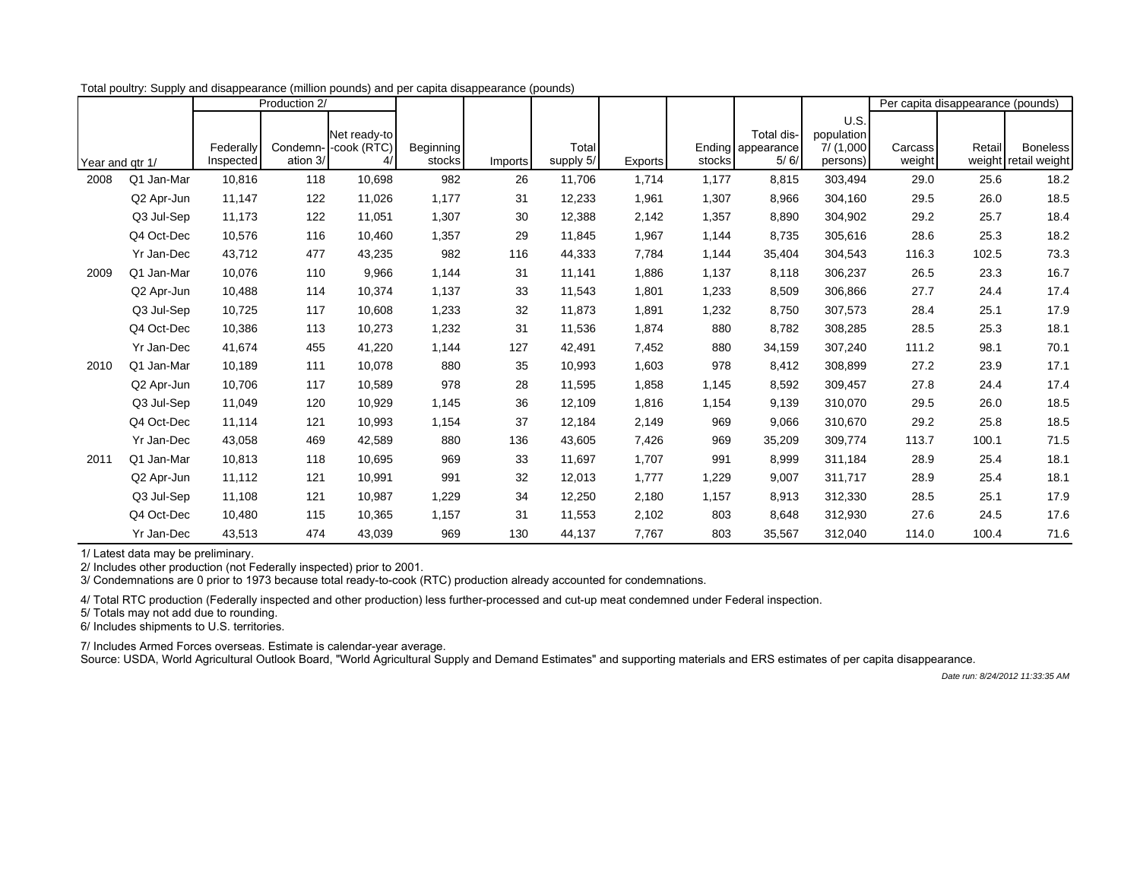|                 |            |                        | Production 2/ |                                            |                     |         |                    |         |        |                                         |                                               |                   | Per capita disappearance (pounds) |                                         |
|-----------------|------------|------------------------|---------------|--------------------------------------------|---------------------|---------|--------------------|---------|--------|-----------------------------------------|-----------------------------------------------|-------------------|-----------------------------------|-----------------------------------------|
| Year and qtr 1/ |            | Federally<br>Inspected | ation 3/      | Net ready-to<br>Condemn-1-cook (RTC)<br>4/ | Beginning<br>stocks | Imports | Total<br>supply 5/ | Exports | stocks | Total dis-<br>Ending appearance<br>5/6/ | U.S.<br>population<br>$7/$ (1,000<br>persons) | Carcass<br>weight | Retail                            | <b>Boneless</b><br>weight retail weight |
| 2008            | Q1 Jan-Mar | 10,816                 | 118           | 10,698                                     | 982                 | 26      | 11,706             | 1,714   | 1,177  | 8,815                                   | 303,494                                       | 29.0              | 25.6                              | 18.2                                    |
|                 | Q2 Apr-Jun | 11,147                 | 122           | 11,026                                     | 1,177               | 31      | 12,233             | 1,961   | 1,307  | 8,966                                   | 304,160                                       | 29.5              | 26.0                              | 18.5                                    |
|                 | Q3 Jul-Sep | 11,173                 | 122           | 11,051                                     | 1,307               | 30      | 12,388             | 2,142   | 1,357  | 8,890                                   | 304,902                                       | 29.2              | 25.7                              | 18.4                                    |
|                 | Q4 Oct-Dec | 10,576                 | 116           | 10,460                                     | 1,357               | 29      | 11,845             | 1,967   | 1,144  | 8,735                                   | 305,616                                       | 28.6              | 25.3                              | 18.2                                    |
|                 | Yr Jan-Dec | 43,712                 | 477           | 43,235                                     | 982                 | 116     | 44,333             | 7,784   | 1,144  | 35,404                                  | 304,543                                       | 116.3             | 102.5                             | 73.3                                    |
| 2009            | Q1 Jan-Mar | 10,076                 | 110           | 9,966                                      | 1,144               | 31      | 11,141             | 1,886   | 1,137  | 8,118                                   | 306,237                                       | 26.5              | 23.3                              | 16.7                                    |
|                 | Q2 Apr-Jun | 10,488                 | 114           | 10,374                                     | 1,137               | 33      | 11,543             | 1,801   | 1,233  | 8,509                                   | 306,866                                       | 27.7              | 24.4                              | 17.4                                    |
|                 | Q3 Jul-Sep | 10,725                 | 117           | 10,608                                     | 1,233               | 32      | 11,873             | 1,891   | 1,232  | 8,750                                   | 307,573                                       | 28.4              | 25.1                              | 17.9                                    |
|                 | Q4 Oct-Dec | 10,386                 | 113           | 10,273                                     | 1,232               | 31      | 11,536             | 1,874   | 880    | 8,782                                   | 308,285                                       | 28.5              | 25.3                              | 18.1                                    |
|                 | Yr Jan-Dec | 41,674                 | 455           | 41,220                                     | 1,144               | 127     | 42,491             | 7,452   | 880    | 34,159                                  | 307,240                                       | 111.2             | 98.1                              | 70.1                                    |
| 2010            | Q1 Jan-Mar | 10,189                 | 111           | 10,078                                     | 880                 | 35      | 10,993             | 1,603   | 978    | 8,412                                   | 308,899                                       | 27.2              | 23.9                              | 17.1                                    |
|                 | Q2 Apr-Jun | 10,706                 | 117           | 10,589                                     | 978                 | 28      | 11,595             | 1,858   | 1,145  | 8,592                                   | 309,457                                       | 27.8              | 24.4                              | 17.4                                    |
|                 | Q3 Jul-Sep | 11,049                 | 120           | 10,929                                     | 1,145               | 36      | 12,109             | 1,816   | 1,154  | 9,139                                   | 310,070                                       | 29.5              | 26.0                              | 18.5                                    |
|                 | Q4 Oct-Dec | 11,114                 | 121           | 10,993                                     | 1,154               | 37      | 12,184             | 2,149   | 969    | 9,066                                   | 310,670                                       | 29.2              | 25.8                              | 18.5                                    |
|                 | Yr Jan-Dec | 43,058                 | 469           | 42,589                                     | 880                 | 136     | 43,605             | 7,426   | 969    | 35,209                                  | 309,774                                       | 113.7             | 100.1                             | 71.5                                    |
| 2011            | Q1 Jan-Mar | 10,813                 | 118           | 10,695                                     | 969                 | 33      | 11,697             | 1,707   | 991    | 8,999                                   | 311,184                                       | 28.9              | 25.4                              | 18.1                                    |
|                 | Q2 Apr-Jun | 11,112                 | 121           | 10,991                                     | 991                 | 32      | 12,013             | 1,777   | 1,229  | 9,007                                   | 311,717                                       | 28.9              | 25.4                              | 18.1                                    |
|                 | Q3 Jul-Sep | 11,108                 | 121           | 10,987                                     | 1,229               | 34      | 12,250             | 2,180   | 1,157  | 8,913                                   | 312,330                                       | 28.5              | 25.1                              | 17.9                                    |
|                 | Q4 Oct-Dec | 10,480                 | 115           | 10,365                                     | 1,157               | 31      | 11,553             | 2,102   | 803    | 8,648                                   | 312,930                                       | 27.6              | 24.5                              | 17.6                                    |
|                 | Yr Jan-Dec | 43,513                 | 474           | 43,039                                     | 969                 | 130     | 44,137             | 7,767   | 803    | 35,567                                  | 312,040                                       | 114.0             | 100.4                             | 71.6                                    |

Total poultry: Supply and disappearance (million pounds) and per capita disappearance (pounds)

1/ Latest data may be preliminary.

2/ Includes other production (not Federally inspected) prior to 2001.

3/ Condemnations are 0 prior to 1973 because total ready-to-cook (RTC) production already accounted for condemnations.

4/ Total RTC production (Federally inspected and other production) less further-processed and cut-up meat condemned under Federal inspection.

5/ Totals may not add due to rounding.

6/ Includes shipments to U.S. territories.

7/ Includes Armed Forces overseas. Estimate is calendar-year average.

Source: USDA, World Agricultural Outlook Board, "World Agricultural Supply and Demand Estimates" and supporting materials and ERS estimates of per capita disappearance.

Date run: 8/24/2012 11:33:35 AM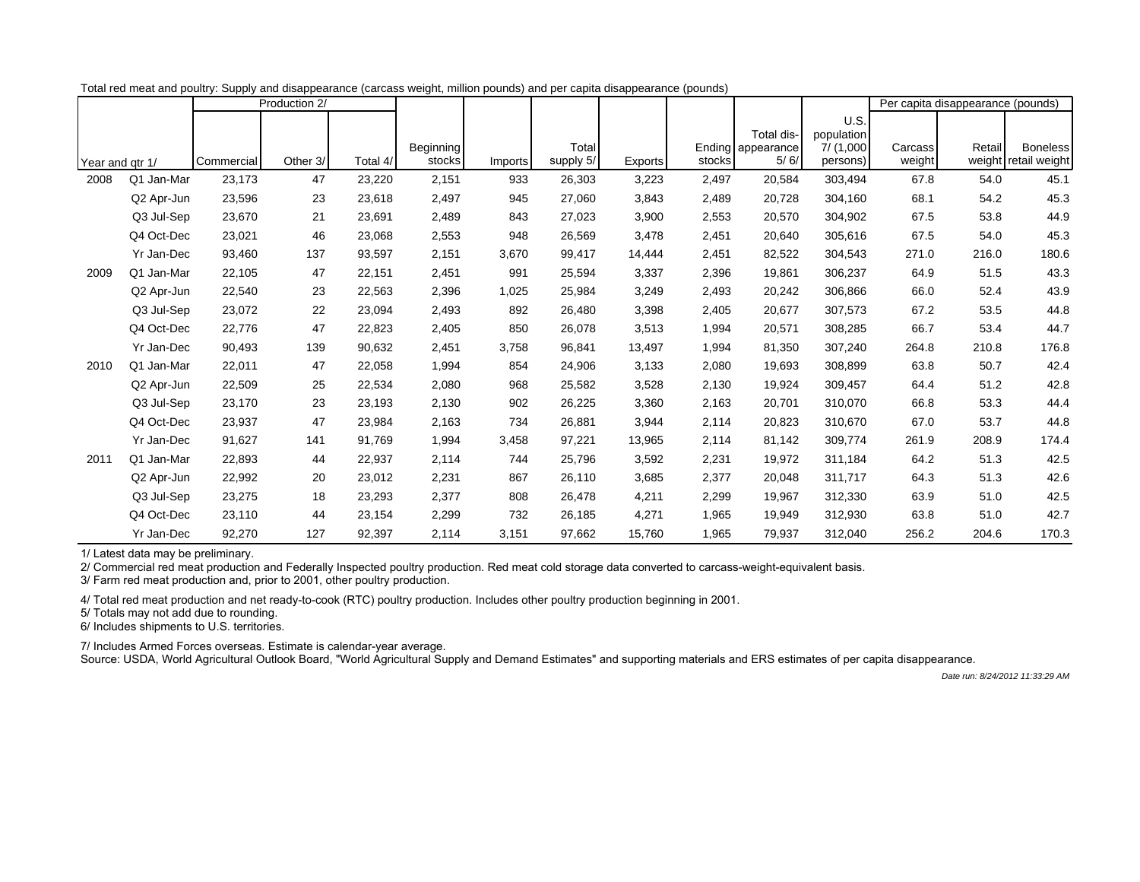|                 |            |            | Production 2/ |          |                     |         |                    |         |        |                                         |                                               |                   | Per capita disappearance (pounds) |                                  |
|-----------------|------------|------------|---------------|----------|---------------------|---------|--------------------|---------|--------|-----------------------------------------|-----------------------------------------------|-------------------|-----------------------------------|----------------------------------|
| Year and gtr 1/ |            | Commercial | Other 3/      | Total 4/ | Beginning<br>stocks | Imports | Total<br>supply 5/ | Exports | stocks | Total dis-<br>Ending appearance<br>5/6/ | U.S.<br>population<br>$7/$ (1,000<br>persons) | Carcass<br>weight | Retail                            | Boneless<br>weight retail weight |
| 2008            | Q1 Jan-Mar | 23,173     | 47            | 23,220   | 2,151               | 933     | 26,303             | 3,223   | 2,497  | 20,584                                  | 303,494                                       | 67.8              | 54.0                              | 45.1                             |
|                 | Q2 Apr-Jun | 23,596     | 23            | 23,618   | 2,497               | 945     | 27,060             | 3,843   | 2,489  | 20,728                                  | 304,160                                       | 68.1              | 54.2                              | 45.3                             |
|                 | Q3 Jul-Sep | 23,670     | 21            | 23,691   | 2,489               | 843     | 27,023             | 3,900   | 2,553  | 20,570                                  | 304,902                                       | 67.5              | 53.8                              | 44.9                             |
|                 | Q4 Oct-Dec |            |               |          |                     |         |                    |         |        |                                         |                                               |                   |                                   |                                  |
|                 |            | 23,021     | 46            | 23,068   | 2,553               | 948     | 26,569             | 3,478   | 2,451  | 20,640                                  | 305,616                                       | 67.5              | 54.0                              | 45.3                             |
|                 | Yr Jan-Dec | 93,460     | 137           | 93,597   | 2,151               | 3,670   | 99,417             | 14,444  | 2,451  | 82,522                                  | 304,543                                       | 271.0             | 216.0                             | 180.6                            |
| 2009            | Q1 Jan-Mar | 22,105     | 47            | 22,151   | 2,451               | 991     | 25,594             | 3,337   | 2,396  | 19,861                                  | 306,237                                       | 64.9              | 51.5                              | 43.3                             |
|                 | Q2 Apr-Jun | 22,540     | 23            | 22,563   | 2,396               | 1,025   | 25,984             | 3,249   | 2,493  | 20,242                                  | 306,866                                       | 66.0              | 52.4                              | 43.9                             |
|                 | Q3 Jul-Sep | 23,072     | 22            | 23,094   | 2,493               | 892     | 26,480             | 3,398   | 2,405  | 20,677                                  | 307,573                                       | 67.2              | 53.5                              | 44.8                             |
|                 | Q4 Oct-Dec | 22,776     | 47            | 22,823   | 2,405               | 850     | 26,078             | 3,513   | 1,994  | 20,571                                  | 308,285                                       | 66.7              | 53.4                              | 44.7                             |
|                 | Yr Jan-Dec | 90,493     | 139           | 90,632   | 2,451               | 3,758   | 96,841             | 13,497  | 1,994  | 81,350                                  | 307,240                                       | 264.8             | 210.8                             | 176.8                            |
| 2010            | Q1 Jan-Mar | 22,011     | 47            | 22,058   | 1,994               | 854     | 24,906             | 3,133   | 2,080  | 19,693                                  | 308,899                                       | 63.8              | 50.7                              | 42.4                             |
|                 | Q2 Apr-Jun | 22,509     | 25            | 22,534   | 2,080               | 968     | 25,582             | 3,528   | 2,130  | 19,924                                  | 309,457                                       | 64.4              | 51.2                              | 42.8                             |
|                 | Q3 Jul-Sep | 23,170     | 23            | 23,193   | 2,130               | 902     | 26,225             | 3,360   | 2,163  | 20,701                                  | 310,070                                       | 66.8              | 53.3                              | 44.4                             |
|                 | Q4 Oct-Dec | 23,937     | 47            | 23,984   | 2,163               | 734     | 26,881             | 3,944   | 2,114  | 20,823                                  | 310,670                                       | 67.0              | 53.7                              | 44.8                             |
|                 | Yr Jan-Dec | 91,627     | 141           | 91,769   | 1,994               | 3,458   | 97,221             | 13,965  | 2,114  | 81,142                                  | 309,774                                       | 261.9             | 208.9                             | 174.4                            |
| 2011            | Q1 Jan-Mar | 22,893     | 44            | 22,937   | 2,114               | 744     | 25,796             | 3,592   | 2,231  | 19,972                                  | 311,184                                       | 64.2              | 51.3                              | 42.5                             |
|                 | Q2 Apr-Jun | 22,992     | 20            | 23,012   | 2,231               | 867     | 26,110             | 3,685   | 2,377  | 20,048                                  | 311,717                                       | 64.3              | 51.3                              | 42.6                             |
|                 | Q3 Jul-Sep | 23,275     | 18            | 23,293   | 2,377               | 808     | 26,478             | 4,211   | 2,299  | 19,967                                  | 312,330                                       | 63.9              | 51.0                              | 42.5                             |
|                 | Q4 Oct-Dec | 23,110     | 44            | 23,154   | 2,299               | 732     | 26,185             | 4,271   | 1,965  | 19,949                                  | 312,930                                       | 63.8              | 51.0                              | 42.7                             |
|                 | Yr Jan-Dec | 92,270     | 127           | 92,397   | 2,114               | 3,151   | 97,662             | 15,760  | 1,965  | 79,937                                  | 312,040                                       | 256.2             | 204.6                             | 170.3                            |

Total red meat and poultry: Supply and disappearance (carcass weight, million pounds) and per capita disappearance (pounds)

1/ Latest data may be preliminary.

2/ Commercial red meat production and Federally Inspected poultry production. Red meat cold storage data converted to carcass-weight-equivalent basis.

3/ Farm red meat production and, prior to 2001, other poultry production.

4/ Total red meat production and net ready-to-cook (RTC) poultry production. Includes other poultry production beginning in 2001.

5/ Totals may not add due to rounding.

6/ Includes shipments to U.S. territories.

7/ Includes Armed Forces overseas. Estimate is calendar-year average.

8. A moldace Armed Trolee overseas. Estimate is calendar year average.<br>Source: USDA, World Agricultural Outlook Board, "World Agricultural Supply and Demand Estimates" and supporting materials and ERS estimates of per capi

Date run: 8/24/2012 11:33:29 AM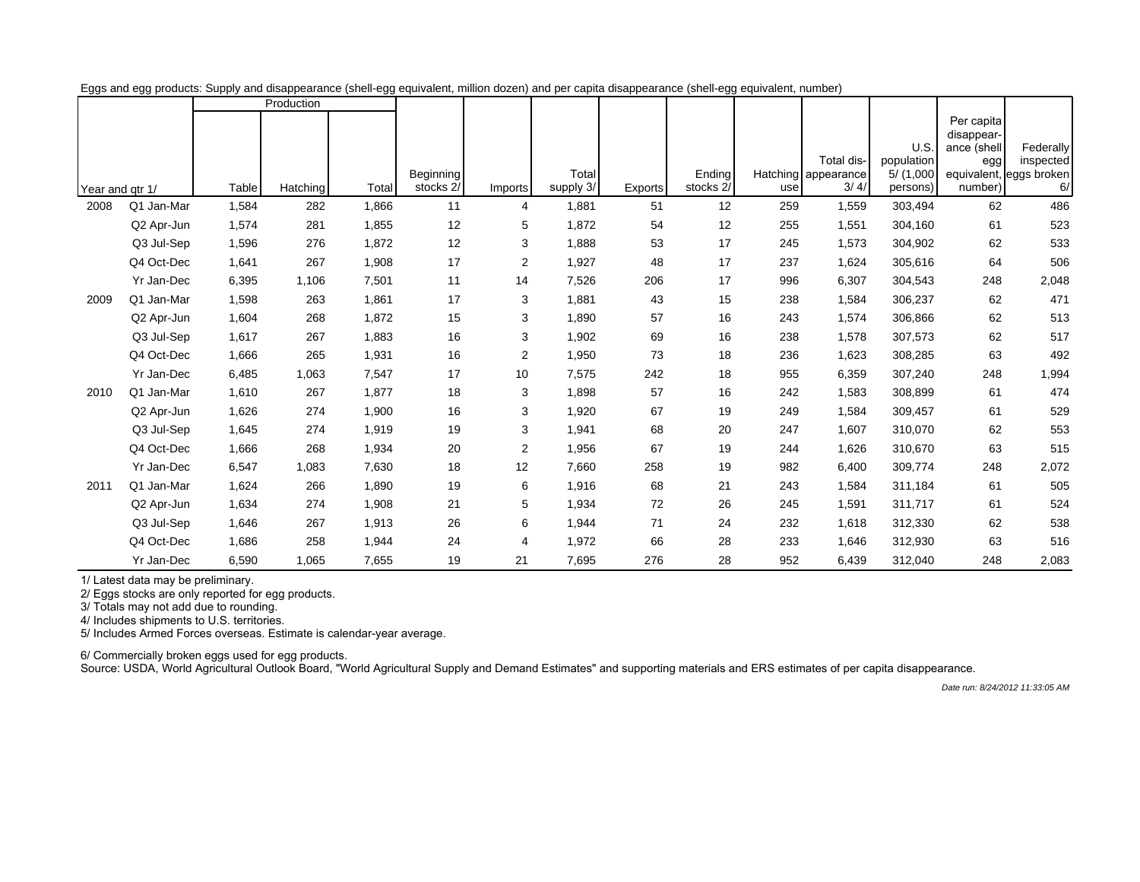|                 |            |       | Production |       |           |         |           |                |                     |     |                     |             |                           |                          |
|-----------------|------------|-------|------------|-------|-----------|---------|-----------|----------------|---------------------|-----|---------------------|-------------|---------------------------|--------------------------|
|                 |            |       |            |       |           |         |           |                |                     |     |                     |             | Per capita                |                          |
|                 |            |       |            |       |           |         |           |                |                     |     |                     | U.S.        | disappear-<br>ance (shell | Federally                |
|                 |            |       |            |       |           |         |           |                |                     |     | Total dis-          | population  | egg                       | inspected                |
|                 |            |       |            |       | Beginning |         | Total     |                | Ending <sup>1</sup> |     | Hatching appearance | $5/$ (1,000 |                           | equivalent, leggs broken |
| Year and gtr 1/ |            | Table | Hatching   | Total | stocks 2/ | Imports | supply 3/ | <b>Exports</b> | stocks 2/           | use | 3/4/                | persons)    | number)                   | 6/                       |
| 2008            | Q1 Jan-Mar | 1,584 | 282        | 1,866 | 11        | 4       | 1,881     | 51             | 12                  | 259 | 1,559               | 303,494     | 62                        | 486                      |
|                 | Q2 Apr-Jun | 1,574 | 281        | 1,855 | 12        | 5       | 1,872     | 54             | 12                  | 255 | 1,551               | 304,160     | 61                        | 523                      |
|                 | Q3 Jul-Sep | 1,596 | 276        | 1,872 | 12        | 3       | 1,888     | 53             | 17                  | 245 | 1,573               | 304,902     | 62                        | 533                      |
|                 | Q4 Oct-Dec | 1,641 | 267        | 1,908 | 17        | 2       | 1,927     | 48             | 17                  | 237 | 1,624               | 305,616     | 64                        | 506                      |
|                 | Yr Jan-Dec | 6,395 | 1,106      | 7,501 | 11        | 14      | 7,526     | 206            | 17                  | 996 | 6,307               | 304,543     | 248                       | 2,048                    |
| 2009            | Q1 Jan-Mar | 1,598 | 263        | 1,861 | 17        | 3       | 1,881     | 43             | 15                  | 238 | 1,584               | 306,237     | 62                        | 471                      |
|                 | Q2 Apr-Jun | 1,604 | 268        | 1,872 | 15        | 3       | 1,890     | 57             | 16                  | 243 | 1,574               | 306,866     | 62                        | 513                      |
|                 | Q3 Jul-Sep | 1,617 | 267        | 1,883 | 16        | 3       | 1,902     | 69             | 16                  | 238 | 1,578               | 307,573     | 62                        | 517                      |
|                 | Q4 Oct-Dec | 1,666 | 265        | 1,931 | 16        | 2       | 1,950     | 73             | 18                  | 236 | 1,623               | 308,285     | 63                        | 492                      |
|                 | Yr Jan-Dec | 6,485 | 1,063      | 7,547 | 17        | 10      | 7,575     | 242            | 18                  | 955 | 6,359               | 307,240     | 248                       | 1,994                    |
| 2010            | Q1 Jan-Mar | 1,610 | 267        | 1,877 | 18        | 3       | 1,898     | 57             | 16                  | 242 | 1,583               | 308,899     | 61                        | 474                      |
|                 | Q2 Apr-Jun | 1,626 | 274        | 1,900 | 16        | 3       | 1,920     | 67             | 19                  | 249 | 1,584               | 309,457     | 61                        | 529                      |
|                 | Q3 Jul-Sep | 1,645 | 274        | 1,919 | 19        | 3       | 1,941     | 68             | 20                  | 247 | 1,607               | 310,070     | 62                        | 553                      |
|                 | Q4 Oct-Dec | 1,666 | 268        | 1,934 | 20        | 2       | 1,956     | 67             | 19                  | 244 | 1,626               | 310,670     | 63                        | 515                      |
|                 | Yr Jan-Dec | 6,547 | 1,083      | 7,630 | 18        | 12      | 7,660     | 258            | 19                  | 982 | 6,400               | 309,774     | 248                       | 2,072                    |
| 2011            | Q1 Jan-Mar | 1,624 | 266        | 1,890 | 19        | 6       | 1,916     | 68             | 21                  | 243 | 1,584               | 311,184     | 61                        | 505                      |
|                 | Q2 Apr-Jun | 1,634 | 274        | 1,908 | 21        | 5       | 1,934     | 72             | 26                  | 245 | 1,591               | 311,717     | 61                        | 524                      |
|                 | Q3 Jul-Sep | 1,646 | 267        | 1,913 | 26        | 6       | 1,944     | 71             | 24                  | 232 | 1,618               | 312,330     | 62                        | 538                      |
|                 | Q4 Oct-Dec | 1,686 | 258        | 1,944 | 24        | 4       | 1,972     | 66             | 28                  | 233 | 1,646               | 312,930     | 63                        | 516                      |
|                 | Yr Jan-Dec | 6,590 | 1,065      | 7,655 | 19        | 21      | 7,695     | 276            | 28                  | 952 | 6,439               | 312,040     | 248                       | 2,083                    |

Eggs and egg products: Supply and disappearance (shell-egg equivalent, million dozen) and per capita disappearance (shell-egg equivalent, number)

 $\overline{\phantom{a}}$  1/ Latest data may be preliminary.

2/ Eggs stocks are only reported for egg products.

3/ Totals may not add due to rounding.

4/ Includes shipments to U.S. territories.

5/ Includes Armed Forces overseas. Estimate is calendar-year average.

6/ Commercially broken eggs used for egg products.

Source: USDA, World Agricultural Outlook Board, "World Agricultural Supply and Demand Estimates" and supporting materials and ERS estimates of per capita disappearance.

Date run: 8/24/2012 11:33:05 AM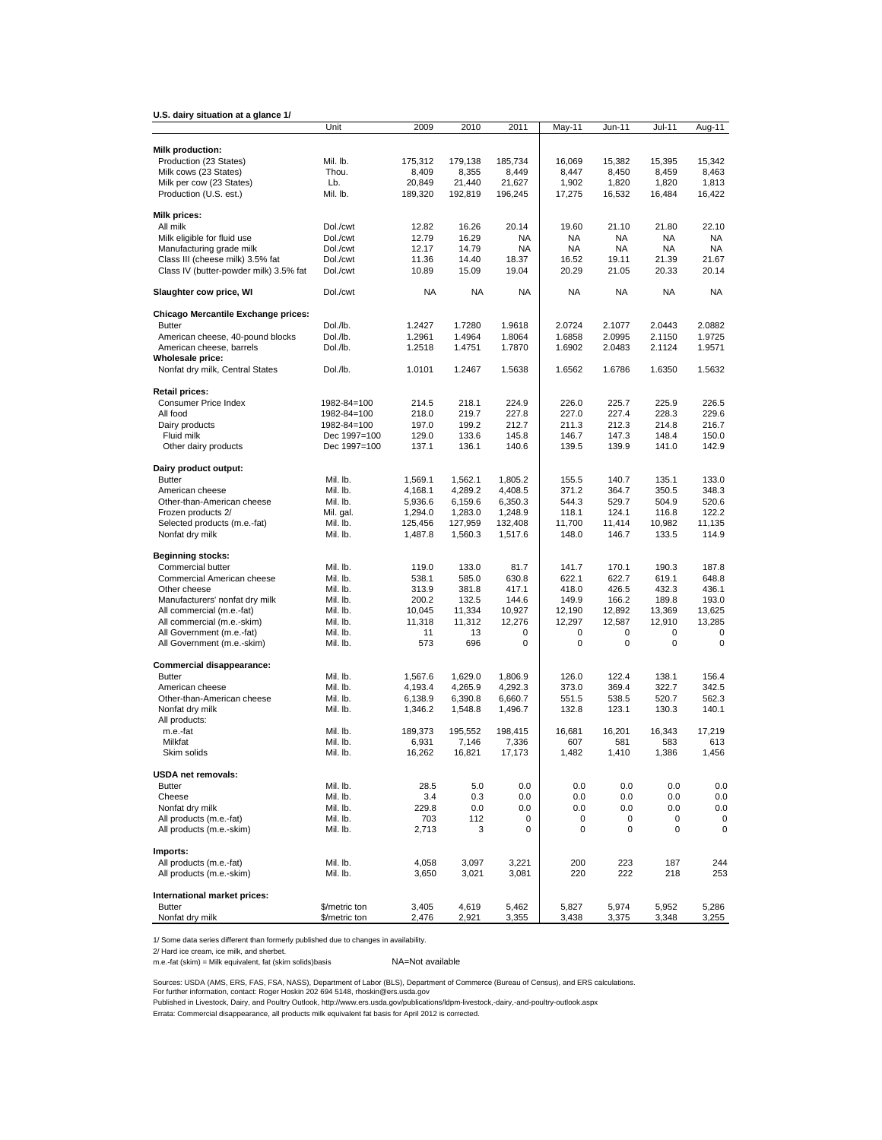| U.S. dairy situation at a glance 1/                 |                              |                    |                    |                    |                 |                 |                 |                 |
|-----------------------------------------------------|------------------------------|--------------------|--------------------|--------------------|-----------------|-----------------|-----------------|-----------------|
|                                                     | Unit                         | 2009               | 2010               | 2011               | May-11          | Jun-11          | Jul-11          | Aug-11          |
| <b>Milk production:</b>                             |                              |                    |                    |                    |                 |                 |                 |                 |
| Production (23 States)                              | Mil. Ib.                     | 175.312            | 179,138            | 185,734            | 16,069          | 15,382          | 15.395          | 15,342          |
| Milk cows (23 States)                               | Thou.                        | 8,409              | 8,355              | 8,449              | 8,447           | 8,450           | 8,459           | 8,463           |
| Milk per cow (23 States)                            | Lb.                          | 20,849             | 21,440             | 21,627             | 1,902           | 1,820           | 1,820           | 1,813           |
| Production (U.S. est.)                              | Mil. Ib.                     | 189,320            | 192,819            | 196,245            | 17,275          | 16,532          | 16,484          | 16,422          |
| <b>Milk prices:</b>                                 |                              |                    |                    |                    |                 |                 |                 |                 |
| All milk                                            | Dol./cwt                     | 12.82              | 16.26              | 20.14              | 19.60           | 21.10           | 21.80           | 22.10           |
| Milk eligible for fluid use                         | Dol./cwt                     | 12.79              | 16.29              | <b>NA</b>          | NA              | <b>NA</b>       | NA              | NA              |
| Manufacturing grade milk                            | Dol./cwt                     | 12.17              | 14.79              | <b>NA</b>          | <b>NA</b>       | <b>NA</b>       | <b>NA</b>       | NA              |
| Class III (cheese milk) 3.5% fat                    | Dol./cwt                     | 11.36              | 14.40              | 18.37              | 16.52           | 19.11           | 21.39           | 21.67           |
| Class IV (butter-powder milk) 3.5% fat              | Dol./cwt                     | 10.89              | 15.09              | 19.04              | 20.29           | 21.05           | 20.33           | 20.14           |
| Slaughter cow price, WI                             | Dol./cwt                     | <b>NA</b>          | <b>NA</b>          | NA                 | <b>NA</b>       | <b>NA</b>       | NA              | NA              |
| <b>Chicago Mercantile Exchange prices:</b>          |                              |                    |                    |                    |                 |                 |                 |                 |
| <b>Butter</b>                                       | Dol./lb.                     | 1.2427             | 1.7280             | 1.9618             | 2.0724          | 2.1077          | 2.0443          | 2.0882          |
| American cheese, 40-pound blocks                    | Dol./lb.                     | 1.2961             | 1.4964             | 1.8064             | 1.6858          | 2.0995          | 2.1150          | 1.9725          |
| American cheese, barrels                            | Dol./lb.                     | 1.2518             | 1.4751             | 1.7870             | 1.6902          | 2.0483          | 2.1124          | 1.9571          |
| Wholesale price:<br>Nonfat dry milk, Central States | Dol./lb.                     | 1.0101             | 1.2467             | 1.5638             | 1.6562          | 1.6786          | 1.6350          | 1.5632          |
|                                                     |                              |                    |                    |                    |                 |                 |                 |                 |
| <b>Retail prices:</b>                               |                              |                    |                    |                    |                 |                 |                 |                 |
| Consumer Price Index                                | 1982-84=100                  | 214.5              | 218.1              | 224.9              | 226.0           | 225.7           | 225.9           | 226.5           |
| All food                                            | 1982-84=100                  | 218.0<br>197.0     | 219.7              | 227.8              | 227.0           | 227.4<br>212.3  | 228.3<br>214.8  | 229.6           |
| Dairy products<br>Fluid milk                        | 1982-84=100                  | 129.0              | 199.2<br>133.6     | 212.7<br>145.8     | 211.3<br>146.7  | 147.3           | 148.4           | 216.7<br>150.0  |
| Other dairy products                                | Dec 1997=100<br>Dec 1997=100 | 137.1              | 136.1              | 140.6              | 139.5           | 139.9           | 141.0           | 142.9           |
|                                                     |                              |                    |                    |                    |                 |                 |                 |                 |
| Dairy product output:                               |                              |                    |                    |                    |                 |                 |                 |                 |
| <b>Butter</b>                                       | Mil. lb.                     | 1,569.1            | 1,562.1            | 1,805.2            | 155.5           | 140.7           | 135.1           | 133.0           |
| American cheese                                     | Mil. lb.                     | 4,168.1            | 4,289.2            | 4,408.5            | 371.2           | 364.7           | 350.5           | 348.3           |
| Other-than-American cheese                          | Mil. Ib.                     | 5,936.6            | 6,159.6            | 6,350.3            | 544.3           | 529.7           | 504.9           | 520.6           |
| Frozen products 2/                                  | Mil. gal.                    | 1,294.0            | 1,283.0            | 1,248.9            | 118.1           | 124.1           | 116.8           | 122.2           |
| Selected products (m.e.-fat)<br>Nonfat dry milk     | Mil. Ib.<br>Mil. Ib.         | 125,456<br>1,487.8 | 127,959<br>1,560.3 | 132,408<br>1,517.6 | 11,700<br>148.0 | 11,414<br>146.7 | 10,982<br>133.5 | 11,135<br>114.9 |
| <b>Beginning stocks:</b>                            |                              |                    |                    |                    |                 |                 |                 |                 |
| Commercial butter                                   | Mil. lb.                     | 119.0              | 133.0              | 81.7               | 141.7           | 170.1           | 190.3           | 187.8           |
| Commercial American cheese                          | Mil. Ib.                     | 538.1              | 585.0              | 630.8              | 622.1           | 622.7           | 619.1           | 648.8           |
| Other cheese                                        | Mil. Ib.                     | 313.9              | 381.8              | 417.1              | 418.0           | 426.5           | 432.3           | 436.1           |
| Manufacturers' nonfat dry milk                      | Mil. Ib.                     | 200.2              | 132.5              | 144.6              | 149.9           | 166.2           | 189.8           | 193.0           |
| All commercial (m.e.-fat)                           | Mil. Ib.                     | 10,045             | 11,334             | 10,927             | 12,190          | 12,892          | 13,369          | 13,625          |
| All commercial (m.e.-skim)                          | Mil. Ib.                     | 11,318             | 11,312             | 12,276             | 12,297          | 12,587          | 12,910          | 13,285          |
| All Government (m.e.-fat)                           | Mil. Ib.                     | 11                 | 13                 | 0                  | 0               | 0               | 0               | 0               |
| All Government (m.e.-skim)                          | Mil. Ib.                     | 573                | 696                | $\pmb{0}$          | $\mathbf 0$     | 0               | $\pmb{0}$       | $\pmb{0}$       |
| <b>Commercial disappearance:</b>                    |                              |                    |                    |                    |                 |                 |                 |                 |
| <b>Butter</b>                                       | Mil. Ib.                     | 1,567.6            | 1,629.0            | 1,806.9            | 126.0           | 122.4           | 138.1           | 156.4           |
| American cheese                                     | Mil. Ib.                     | 4,193.4            | 4,265.9            | 4,292.3            | 373.0           | 369.4           | 322.7           | 342.5           |
| Other-than-American cheese                          | Mil. Ib.                     | 6,138.9            | 6,390.8            | 6,660.7            | 551.5           | 538.5           | 520.7           | 562.3           |
| Nonfat dry milk                                     | Mil. Ib.                     | 1,346.2            | 1,548.8            | 1,496.7            | 132.8           | 123.1           | 130.3           | 140.1           |
| All products:                                       |                              |                    |                    |                    |                 |                 |                 |                 |
| m.e.-fat                                            | Mil. Ib.                     | 189,373            | 195,552            | 198,415            | 16,681          | 16,201          | 16,343          | 17,219          |
| Milkfat<br>Skim solids                              | Mil. Ib.<br>Mil. Ib.         | 6,931<br>16,262    | 7,146<br>16,821    | 7,336<br>17,173    | 607<br>1,482    | 581<br>1,410    | 583<br>1,386    | 613<br>1,456    |
|                                                     |                              |                    |                    |                    |                 |                 |                 |                 |
| <b>USDA</b> net removals:                           | Mil. Ib.                     |                    |                    |                    |                 |                 |                 |                 |
| <b>Butter</b><br>Cheese                             | Mil. Ib.                     | 28.5<br>3.4        | 5.0<br>0.3         | 0.0<br>0.0         | 0.0<br>0.0      | 0.0<br>0.0      | 0.0<br>0.0      | 0.0<br>0.0      |
| Nonfat dry milk                                     | Mil. Ib.                     | 229.8              | 0.0                | 0.0                | 0.0             | 0.0             | 0.0             | 0.0             |
| All products (m.e.-fat)                             | Mil. Ib.                     | 703                | 112                | 0                  | 0               | 0               | 0               | $\pmb{0}$       |
| All products (m.e.-skim)                            | Mil. Ib.                     | 2,713              | 3                  | 0                  | 0               | 0               | 0               | $\mathbf 0$     |
| Imports:                                            |                              |                    |                    |                    |                 |                 |                 |                 |
| All products (m.e.-fat)                             | Mil. Ib.                     | 4,058              | 3,097              | 3.221              | 200             | 223             | 187             | 244             |
| All products (m.e.-skim)                            | Mil. Ib.                     | 3,650              | 3,021              | 3,081              | 220             | 222             | 218             | 253             |
| International market prices:                        |                              |                    |                    |                    |                 |                 |                 |                 |
| <b>Butter</b>                                       | \$/metric ton                | 3,405              | 4,619              | 5,462              | 5,827           | 5,974           | 5,952           | 5,286           |
| Nonfat dry milk                                     | \$/metric ton                | 2,476              | 2,921              | 3,355              | 3,438           | 3,375           | 3,348           | 3,255           |

1/ Some data series different than formerly published due to changes in availability.

2/ Hard ice cream, ice milk, and sherbet.

m.e.-fat (skim) = Milk equivalent, fat (skim solids)basis NA=Not available

Sources: USDA (AMS, ERS, FAS, FSA, NASS), Department of Labor (BLS), Department of Commerce (Bureau of Census), and ERS calculations.<br>For further information, contact: Roger Hoskin 202 694 5148, rhoskin@ers.usda.gov<br>Publis

Errata: Commercial disappearance, all products milk equivalent fat basis for April 2012 is corrected.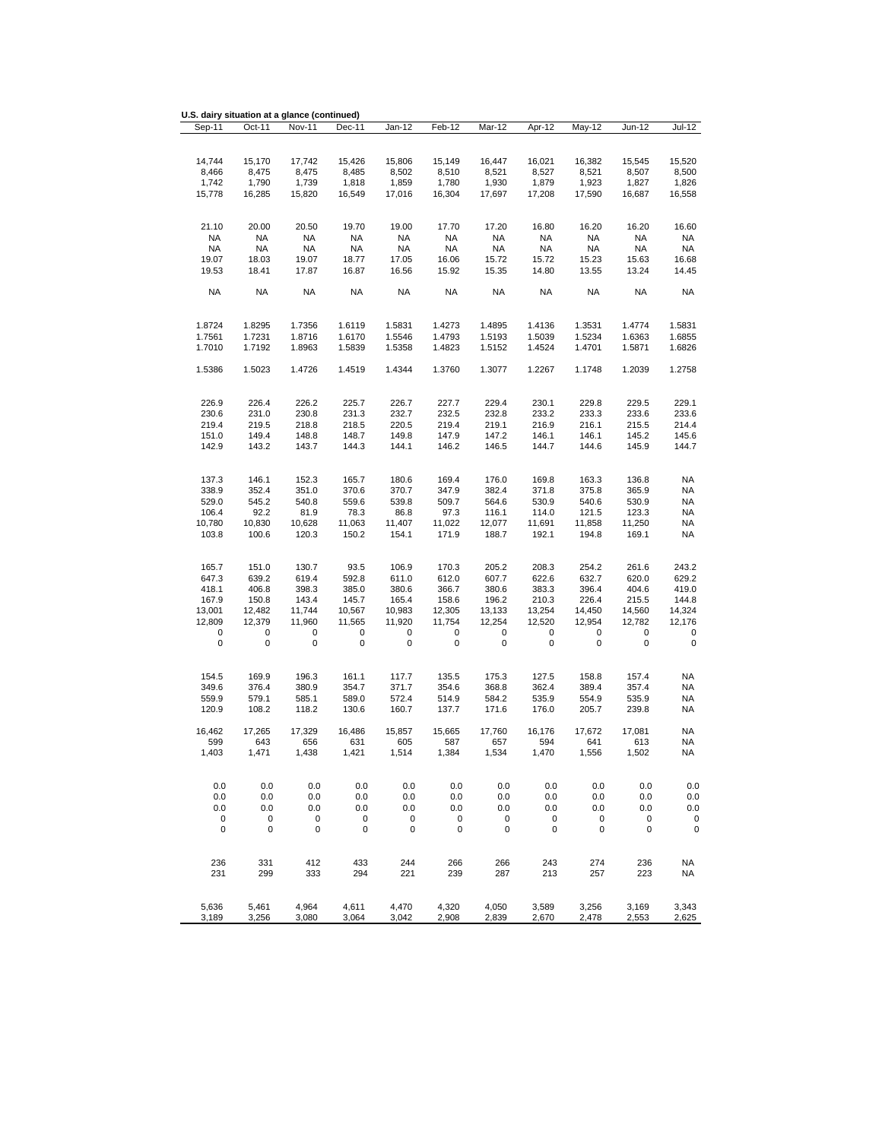| U.S. dairy situation at a glance (continued) |                |                |                |                |                |                |                |                |                |             |
|----------------------------------------------|----------------|----------------|----------------|----------------|----------------|----------------|----------------|----------------|----------------|-------------|
| Sep-11                                       | Oct-11         | <b>Nov-11</b>  | Dec-11         | Jan-12         | Feb-12         | Mar-12         | Apr-12         | May-12         | Jun-12         | Jul-12      |
|                                              |                |                |                |                |                |                |                |                |                |             |
|                                              |                |                |                |                |                |                |                |                |                |             |
| 14,744                                       | 15,170         | 17,742         | 15,426         | 15,806         | 15,149         | 16,447         | 16,021         | 16,382         | 15,545         | 15,520      |
| 8,466                                        | 8,475          | 8,475          | 8,485          | 8,502          | 8,510          | 8,521          | 8,527          | 8,521          | 8,507          | 8,500       |
| 1,742                                        | 1,790          | 1,739          | 1,818          | 1,859          | 1,780          | 1,930          | 1,879          | 1,923          | 1,827          | 1,826       |
| 15,778                                       | 16,285         | 15,820         | 16,549         | 17,016         | 16,304         | 17,697         | 17,208         | 17,590         | 16,687         | 16,558      |
|                                              |                |                |                |                |                |                |                |                |                |             |
|                                              |                |                |                |                |                |                |                |                |                |             |
| 21.10                                        | 20.00          | 20.50          | 19.70          | 19.00          | 17.70          | 17.20          | 16.80          | 16.20          | 16.20          | 16.60       |
| NA                                           | NA             | <b>NA</b>      | NA             | NA             | <b>NA</b>      | NA.            | NA             | <b>NA</b>      | <b>NA</b>      | NA          |
| NA                                           | <b>NA</b>      | <b>NA</b>      | NA             | <b>NA</b>      | <b>NA</b>      | <b>NA</b>      | NA             | <b>NA</b>      | <b>NA</b>      | NA          |
| 19.07                                        | 18.03          | 19.07          | 18.77          | 17.05          | 16.06          | 15.72          | 15.72          | 15.23          | 15.63          | 16.68       |
| 19.53                                        | 18.41          | 17.87          | 16.87          | 16.56          | 15.92          | 15.35          | 14.80          | 13.55          | 13.24          | 14.45       |
| <b>NA</b>                                    | <b>NA</b>      | <b>NA</b>      | NA             | <b>NA</b>      | <b>NA</b>      | <b>NA</b>      | NA             | <b>NA</b>      | <b>NA</b>      | <b>NA</b>   |
|                                              |                |                |                |                |                |                |                |                |                |             |
| 1.8724                                       | 1.8295         | 1.7356         | 1.6119         | 1.5831         | 1.4273         | 1.4895         | 1.4136         | 1.3531         | 1.4774         | 1.5831      |
| 1.7561                                       | 1.7231         | 1.8716         | 1.6170         | 1.5546         | 1.4793         | 1.5193         | 1.5039         | 1.5234         | 1.6363         | 1.6855      |
| 1.7010                                       | 1.7192         | 1.8963         | 1.5839         | 1.5358         | 1.4823         | 1.5152         | 1.4524         | 1.4701         | 1.5871         | 1.6826      |
|                                              |                |                |                |                |                |                |                |                |                |             |
| 1.5386                                       | 1.5023         | 1.4726         | 1.4519         | 1.4344         | 1.3760         | 1.3077         | 1.2267         | 1.1748         | 1.2039         | 1.2758      |
|                                              |                |                |                |                |                |                |                |                |                |             |
| 226.9                                        | 226.4          | 226.2          | 225.7          | 226.7          | 227.7          | 229.4          | 230.1          | 229.8          | 229.5          | 229.1       |
| 230.6                                        | 231.0          | 230.8          | 231.3          | 232.7          | 232.5          | 232.8          | 233.2          | 233.3          | 233.6          | 233.6       |
| 219.4                                        | 219.5          | 218.8          | 218.5          | 220.5          | 219.4          | 219.1          | 216.9          | 216.1          | 215.5          | 214.4       |
| 151.0                                        | 149.4          | 148.8          | 148.7          | 149.8          | 147.9          | 147.2          | 146.1          | 146.1          | 145.2          | 145.6       |
| 142.9                                        | 143.2          | 143.7          | 144.3          | 144.1          | 146.2          | 146.5          | 144.7          | 144.6          | 145.9          | 144.7       |
|                                              |                |                |                |                |                |                |                |                |                |             |
| 137.3                                        | 146.1          | 152.3          | 165.7          | 180.6          | 169.4          | 176.0          | 169.8          | 163.3          | 136.8          | NA          |
| 338.9                                        | 352.4          | 351.0          | 370.6          | 370.7          | 347.9          | 382.4          | 371.8          | 375.8          | 365.9          | NA          |
| 529.0                                        | 545.2          | 540.8          | 559.6          | 539.8          | 509.7          | 564.6          | 530.9          | 540.6          | 530.9          | NA          |
| 106.4                                        | 92.2           | 81.9           | 78.3           | 86.8           | 97.3           | 116.1          | 114.0          | 121.5          | 123.3          | NA          |
| 10,780                                       | 10,830         | 10,628         | 11,063         | 11,407         | 11,022         | 12,077         | 11,691         | 11,858         | 11,250         | NA          |
|                                              |                |                |                |                |                |                |                |                |                |             |
| 103.8                                        | 100.6          | 120.3          | 150.2          | 154.1          | 171.9          | 188.7          | 192.1          | 194.8          | 169.1          | NA          |
|                                              |                |                |                |                |                |                |                |                |                |             |
| 165.7                                        | 151.0          | 130.7          | 93.5           | 106.9          | 170.3          | 205.2          | 208.3          | 254.2          | 261.6          | 243.2       |
| 647.3                                        | 639.2          | 619.4          | 592.8          | 611.0          | 612.0          | 607.7          | 622.6          | 632.7          | 620.0          | 629.2       |
| 418.1                                        | 406.8          | 398.3          | 385.0          | 380.6          | 366.7          | 380.6          | 383.3          | 396.4          | 404.6          | 419.0       |
| 167.9                                        | 150.8          | 143.4          | 145.7          | 165.4          | 158.6          | 196.2          | 210.3          | 226.4          | 215.5          | 144.8       |
| 13,001                                       | 12,482         | 11,744         | 10,567         | 10,983         | 12,305         | 13,133         | 13,254         | 14,450         | 14,560         | 14,324      |
| 12,809                                       | 12,379         | 11,960         | 11,565         | 11,920         | 11,754         | 12,254         | 12,520         | 12,954         | 12,782         | 12,176      |
| 0                                            | 0              | 0              | 0              | 0              | 0              | 0              | 0              | 0              | 0              | 0           |
| 0                                            | 0              | $\pmb{0}$      | 0              | 0              | $\pmb{0}$      | 0              | 0              | 0              | 0              | 0           |
|                                              |                |                | 161.1          |                |                |                |                |                |                |             |
| 154.5                                        | 169.9          | 196.3          |                | 117.7          | 135.5          | 175.3<br>368.8 | 127.5          | 158.8          | 157.4          | NA          |
| 349.6                                        | 376.4          | 380.9          | 354.7          | 371.7          | 354.6          |                | 362.4          | 389.4          | 357.4          | NA          |
| 559.9<br>120.9                               | 579.1<br>108.2 | 585.1<br>118.2 | 589.0<br>130.6 | 572.4<br>160.7 | 514.9<br>137.7 | 584.2<br>171.6 | 535.9<br>176.0 | 554.9<br>205.7 | 535.9<br>239.8 | NA<br>NA    |
|                                              |                |                |                |                |                |                |                |                |                |             |
| 16,462                                       | 17,265         | 17,329         | 16,486         | 15,857         | 15,665         | 17,760         | 16,176         | 17,672         | 17,081         | NA          |
| 599                                          | 643            | 656            | 631            | 605            | 587            | 657            | 594            | 641            | 613            | NA          |
| 1,403                                        | 1,471          | 1,438          | 1,421          | 1,514          | 1,384          | 1,534          | 1,470          | 1,556          | 1,502          | NA          |
|                                              |                |                |                |                |                |                |                |                |                |             |
| 0.0                                          | 0.0            | 0.0            | 0.0            | 0.0            | 0.0            | 0.0            | 0.0            | 0.0            | 0.0            | 0.0         |
| 0.0                                          | 0.0            | 0.0            | 0.0            | 0.0            | 0.0            | 0.0            | 0.0            | 0.0            | 0.0            | 0.0         |
| 0.0                                          | 0.0            | 0.0            | 0.0            | 0.0            | 0.0            | 0.0            | 0.0            | 0.0            | 0.0            | 0.0         |
| $\pmb{0}$                                    | 0              | 0              | 0              | 0              | 0              | 0              | 0              | 0              | 0              | 0           |
| 0                                            | 0              | 0              | 0              | 0              | 0              | 0              | 0              | 0              | 0              | $\mathbf 0$ |
|                                              |                |                |                |                |                |                |                |                |                |             |
| 236                                          | 331            | 412            | 433            | 244            | 266            | 266            | 243            | 274            | 236            | NA          |
| 231                                          | 299            | 333            | 294            | 221            | 239            | 287            | 213            | 257            | 223            | NA          |
|                                              |                |                |                |                |                |                |                |                |                |             |
| 5,636                                        | 5,461          | 4,964          | 4,611          | 4,470          | 4,320          | 4,050          | 3,589          | 3,256          | 3,169          | 3,343       |
| 3,189                                        | 3,256          | 3,080          | 3,064          | 3,042          | 2,908          | 2,839          | 2,670          | 2,478          | 2,553          | 2,625       |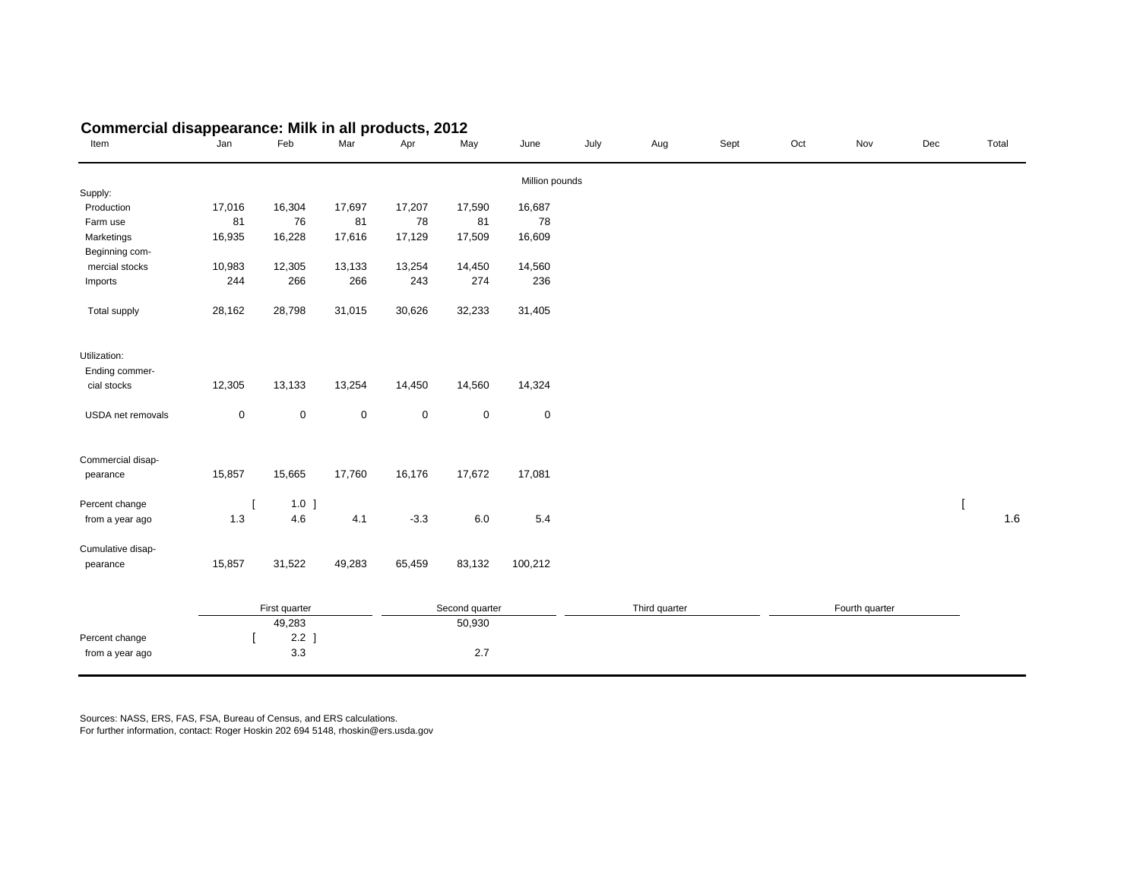# **Commercial disappearance: Milk in all products, 2012**

| Item                         | Jan         | Feb           | Mar                 | Apr         | May            | June                | July | Aug           | Sept | Oct | Nov            | Dec                       | Total |
|------------------------------|-------------|---------------|---------------------|-------------|----------------|---------------------|------|---------------|------|-----|----------------|---------------------------|-------|
|                              |             |               |                     |             |                | Million pounds      |      |               |      |     |                |                           |       |
| Supply:                      |             |               |                     |             |                |                     |      |               |      |     |                |                           |       |
| Production                   | 17,016      | 16,304        | 17,697              | 17,207      | 17,590         | 16,687              |      |               |      |     |                |                           |       |
| Farm use                     | 81          | 76            | 81                  | 78          | 81             | 78                  |      |               |      |     |                |                           |       |
| Marketings<br>Beginning com- | 16,935      | 16,228        | 17,616              | 17,129      | 17,509         | 16,609              |      |               |      |     |                |                           |       |
| mercial stocks               | 10,983      | 12,305        | 13,133              | 13,254      | 14,450         | 14,560              |      |               |      |     |                |                           |       |
| Imports                      | 244         | 266           | 266                 | 243         | 274            | 236                 |      |               |      |     |                |                           |       |
| <b>Total supply</b>          | 28,162      | 28,798        | 31,015              | 30,626      | 32,233         | 31,405              |      |               |      |     |                |                           |       |
| Utilization:                 |             |               |                     |             |                |                     |      |               |      |     |                |                           |       |
| Ending commer-               |             |               |                     |             |                |                     |      |               |      |     |                |                           |       |
| cial stocks                  | 12,305      | 13,133        | 13,254              | 14,450      | 14,560         | 14,324              |      |               |      |     |                |                           |       |
| USDA net removals            | $\mathsf 0$ | $\mathsf{O}$  | $\mathsf{O}\xspace$ | $\mathsf 0$ | $\mathsf 0$    | $\mathsf{O}\xspace$ |      |               |      |     |                |                           |       |
| Commercial disap-            |             |               |                     |             |                |                     |      |               |      |     |                |                           |       |
| pearance                     | 15,857      | 15,665        | 17,760              | 16,176      | 17,672         | 17,081              |      |               |      |     |                |                           |       |
| Percent change               |             | $1.0$ ]       |                     |             |                |                     |      |               |      |     |                | $\overline{\mathfrak{l}}$ |       |
| from a year ago              | $1.3$       | 4.6           | 4.1                 | $-3.3$      | $6.0\,$        | $5.4\,$             |      |               |      |     |                |                           | 1.6   |
| Cumulative disap-            |             |               |                     |             |                |                     |      |               |      |     |                |                           |       |
| pearance                     | 15,857      | 31,522        | 49,283              | 65,459      | 83,132         | 100,212             |      |               |      |     |                |                           |       |
|                              |             |               |                     |             |                |                     |      |               |      |     |                |                           |       |
|                              |             | First quarter |                     |             | Second quarter |                     |      | Third quarter |      |     | Fourth quarter |                           |       |
|                              |             | 49,283        |                     |             | 50,930         |                     |      |               |      |     |                |                           |       |
| Percent change               |             | $2.2$ ]       |                     |             |                |                     |      |               |      |     |                |                           |       |
| from a year ago              |             | 3.3           |                     |             | 2.7            |                     |      |               |      |     |                |                           |       |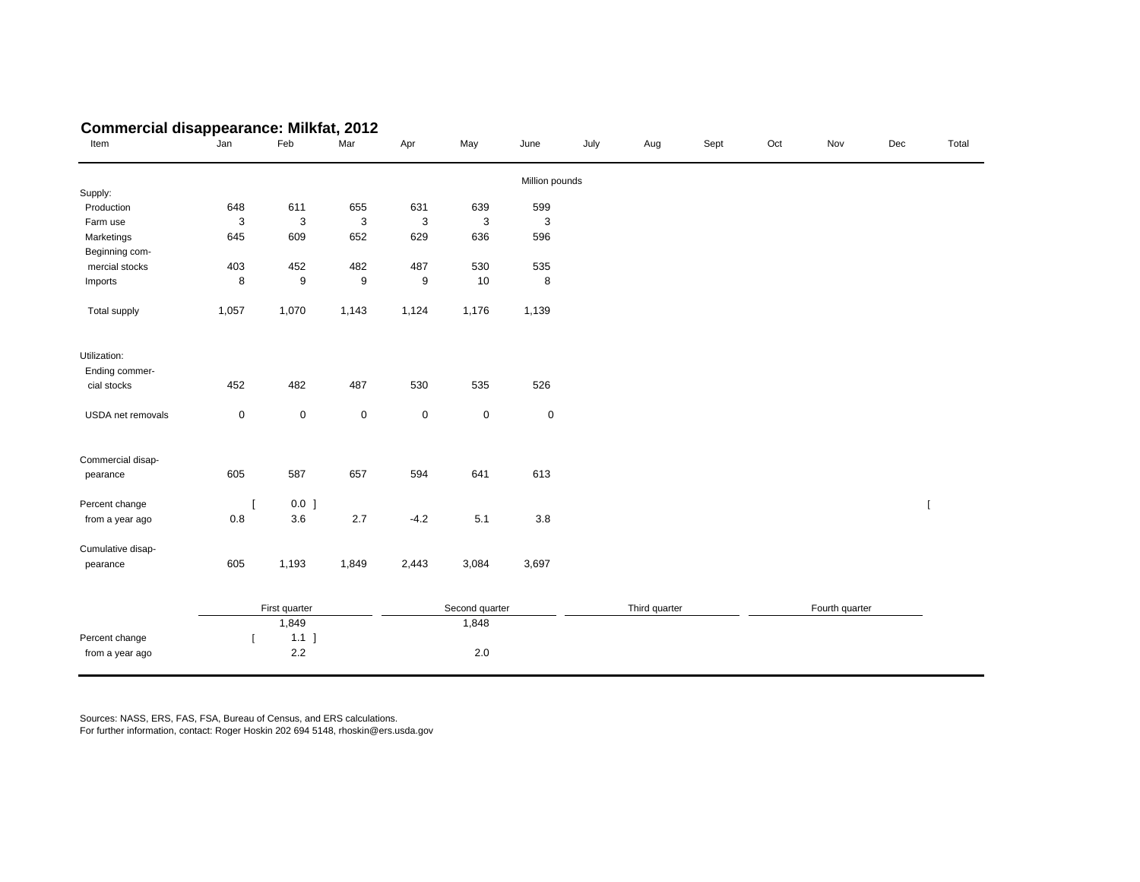# **Commercial disappearance: Milkfat, 2012**

| Item              | Jan                 | $\ensuremath{\mathsf{Feb}}$ | Mar                 | Apr              | May            | June           | July | Aug           | Sept | $\mathsf{Oct}$ | Nov            | Dec | Total        |
|-------------------|---------------------|-----------------------------|---------------------|------------------|----------------|----------------|------|---------------|------|----------------|----------------|-----|--------------|
|                   |                     |                             |                     |                  |                | Million pounds |      |               |      |                |                |     |              |
| Supply:           |                     |                             |                     |                  |                |                |      |               |      |                |                |     |              |
| Production        | 648                 | 611                         | 655                 | 631              | 639            | 599            |      |               |      |                |                |     |              |
| Farm use          | 3                   | 3                           | 3                   | 3                | 3              | 3              |      |               |      |                |                |     |              |
| Marketings        | 645                 | 609                         | 652                 | 629              | 636            | 596            |      |               |      |                |                |     |              |
| Beginning com-    |                     |                             |                     |                  |                |                |      |               |      |                |                |     |              |
| mercial stocks    | 403                 | 452                         | 482                 | 487              | 530            | 535            |      |               |      |                |                |     |              |
| Imports           | 8                   | $9\,$                       | 9                   | $\boldsymbol{9}$ | 10             | 8              |      |               |      |                |                |     |              |
| Total supply      | 1,057               | 1,070                       | 1,143               | 1,124            | 1,176          | 1,139          |      |               |      |                |                |     |              |
| Utilization:      |                     |                             |                     |                  |                |                |      |               |      |                |                |     |              |
| Ending commer-    |                     |                             |                     |                  |                |                |      |               |      |                |                |     |              |
| cial stocks       | 452                 | 482                         | 487                 | 530              | 535            | 526            |      |               |      |                |                |     |              |
|                   |                     |                             |                     |                  |                |                |      |               |      |                |                |     |              |
| USDA net removals | $\mathsf{O}\xspace$ | $\mathsf{O}\xspace$         | $\mathsf{O}\xspace$ | $\mathsf 0$      | $\mathsf 0$    | $\mathbf 0$    |      |               |      |                |                |     |              |
|                   |                     |                             |                     |                  |                |                |      |               |      |                |                |     |              |
| Commercial disap- |                     |                             |                     |                  |                |                |      |               |      |                |                |     |              |
| pearance          | 605                 | 587                         | 657                 | 594              | 641            | 613            |      |               |      |                |                |     |              |
| Percent change    |                     | $0.0$ ]                     |                     |                  |                |                |      |               |      |                |                |     | $\mathbf{r}$ |
| from a year ago   | $0.8\,$             | 3.6                         | 2.7                 | $-4.2$           | 5.1            | $3.8\,$        |      |               |      |                |                |     |              |
|                   |                     |                             |                     |                  |                |                |      |               |      |                |                |     |              |
| Cumulative disap- |                     |                             |                     |                  |                |                |      |               |      |                |                |     |              |
| pearance          | 605                 | 1,193                       | 1,849               | 2,443            | 3,084          | 3,697          |      |               |      |                |                |     |              |
|                   |                     |                             |                     |                  |                |                |      |               |      |                |                |     |              |
|                   |                     | First quarter               |                     |                  | Second quarter |                |      | Third quarter |      |                | Fourth quarter |     |              |
|                   |                     | 1,849                       |                     |                  | 1,848          |                |      |               |      |                |                |     |              |
| Percent change    | $\sqrt{2}$          | $1.1$ ]                     |                     |                  |                |                |      |               |      |                |                |     |              |
| from a year ago   |                     | 2.2                         |                     |                  | $2.0\,$        |                |      |               |      |                |                |     |              |
|                   |                     |                             |                     |                  |                |                |      |               |      |                |                |     |              |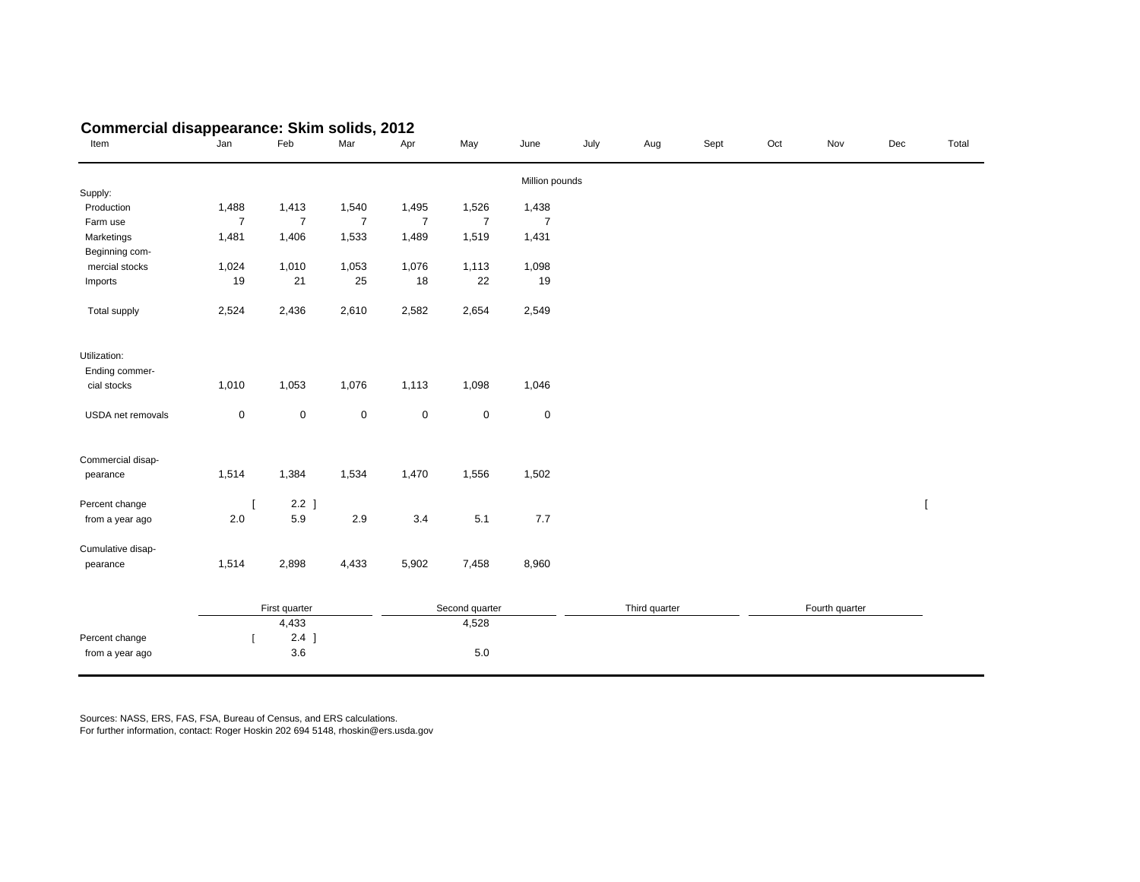# **Commercial disappearance: Skim solids, 2012**

| $\overline{\mathfrak{l}}$ |
|---------------------------|
|                           |
|                           |
|                           |
|                           |
|                           |
|                           |
|                           |
|                           |
|                           |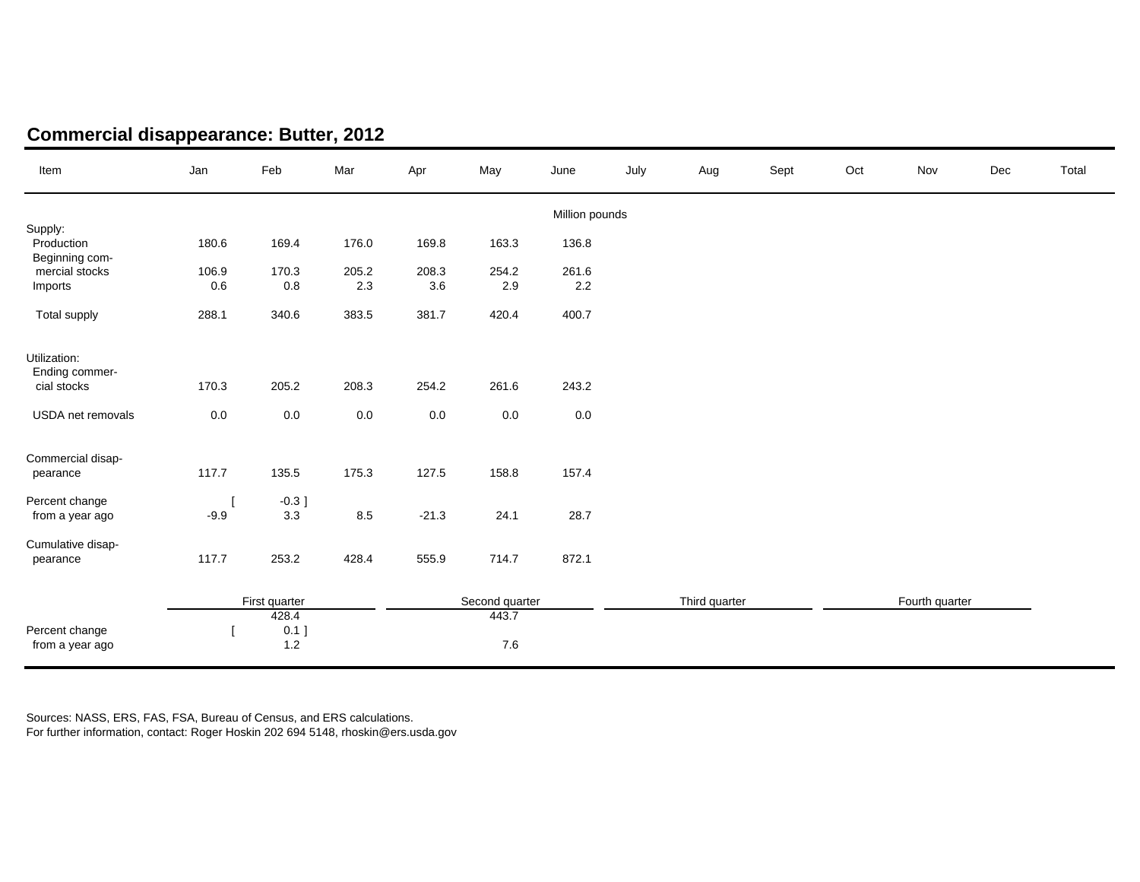|  | <b>Commercial disappearance: Butter, 2012</b> |  |  |
|--|-----------------------------------------------|--|--|
|--|-----------------------------------------------|--|--|

| Item              | Jan                             | Feb      | Mar     | Apr     | May     | June           | July | Aug           | Sept | Oct | Nov            | Dec | Total |
|-------------------|---------------------------------|----------|---------|---------|---------|----------------|------|---------------|------|-----|----------------|-----|-------|
|                   |                                 |          |         |         |         | Million pounds |      |               |      |     |                |     |       |
| Supply:           |                                 |          |         |         |         |                |      |               |      |     |                |     |       |
| Production        | 180.6                           | 169.4    | 176.0   | 169.8   | 163.3   | 136.8          |      |               |      |     |                |     |       |
| Beginning com-    |                                 |          |         |         |         |                |      |               |      |     |                |     |       |
| mercial stocks    | 106.9                           | 170.3    | 205.2   | 208.3   | 254.2   | 261.6          |      |               |      |     |                |     |       |
| Imports           | 0.6                             | $0.8\,$  | 2.3     | 3.6     | 2.9     | $2.2\,$        |      |               |      |     |                |     |       |
| Total supply      | 288.1                           | 340.6    | 383.5   | 381.7   | 420.4   | 400.7          |      |               |      |     |                |     |       |
| Utilization:      |                                 |          |         |         |         |                |      |               |      |     |                |     |       |
| Ending commer-    |                                 |          |         |         |         |                |      |               |      |     |                |     |       |
| cial stocks       | 170.3                           | 205.2    | 208.3   | 254.2   | 261.6   | 243.2          |      |               |      |     |                |     |       |
|                   |                                 |          |         |         |         |                |      |               |      |     |                |     |       |
| USDA net removals | $0.0\,$                         | $0.0\,$  | $0.0\,$ | 0.0     | $0.0\,$ | $0.0\,$        |      |               |      |     |                |     |       |
| Commercial disap- |                                 |          |         |         |         |                |      |               |      |     |                |     |       |
| pearance          | 117.7                           | 135.5    | 175.3   | 127.5   | 158.8   | 157.4          |      |               |      |     |                |     |       |
|                   |                                 |          |         |         |         |                |      |               |      |     |                |     |       |
| Percent change    |                                 | $-0.3$ ] |         |         |         |                |      |               |      |     |                |     |       |
| from a year ago   | $-9.9$                          | 3.3      | $8.5\,$ | $-21.3$ | 24.1    | 28.7           |      |               |      |     |                |     |       |
|                   |                                 |          |         |         |         |                |      |               |      |     |                |     |       |
| Cumulative disap- |                                 |          |         |         |         |                |      |               |      |     |                |     |       |
| pearance          | 117.7                           | 253.2    | 428.4   | 555.9   | 714.7   | 872.1          |      |               |      |     |                |     |       |
|                   |                                 |          |         |         |         |                |      |               |      |     |                |     |       |
|                   | First quarter<br>Second quarter |          |         |         |         |                |      | Third quarter |      |     | Fourth quarter |     |       |
|                   |                                 | 428.4    |         |         | 443.7   |                |      |               |      |     |                |     |       |
| Percent change    |                                 | $0.1$ ]  |         |         |         |                |      |               |      |     |                |     |       |
| from a year ago   |                                 | 1.2      |         |         | $7.6\,$ |                |      |               |      |     |                |     |       |
|                   |                                 |          |         |         |         |                |      |               |      |     |                |     |       |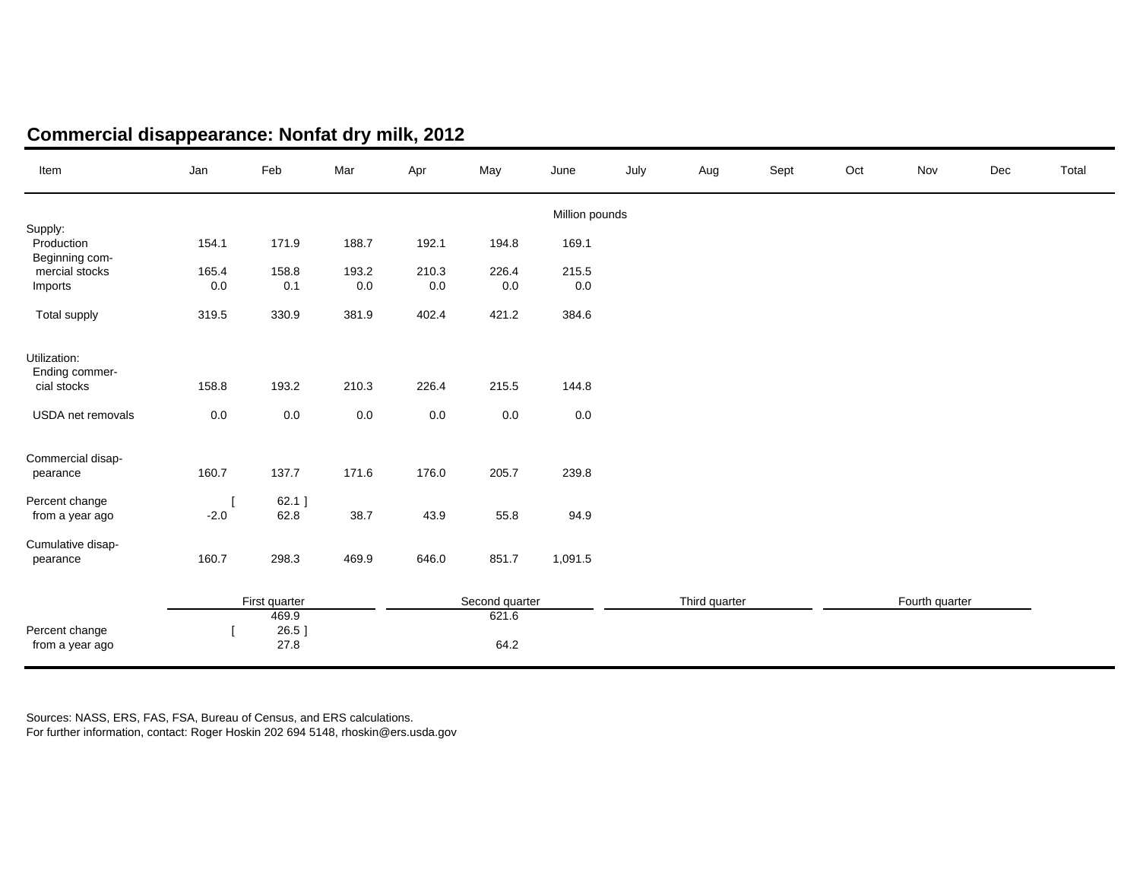| Item              | Jan     | Feb                             | Mar   | Apr     | May     | June           | July | Aug           | Sept | Oct | Nov            | Dec | Total |
|-------------------|---------|---------------------------------|-------|---------|---------|----------------|------|---------------|------|-----|----------------|-----|-------|
|                   |         |                                 |       |         |         | Million pounds |      |               |      |     |                |     |       |
| Supply:           |         |                                 |       |         |         |                |      |               |      |     |                |     |       |
| Production        | 154.1   | 171.9                           | 188.7 | 192.1   | 194.8   | 169.1          |      |               |      |     |                |     |       |
| Beginning com-    |         |                                 |       |         |         |                |      |               |      |     |                |     |       |
| mercial stocks    | 165.4   | 158.8                           | 193.2 | 210.3   | 226.4   | 215.5          |      |               |      |     |                |     |       |
| Imports           | $0.0\,$ | 0.1                             | 0.0   | $0.0\,$ | $0.0\,$ | $0.0\,$        |      |               |      |     |                |     |       |
| Total supply      | 319.5   | 330.9                           | 381.9 | 402.4   | 421.2   | 384.6          |      |               |      |     |                |     |       |
| Utilization:      |         |                                 |       |         |         |                |      |               |      |     |                |     |       |
| Ending commer-    |         |                                 |       |         |         |                |      |               |      |     |                |     |       |
| cial stocks       | 158.8   | 193.2                           | 210.3 | 226.4   | 215.5   | 144.8          |      |               |      |     |                |     |       |
|                   |         |                                 |       |         |         |                |      |               |      |     |                |     |       |
| USDA net removals | $0.0\,$ | $0.0\,$                         | 0.0   | 0.0     | $0.0\,$ | $0.0\,$        |      |               |      |     |                |     |       |
|                   |         |                                 |       |         |         |                |      |               |      |     |                |     |       |
| Commercial disap- |         |                                 |       |         |         |                |      |               |      |     |                |     |       |
| pearance          | 160.7   | 137.7                           | 171.6 | 176.0   | 205.7   | 239.8          |      |               |      |     |                |     |       |
| Percent change    |         | $62.1$ ]                        |       |         |         |                |      |               |      |     |                |     |       |
| from a year ago   | $-2.0$  | 62.8                            | 38.7  | 43.9    | 55.8    | 94.9           |      |               |      |     |                |     |       |
| Cumulative disap- |         |                                 |       |         |         |                |      |               |      |     |                |     |       |
| pearance          | 160.7   | 298.3                           | 469.9 | 646.0   | 851.7   | 1,091.5        |      |               |      |     |                |     |       |
|                   |         |                                 |       |         |         |                |      |               |      |     |                |     |       |
|                   |         | First quarter<br>Second quarter |       |         |         |                |      | Third quarter |      |     | Fourth quarter |     |       |
|                   |         | 469.9                           |       |         | 621.6   |                |      |               |      |     |                |     |       |
| Percent change    |         | 26.5 ]                          |       |         |         |                |      |               |      |     |                |     |       |
| from a year ago   |         | 27.8                            |       |         | 64.2    |                |      |               |      |     |                |     |       |
|                   |         |                                 |       |         |         |                |      |               |      |     |                |     |       |

# **Commercial disappearance: Nonfat dry milk, 2012**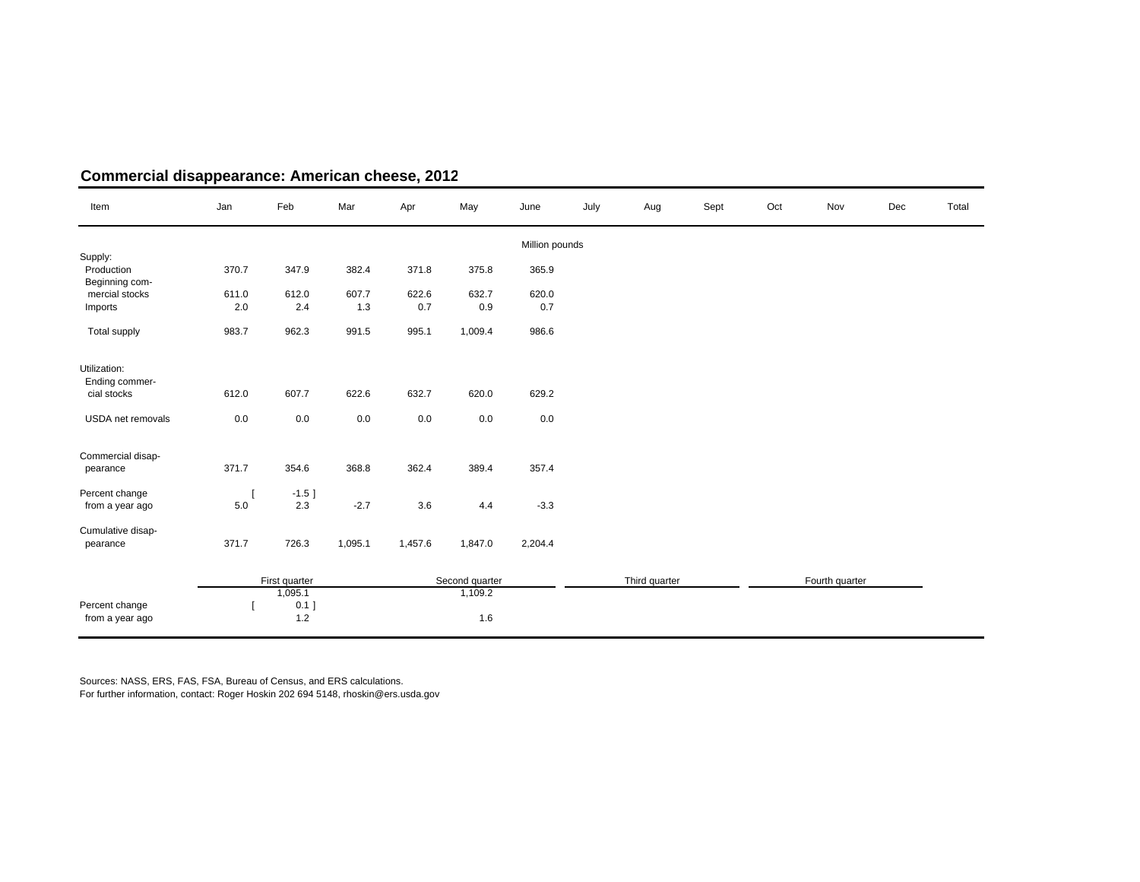| Item                              | Jan   | Feb                             | Mar     | Apr     | May     | June           | July | Aug           | Sept | Oct | Nov            | Dec | Total |
|-----------------------------------|-------|---------------------------------|---------|---------|---------|----------------|------|---------------|------|-----|----------------|-----|-------|
|                                   |       |                                 |         |         |         | Million pounds |      |               |      |     |                |     |       |
| Supply:                           |       |                                 |         |         |         |                |      |               |      |     |                |     |       |
| Production                        | 370.7 | 347.9                           | 382.4   | 371.8   | 375.8   | 365.9          |      |               |      |     |                |     |       |
| Beginning com-                    |       |                                 |         |         |         |                |      |               |      |     |                |     |       |
| mercial stocks                    | 611.0 | 612.0                           | 607.7   | 622.6   | 632.7   | 620.0          |      |               |      |     |                |     |       |
| Imports                           | 2.0   | 2.4                             | 1.3     | 0.7     | 0.9     | 0.7            |      |               |      |     |                |     |       |
| Total supply                      | 983.7 | 962.3                           | 991.5   | 995.1   | 1,009.4 | 986.6          |      |               |      |     |                |     |       |
| Utilization:                      |       |                                 |         |         |         |                |      |               |      |     |                |     |       |
| Ending commer-                    |       |                                 |         |         |         |                |      |               |      |     |                |     |       |
| cial stocks                       | 612.0 | 607.7                           | 622.6   | 632.7   | 620.0   | 629.2          |      |               |      |     |                |     |       |
| USDA net removals                 | 0.0   | 0.0                             | 0.0     | 0.0     | 0.0     | 0.0            |      |               |      |     |                |     |       |
| Commercial disap-                 |       |                                 |         |         |         |                |      |               |      |     |                |     |       |
| pearance                          | 371.7 | 354.6                           | 368.8   | 362.4   | 389.4   | 357.4          |      |               |      |     |                |     |       |
| Percent change                    |       | $-1.5$ ]                        |         |         |         |                |      |               |      |     |                |     |       |
| from a year ago                   | 5.0   | 2.3                             | $-2.7$  | 3.6     | 4.4     | $-3.3$         |      |               |      |     |                |     |       |
|                                   |       |                                 |         |         |         |                |      |               |      |     |                |     |       |
| Cumulative disap-<br>pearance     | 371.7 | 726.3                           | 1,095.1 | 1,457.6 | 1,847.0 | 2,204.4        |      |               |      |     |                |     |       |
|                                   |       | First quarter<br>Second quarter |         |         |         |                |      | Third quarter |      |     | Fourth quarter |     |       |
|                                   |       | 1,095.1                         |         |         | 1,109.2 |                |      |               |      |     |                |     |       |
| Percent change<br>from a year ago |       | $0.1$ ]<br>$1.2$                |         |         | 1.6     |                |      |               |      |     |                |     |       |

# **Commercial disappearance: American cheese, 2012**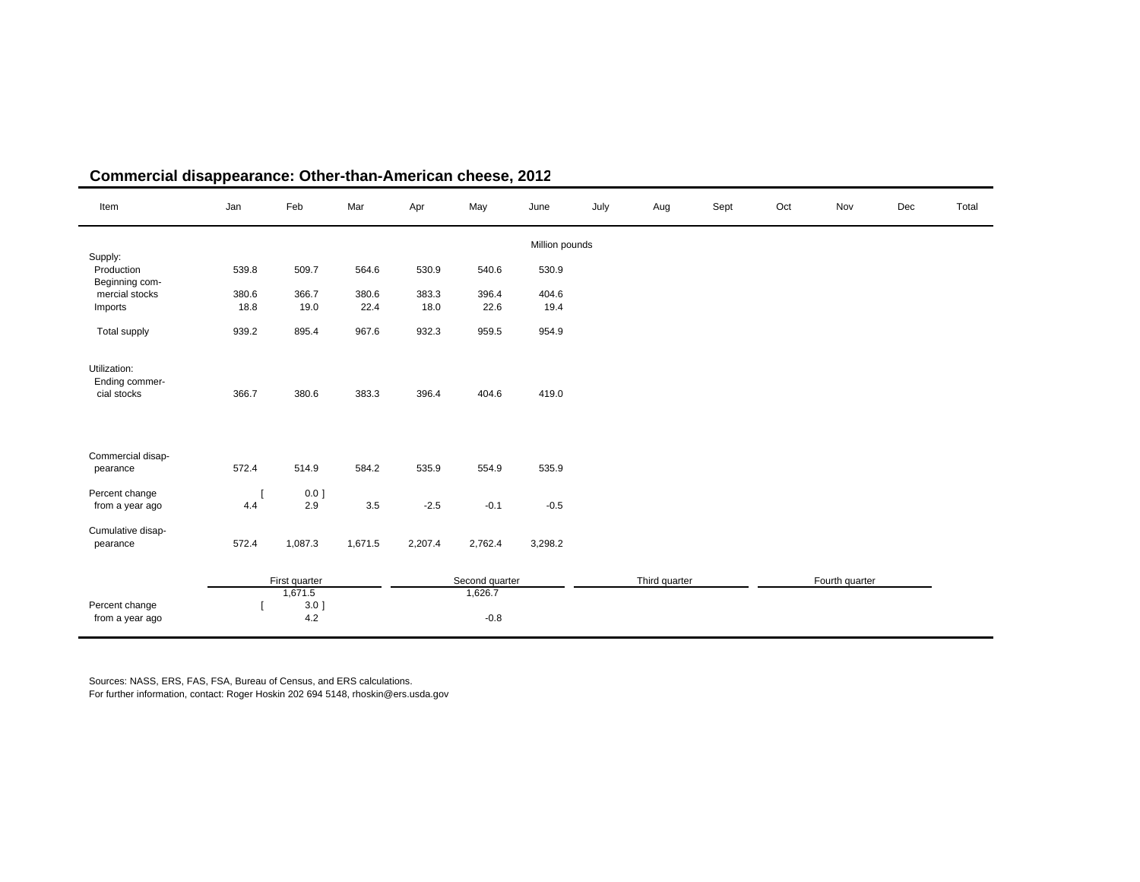| Item                           | Jan   | Feb           | Mar     | Apr     | May            | June           | July | Aug           | Sept | Oct | Nov            | Dec | Total |
|--------------------------------|-------|---------------|---------|---------|----------------|----------------|------|---------------|------|-----|----------------|-----|-------|
|                                |       |               |         |         |                | Million pounds |      |               |      |     |                |     |       |
| Supply:                        |       |               |         |         |                |                |      |               |      |     |                |     |       |
| Production                     | 539.8 | 509.7         | 564.6   | 530.9   | 540.6          | 530.9          |      |               |      |     |                |     |       |
| Beginning com-                 |       |               |         |         |                |                |      |               |      |     |                |     |       |
| mercial stocks                 | 380.6 | 366.7         | 380.6   | 383.3   | 396.4          | 404.6          |      |               |      |     |                |     |       |
| Imports                        | 18.8  | 19.0          | 22.4    | 18.0    | 22.6           | 19.4           |      |               |      |     |                |     |       |
| Total supply                   | 939.2 | 895.4         | 967.6   | 932.3   | 959.5          | 954.9          |      |               |      |     |                |     |       |
|                                |       |               |         |         |                |                |      |               |      |     |                |     |       |
|                                |       |               |         |         |                |                |      |               |      |     |                |     |       |
| Utilization:<br>Ending commer- |       |               |         |         |                |                |      |               |      |     |                |     |       |
| cial stocks                    | 366.7 | 380.6         | 383.3   | 396.4   | 404.6          | 419.0          |      |               |      |     |                |     |       |
|                                |       |               |         |         |                |                |      |               |      |     |                |     |       |
|                                |       |               |         |         |                |                |      |               |      |     |                |     |       |
|                                |       |               |         |         |                |                |      |               |      |     |                |     |       |
|                                |       |               |         |         |                |                |      |               |      |     |                |     |       |
| Commercial disap-              |       |               |         |         |                |                |      |               |      |     |                |     |       |
| pearance                       | 572.4 | 514.9         | 584.2   | 535.9   | 554.9          | 535.9          |      |               |      |     |                |     |       |
| Percent change                 |       | 0.0]          |         |         |                |                |      |               |      |     |                |     |       |
| from a year ago                | 4.4   | 2.9           | 3.5     | $-2.5$  | $-0.1$         | $-0.5$         |      |               |      |     |                |     |       |
|                                |       |               |         |         |                |                |      |               |      |     |                |     |       |
| Cumulative disap-              |       |               |         |         |                |                |      |               |      |     |                |     |       |
| pearance                       | 572.4 | 1,087.3       | 1,671.5 | 2,207.4 | 2,762.4        | 3,298.2        |      |               |      |     |                |     |       |
|                                |       |               |         |         |                |                |      |               |      |     |                |     |       |
|                                |       | First quarter |         |         | Second quarter |                |      | Third quarter |      |     | Fourth quarter |     |       |
|                                |       | 1,671.5       |         |         | 1,626.7        |                |      |               |      |     |                |     |       |
| Percent change                 |       | $3.0$ ]       |         |         |                |                |      |               |      |     |                |     |       |
| from a year ago                |       | 4.2           |         |         | $-0.8$         |                |      |               |      |     |                |     |       |
|                                |       |               |         |         |                |                |      |               |      |     |                |     |       |

## **Commercial disappearance: Other-than-American cheese, 201 2**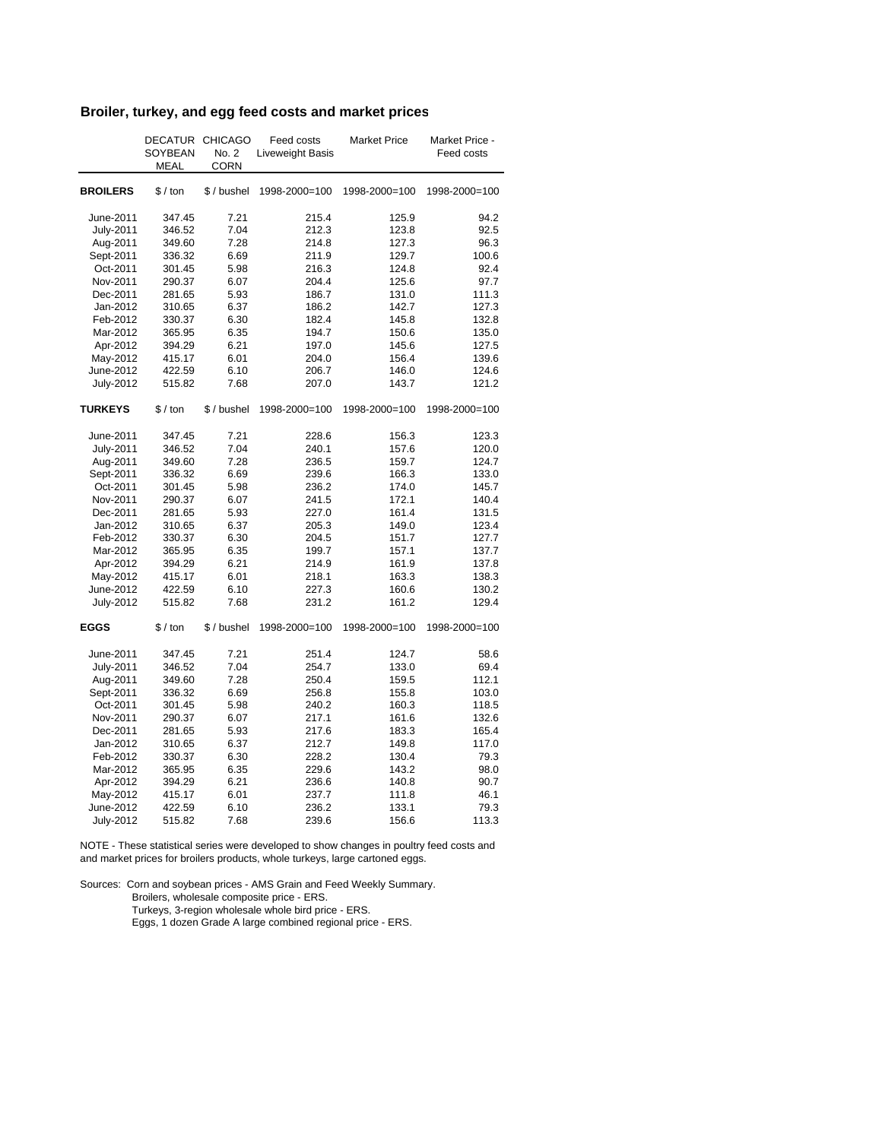## **Broiler, turkey, and egg feed costs and market prices**

|                 | <b>DECATUR</b><br><b>SOYBEAN</b><br>MEAL | <b>CHICAGO</b><br>No. 2<br><b>CORN</b> | Feed costs<br>Liveweight Basis | <b>Market Price</b> | Market Price -<br>Feed costs |
|-----------------|------------------------------------------|----------------------------------------|--------------------------------|---------------------|------------------------------|
| <b>BROILERS</b> | \$/ton                                   | \$/bushel                              | 1998-2000=100                  | 1998-2000=100       | 1998-2000=100                |
| June-2011       | 347.45                                   | 7.21                                   | 215.4                          | 125.9               | 94.2                         |
| July-2011       | 346.52                                   | 7.04                                   | 212.3                          | 123.8               | 92.5                         |
| Aug-2011        | 349.60                                   | 7.28                                   | 214.8                          | 127.3               | 96.3                         |
| Sept-2011       | 336.32                                   | 6.69                                   | 211.9                          | 129.7               | 100.6                        |
| Oct-2011        | 301.45                                   | 5.98                                   | 216.3                          | 124.8               | 92.4                         |
| Nov-2011        | 290.37                                   | 6.07                                   | 204.4                          | 125.6               | 97.7                         |
| Dec-2011        | 281.65                                   | 5.93                                   | 186.7                          | 131.0               | 111.3                        |
| Jan-2012        | 310.65                                   | 6.37                                   | 186.2                          | 142.7               | 127.3                        |
| Feb-2012        | 330.37                                   | 6.30                                   | 182.4                          | 145.8               | 132.8                        |
| Mar-2012        | 365.95                                   | 6.35                                   | 194.7                          | 150.6               | 135.0                        |
| Apr-2012        | 394.29                                   | 6.21                                   | 197.0                          | 145.6               | 127.5                        |
| May-2012        | 415.17                                   | 6.01                                   | 204.0                          | 156.4               | 139.6                        |
| June-2012       | 422.59                                   | 6.10                                   | 206.7                          | 146.0               | 124.6                        |
| July-2012       | 515.82                                   | 7.68                                   | 207.0                          | 143.7               | 121.2                        |
| <b>TURKEYS</b>  | \$/ton                                   | \$/bushel                              | 1998-2000=100                  | 1998-2000=100       | 1998-2000=100                |
| June-2011       | 347.45                                   | 7.21                                   | 228.6                          | 156.3               | 123.3                        |
| July-2011       | 346.52                                   | 7.04                                   | 240.1                          | 157.6               | 120.0                        |
| Aug-2011        | 349.60                                   | 7.28                                   | 236.5                          | 159.7               | 124.7                        |
| Sept-2011       | 336.32                                   | 6.69                                   | 239.6                          | 166.3               | 133.0                        |
| Oct-2011        | 301.45                                   | 5.98                                   | 236.2                          | 174.0               | 145.7                        |
| Nov-2011        | 290.37                                   | 6.07                                   | 241.5                          | 172.1               | 140.4                        |
| Dec-2011        | 281.65                                   | 5.93                                   | 227.0                          | 161.4               | 131.5                        |
| Jan-2012        | 310.65                                   | 6.37                                   | 205.3                          | 149.0               | 123.4                        |
| Feb-2012        | 330.37                                   | 6.30                                   | 204.5                          | 151.7               | 127.7                        |
| Mar-2012        | 365.95                                   | 6.35                                   | 199.7                          | 157.1               | 137.7                        |
| Apr-2012        | 394.29                                   | 6.21                                   | 214.9                          | 161.9               | 137.8                        |
| May-2012        | 415.17                                   | 6.01                                   | 218.1                          | 163.3               | 138.3                        |
| June-2012       | 422.59                                   | 6.10                                   | 227.3                          | 160.6               | 130.2                        |
| July-2012       | 515.82                                   | 7.68                                   | 231.2                          | 161.2               | 129.4                        |
| <b>EGGS</b>     | \$/ton                                   | \$/bushel                              | 1998-2000=100                  | 1998-2000=100       | 1998-2000=100                |
| June-2011       | 347.45                                   | 7.21                                   | 251.4                          | 124.7               | 58.6                         |
| July-2011       | 346.52                                   | 7.04                                   | 254.7                          | 133.0               | 69.4                         |
| Aug-2011        | 349.60                                   | 7.28                                   | 250.4                          | 159.5               | 112.1                        |
| Sept-2011       | 336.32                                   | 6.69                                   | 256.8                          | 155.8               | 103.0                        |
| Oct-2011        | 301.45                                   | 5.98                                   | 240.2                          | 160.3               | 118.5                        |
| Nov-2011        | 290.37                                   | 6.07                                   | 217.1                          | 161.6               | 132.6                        |
| Dec-2011        | 281.65                                   | 5.93                                   | 217.6                          | 183.3               | 165.4                        |
| Jan-2012        | 310.65                                   | 6.37                                   | 212.7                          | 149.8               | 117.0                        |
| Feb-2012        | 330.37                                   | 6.30                                   | 228.2                          | 130.4               | 79.3                         |
| Mar-2012        | 365.95                                   | 6.35                                   | 229.6                          | 143.2               | 98.0                         |
| Apr-2012        | 394.29                                   | 6.21                                   | 236.6                          | 140.8               | 90.7                         |
| May-2012        | 415.17                                   | 6.01                                   | 237.7                          | 111.8               | 46.1                         |
| June-2012       | 422.59                                   | 6.10                                   | 236.2                          | 133.1               | 79.3                         |
| July-2012       | 515.82                                   | 7.68                                   | 239.6                          | 156.6               | 113.3                        |

NOTE - These statistical series were developed to show changes in poultry feed costs and and market prices for broilers products, whole turkeys, large cartoned eggs.

Sources: Corn and soybean prices - AMS Grain and Feed Weekly Summary.

Broilers, wholesale composite price - ERS.

Turkeys, 3-region wholesale whole bird price - ERS.

Eggs, 1 dozen Grade A large combined regional price - ERS.